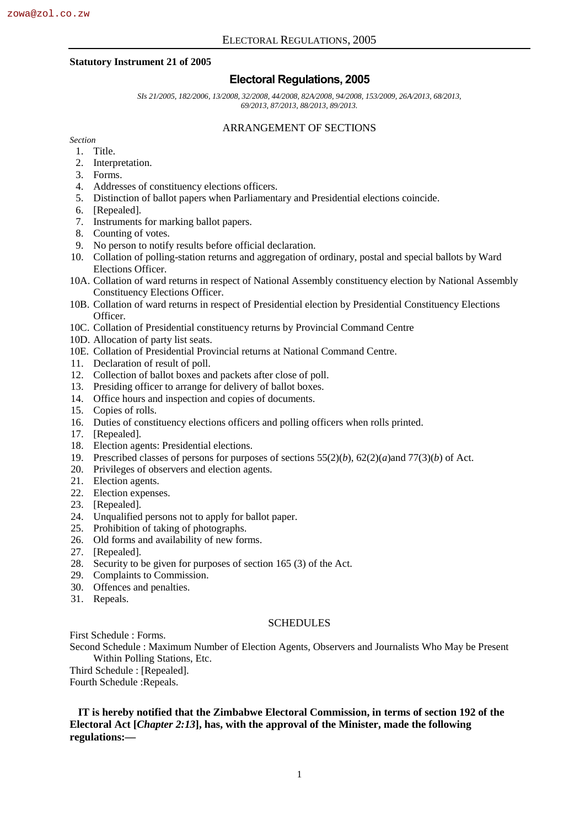### **Statutory Instrument 21 of 2005**

### **Electoral Regulations, 2005**

*SIs 21/2005, 182/2006, 13/2008, 32/2008, 44/2008, 82A/2008, 94/2008, 153/2009, 26A/2013, 68/2013, 69/2013, 87/2013, 88/2013, 89/2013.*

### ARRANGEMENT OF SECTIONS

*Section*

- 1. Title. 2. Interpretation.
- 
- 3. Forms.
- 4. Addresses of constituency elections officers.
- 5. Distinction of ballot papers when Parliamentary and Presidential elections coincide.
- 6. [Repealed].
- 7. Instruments for marking ballot papers.
- 8. Counting of votes.
- 9. No person to notify results before official declaration.
- 10. Collation of polling-station returns and aggregation of ordinary, postal and special ballots by Ward Elections Officer.
- 10A. Collation of ward returns in respect of National Assembly constituency election by National Assembly Constituency Elections Officer.
- 10B. Collation of ward returns in respect of Presidential election by Presidential Constituency Elections Officer.
- 10C. Collation of Presidential constituency returns by Provincial Command Centre
- 10D. Allocation of party list seats.
- 10E. Collation of Presidential Provincial returns at National Command Centre.
- 11. Declaration of result of poll.
- 12. Collection of ballot boxes and packets after close of poll.
- 13. Presiding officer to arrange for delivery of ballot boxes.
- 14. Office hours and inspection and copies of documents.
- 15. Copies of rolls.
- 16. Duties of constituency elections officers and polling officers when rolls printed.
- 17. [Repealed].
- 18. Election agents: Presidential elections.
- 19. Prescribed classes of persons for purposes of sections 55(2)(*b*), 62(2)(*a*)and 77(3)(*b*) of Act.
- 20. Privileges of observers and election agents.
- 21. Election agents.
- 22. Election expenses.
- 23. [Repealed].
- 24. Unqualified persons not to apply for ballot paper.
- 25. Prohibition of taking of photographs.
- 26. Old forms and availability of new forms.
- 27. [Repealed].
- 28. Security to be given for purposes of section 165 (3) of the Act.
- 29. Complaints to Commission.
- 30. Offences and penalties.
- 31. Repeals.

### SCHEDULES

First Schedule : Forms.

Second Schedule : Maximum Number of Election Agents, Observers and Journalists Who May be Present Within Polling Stations, Etc.

Third Schedule : [Repealed].

Fourth Schedule :Repeals.

**IT is hereby notified that the Zimbabwe Electoral Commission, in terms of section 192 of the Electoral Act [***Chapter 2:13***], has, with the approval of the Minister, made the following regulations:—**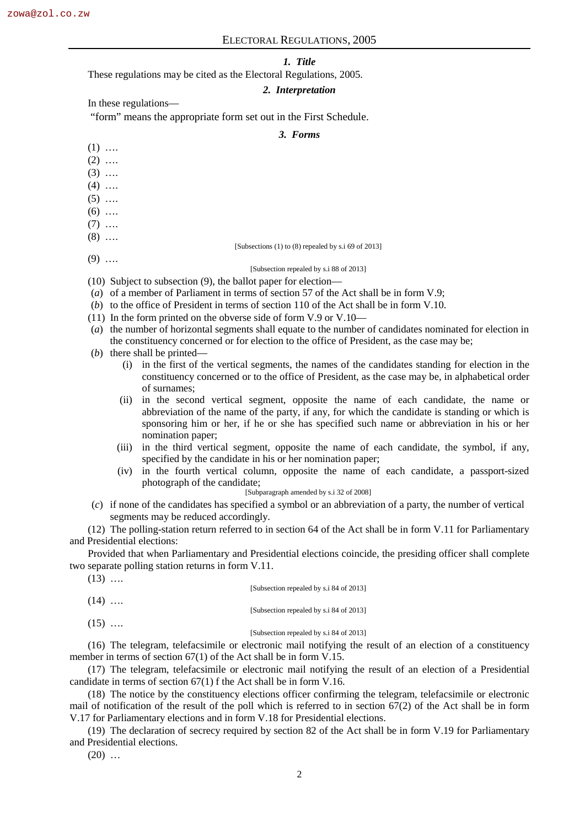### *1. Title*

These regulations may be cited as the Electoral Regulations, 2005.

### *2. Interpretation*

In these regulations—

"form" means the appropriate form set out in the First Schedule.

### *3. Forms*

- $(1)$  …  $(2)$  …
- $(3)$  …
- $(4)$  …
- $(5)$  ....
- $(6)$  …
- $(7)$  …
- $(8)$  …

[Subsections (1) to (8) repealed by s.i 69 of 2013]

 $(9)$  …

### [Subsection repealed by s.i 88 of 2013]

- (10) Subject to subsection (9), the ballot paper for election—
- (*a*) of a member of Parliament in terms of section 57 of the Act shall be in form V.9;
- (*b*) to the office of President in terms of section 110 of the Act shall be in form V.10.
- (11) In the form printed on the obverse side of form V.9 or V.10—
- (*a*) the number of horizontal segments shall equate to the number of candidates nominated for election in the constituency concerned or for election to the office of President, as the case may be;
- (*b*) there shall be printed—
	- (i) in the first of the vertical segments, the names of the candidates standing for election in the constituency concerned or to the office of President, as the case may be, in alphabetical order of surnames;
	- (ii) in the second vertical segment, opposite the name of each candidate, the name or abbreviation of the name of the party, if any, for which the candidate is standing or which is sponsoring him or her, if he or she has specified such name or abbreviation in his or her nomination paper;
	- (iii) in the third vertical segment, opposite the name of each candidate, the symbol, if any, specified by the candidate in his or her nomination paper;
	- (iv) in the fourth vertical column, opposite the name of each candidate, a passport-sized photograph of the candidate;
		- [Subparagraph amended by s.i 32 of 2008]
- (*c*) if none of the candidates has specified a symbol or an abbreviation of a party, the number of vertical segments may be reduced accordingly.

(12) The polling-station return referred to in section 64 of the Act shall be in form V.11 for Parliamentary and Presidential elections:

Provided that when Parliamentary and Presidential elections coincide, the presiding officer shall complete two separate polling station returns in form V.11.

| $(13)$ |                                         |
|--------|-----------------------------------------|
|        | [Subsection repealed by s.i 84 of 2013] |
| $(14)$ |                                         |
|        | [Subsection repealed by s.i 84 of 2013] |
| $(15)$ |                                         |
|        | [Subsection repealed by s.i 84 of 2013] |

(16) The telegram, telefacsimile or electronic mail notifying the result of an election of a constituency member in terms of section 67(1) of the Act shall be in form V.15.

(17) The telegram, telefacsimile or electronic mail notifying the result of an election of a Presidential candidate in terms of section 67(1) f the Act shall be in form V.16.

(18) The notice by the constituency elections officer confirming the telegram, telefacsimile or electronic mail of notification of the result of the poll which is referred to in section 67(2) of the Act shall be in form V.17 for Parliamentary elections and in form V.18 for Presidential elections.

(19) The declaration of secrecy required by section 82 of the Act shall be in form V.19 for Parliamentary and Presidential elections.

 $(20)$  ...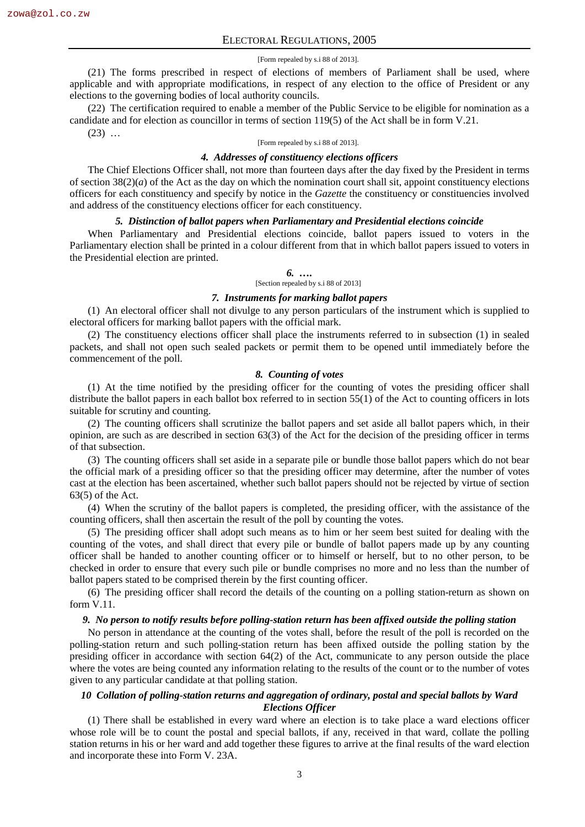#### [Form repealed by s.i 88 of 2013].

(21) The forms prescribed in respect of elections of members of Parliament shall be used, where applicable and with appropriate modifications, in respect of any election to the office of President or any elections to the governing bodies of local authority councils.

(22) The certification required to enable a member of the Public Service to be eligible for nomination as a candidate and for election as councillor in terms of section 119(5) of the Act shall be in form V.21.

 $(23)$  ...

#### [Form repealed by s.i 88 of 2013].

### *4. Addresses of constituency elections officers*

The Chief Elections Officer shall, not more than fourteen days after the day fixed by the President in terms of section  $38(2)(a)$  of the Act as the day on which the nomination court shall sit, appoint constituency elections officers for each constituency and specify by notice in the *Gazette* the constituency or constituencies involved and address of the constituency elections officer for each constituency.

### *5. Distinction of ballot papers when Parliamentary and Presidential elections coincide*

When Parliamentary and Presidential elections coincide, ballot papers issued to voters in the Parliamentary election shall be printed in a colour different from that in which ballot papers issued to voters in the Presidential election are printed.

### *6. ….*

[Section repealed by s.i 88 of 2013]

## *7. Instruments for marking ballot papers*

(1) An electoral officer shall not divulge to any person particulars of the instrument which is supplied to electoral officers for marking ballot papers with the official mark.

(2) The constituency elections officer shall place the instruments referred to in subsection (1) in sealed packets, and shall not open such sealed packets or permit them to be opened until immediately before the commencement of the poll.

### *8. Counting of votes*

(1) At the time notified by the presiding officer for the counting of votes the presiding officer shall distribute the ballot papers in each ballot box referred to in section 55(1) of the Act to counting officers in lots suitable for scrutiny and counting.

(2) The counting officers shall scrutinize the ballot papers and set aside all ballot papers which, in their opinion, are such as are described in section 63(3) of the Act for the decision of the presiding officer in terms of that subsection.

(3) The counting officers shall set aside in a separate pile or bundle those ballot papers which do not bear the official mark of a presiding officer so that the presiding officer may determine, after the number of votes cast at the election has been ascertained, whether such ballot papers should not be rejected by virtue of section  $63(5)$  of the Act.

(4) When the scrutiny of the ballot papers is completed, the presiding officer, with the assistance of the counting officers, shall then ascertain the result of the poll by counting the votes.

(5) The presiding officer shall adopt such means as to him or her seem best suited for dealing with the counting of the votes, and shall direct that every pile or bundle of ballot papers made up by any counting officer shall be handed to another counting officer or to himself or herself, but to no other person, to be checked in order to ensure that every such pile or bundle comprises no more and no less than the number of ballot papers stated to be comprised therein by the first counting officer.

(6) The presiding officer shall record the details of the counting on a polling station-return as shown on form V.11.

#### *9. No person to notify results before polling-station return has been affixed outside the polling station*

No person in attendance at the counting of the votes shall, before the result of the poll is recorded on the polling-station return and such polling-station return has been affixed outside the polling station by the presiding officer in accordance with section 64(2) of the Act, communicate to any person outside the place where the votes are being counted any information relating to the results of the count or to the number of votes given to any particular candidate at that polling station.

### *10 Collation of polling-station returns and aggregation of ordinary, postal and special ballots by Ward Elections Officer*

(1) There shall be established in every ward where an election is to take place a ward elections officer whose role will be to count the postal and special ballots, if any, received in that ward, collate the polling station returns in his or her ward and add together these figures to arrive at the final results of the ward election and incorporate these into Form V. 23A.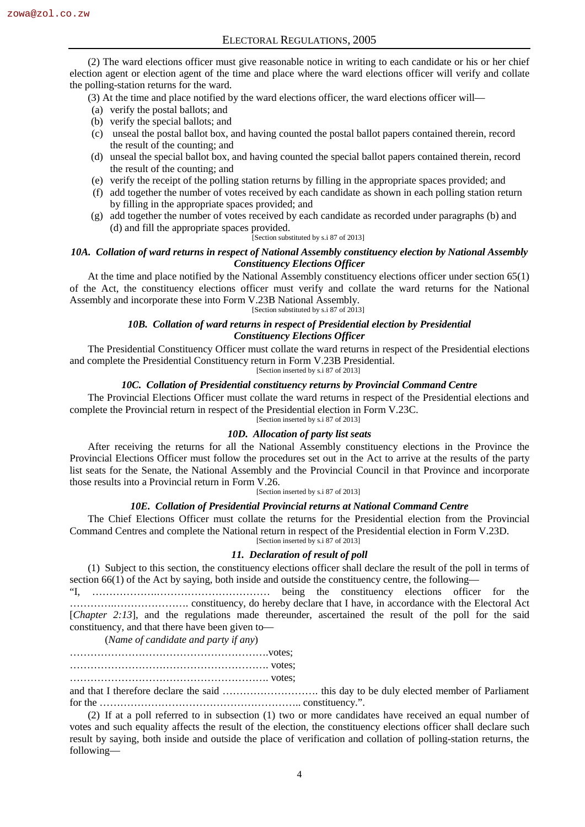(2) The ward elections officer must give reasonable notice in writing to each candidate or his or her chief election agent or election agent of the time and place where the ward elections officer will verify and collate the polling-station returns for the ward.

- (3) At the time and place notified by the ward elections officer, the ward elections officer will—
- (a) verify the postal ballots; and
- (b) verify the special ballots; and
- (c) unseal the postal ballot box, and having counted the postal ballot papers contained therein, record the result of the counting; and
- (d) unseal the special ballot box, and having counted the special ballot papers contained therein, record the result of the counting; and
- (e) verify the receipt of the polling station returns by filling in the appropriate spaces provided; and
- (f) add together the number of votes received by each candidate as shown in each polling station return by filling in the appropriate spaces provided; and
- (g) add together the number of votes received by each candidate as recorded under paragraphs (b) and (d) and fill the appropriate spaces provided.

### [Section substituted by s.i 87 of 2013]

### *10A. Collation of ward returns in respect of National Assembly constituency election by National Assembly Constituency Elections Officer*

At the time and place notified by the National Assembly constituency elections officer under section 65(1) of the Act, the constituency elections officer must verify and collate the ward returns for the National Assembly and incorporate these into Form V.23B National Assembly.

[Section substituted by s.i 87 of 2013]

### *10B. Collation of ward returns in respect of Presidential election by Presidential Constituency Elections Officer*

The Presidential Constituency Officer must collate the ward returns in respect of the Presidential elections and complete the Presidential Constituency return in Form V.23B Presidential.

[Section inserted by s.i 87 of 2013]

### *10C. Collation of Presidential constituency returns by Provincial Command Centre*

The Provincial Elections Officer must collate the ward returns in respect of the Presidential elections and complete the Provincial return in respect of the Presidential election in Form V.23C.

[Section inserted by s.i 87 of 2013]

# *10D. Allocation of party list seats*

After receiving the returns for all the National Assembly constituency elections in the Province the Provincial Elections Officer must follow the procedures set out in the Act to arrive at the results of the party list seats for the Senate, the National Assembly and the Provincial Council in that Province and incorporate those results into a Provincial return in Form V.26.

[Section inserted by s.i 87 of 2013]

### *10E. Collation of Presidential Provincial returns at National Command Centre*

The Chief Elections Officer must collate the returns for the Presidential election from the Provincial Command Centres and complete the National return in respect of the Presidential election in Form V.23D. [Section inserted by s.i 87 of 2013]

*11. Declaration of result of poll*

(1) Subject to this section, the constituency elections officer shall declare the result of the poll in terms of section 66(1) of the Act by saying, both inside and outside the constituency centre, the following—

"I, ……………….…………………………… being the constituency elections officer for the ………….…………………. constituency, do hereby declare that I have, in accordance with the Electoral Act [*Chapter 2:13*], and the regulations made thereunder, ascertained the result of the poll for the said constituency, and that there have been given to—

(*Name of candidate and party if any*)

………………………………………………….votes; …………………………………………………. votes;

…………………………………………………. votes;

and that I therefore declare the said ………………………. this day to be duly elected member of Parliament for the ………………………………………………….. constituency.".

(2) If at a poll referred to in subsection (1) two or more candidates have received an equal number of votes and such equality affects the result of the election, the constituency elections officer shall declare such result by saying, both inside and outside the place of verification and collation of polling-station returns, the following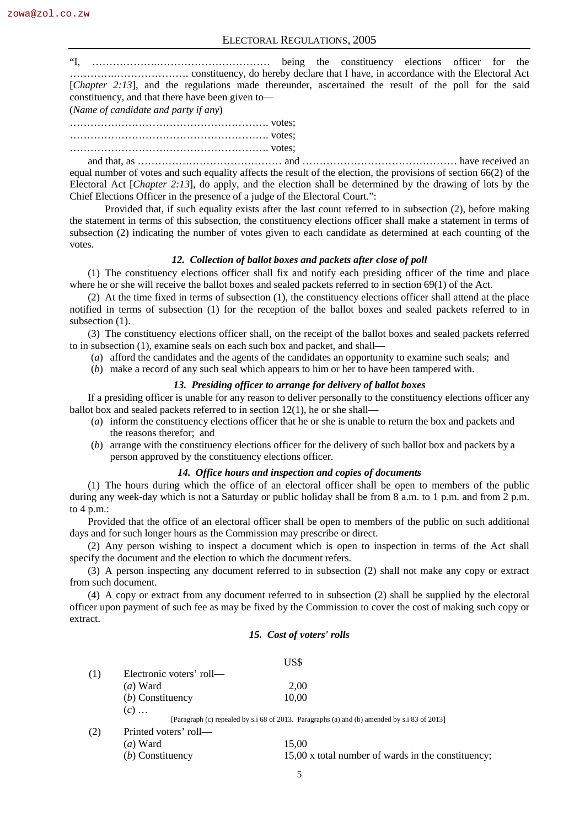"I, ……………….…………………………… being the constituency elections officer for the ………….…………………. constituency, do hereby declare that I have, in accordance with the Electoral Act [*Chapter 2:13*], and the regulations made thereunder, ascertained the result of the poll for the said constituency, and that there have been given to—

(*Name of candidate and party if any*)

…………………………………………………. votes; …………………………………………………. votes; …………………………………………………. votes;

and that, as …………………………………… and ……………………………………… have received an equal number of votes and such equality affects the result of the election, the provisions of section 66(2) of the Electoral Act [*Chapter 2:13*], do apply, and the election shall be determined by the drawing of lots by the Chief Elections Officer in the presence of a judge of the Electoral Court.":

Provided that, if such equality exists after the last count referred to in subsection (2), before making the statement in terms of this subsection, the constituency elections officer shall make a statement in terms of subsection (2) indicating the number of votes given to each candidate as determined at each counting of the votes.

### *12. Collection of ballot boxes and packets after close of poll*

(1) The constituency elections officer shall fix and notify each presiding officer of the time and place where he or she will receive the ballot boxes and sealed packets referred to in section 69(1) of the Act.

(2) At the time fixed in terms of subsection (1), the constituency elections officer shall attend at the place notified in terms of subsection (1) for the reception of the ballot boxes and sealed packets referred to in subsection  $(1)$ .

(3) The constituency elections officer shall, on the receipt of the ballot boxes and sealed packets referred to in subsection (1), examine seals on each such box and packet, and shall—

- (*a*) afford the candidates and the agents of the candidates an opportunity to examine such seals; and
- (*b*) make a record of any such seal which appears to him or her to have been tampered with.

### *13. Presiding officer to arrange for delivery of ballot boxes*

If a presiding officer is unable for any reason to deliver personally to the constituency elections officer any ballot box and sealed packets referred to in section 12(1), he or she shall—

- (*a*) inform the constituency elections officer that he or she is unable to return the box and packets and the reasons therefor; and
- (*b*) arrange with the constituency elections officer for the delivery of such ballot box and packets by a person approved by the constituency elections officer.

### *14. Office hours and inspection and copies of documents*

(1) The hours during which the office of an electoral officer shall be open to members of the public during any week-day which is not a Saturday or public holiday shall be from 8 a.m. to 1 p.m. and from 2 p.m. to 4 p.m.:

Provided that the office of an electoral officer shall be open to members of the public on such additional days and for such longer hours as the Commission may prescribe or direct.

(2) Any person wishing to inspect a document which is open to inspection in terms of the Act shall specify the document and the election to which the document refers.

(3) A person inspecting any document referred to in subsection (2) shall not make any copy or extract from such document.

(4) A copy or extract from any document referred to in subsection (2) shall be supplied by the electoral officer upon payment of such fee as may be fixed by the Commission to cover the cost of making such copy or extract.

### *15. Cost of voters' rolls*

|     |                          | US\$                                                                                         |
|-----|--------------------------|----------------------------------------------------------------------------------------------|
| (1) | Electronic voters' roll— |                                                                                              |
|     | $(a)$ Ward               | 2,00                                                                                         |
|     | $(b)$ Constituency       | 10.00                                                                                        |
|     | $(c)$                    |                                                                                              |
|     |                          | [Paragraph (c) repealed by s.i 68 of 2013. Paragraphs (a) and (b) amended by s.i 83 of 2013] |
| (2) | Printed voters' roll—    |                                                                                              |
|     | $(a)$ Ward               | 15,00                                                                                        |
|     | $(b)$ Constituency       | 15,00 x total number of wards in the constituency;                                           |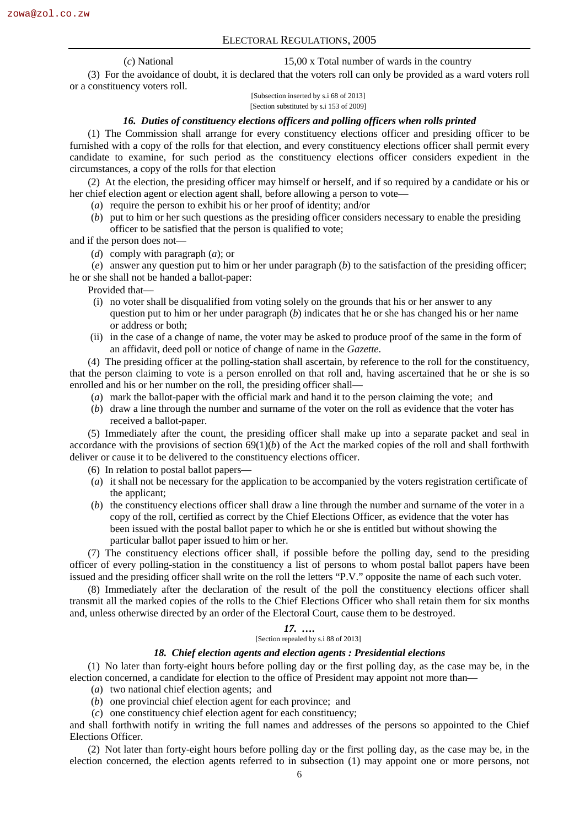### (*c*) National 15,00 x Total number of wards in the country

(3) For the avoidance of doubt, it is declared that the voters roll can only be provided as a ward voters roll or a constituency voters roll.

[Subsection inserted by s.i 68 of 2013] [Section substituted by s.i 153 of 2009]

#### *16. Duties of constituency elections officers and polling officers when rolls printed*

(1) The Commission shall arrange for every constituency elections officer and presiding officer to be furnished with a copy of the rolls for that election, and every constituency elections officer shall permit every candidate to examine, for such period as the constituency elections officer considers expedient in the circumstances, a copy of the rolls for that election

(2) At the election, the presiding officer may himself or herself, and if so required by a candidate or his or her chief election agent or election agent shall, before allowing a person to vote—

- (*a*) require the person to exhibit his or her proof of identity; and/or
- (*b*) put to him or her such questions as the presiding officer considers necessary to enable the presiding officer to be satisfied that the person is qualified to vote;

and if the person does not—

(*d*) comply with paragraph (*a*); or

(*e*) answer any question put to him or her under paragraph (*b*) to the satisfaction of the presiding officer; he or she shall not be handed a ballot-paper:

Provided that—

- (i) no voter shall be disqualified from voting solely on the grounds that his or her answer to any question put to him or her under paragraph (*b*) indicates that he or she has changed his or her name or address or both;
- (ii) in the case of a change of name, the voter may be asked to produce proof of the same in the form of an affidavit, deed poll or notice of change of name in the *Gazette*.

(4) The presiding officer at the polling-station shall ascertain, by reference to the roll for the constituency, that the person claiming to vote is a person enrolled on that roll and, having ascertained that he or she is so enrolled and his or her number on the roll, the presiding officer shall—

- (*a*) mark the ballot-paper with the official mark and hand it to the person claiming the vote; and
- (*b*) draw a line through the number and surname of the voter on the roll as evidence that the voter has received a ballot-paper.

(5) Immediately after the count, the presiding officer shall make up into a separate packet and seal in accordance with the provisions of section  $69(1)(b)$  of the Act the marked copies of the roll and shall forthwith deliver or cause it to be delivered to the constituency elections officer.

(6) In relation to postal ballot papers—

- (*a*) it shall not be necessary for the application to be accompanied by the voters registration certificate of the applicant;
- (*b*) the constituency elections officer shall draw a line through the number and surname of the voter in a copy of the roll, certified as correct by the Chief Elections Officer, as evidence that the voter has been issued with the postal ballot paper to which he or she is entitled but without showing the particular ballot paper issued to him or her.

(7) The constituency elections officer shall, if possible before the polling day, send to the presiding officer of every polling-station in the constituency a list of persons to whom postal ballot papers have been issued and the presiding officer shall write on the roll the letters "P.V." opposite the name of each such voter.

(8) Immediately after the declaration of the result of the poll the constituency elections officer shall transmit all the marked copies of the rolls to the Chief Elections Officer who shall retain them for six months and, unless otherwise directed by an order of the Electoral Court, cause them to be destroyed.

### *17. ….*

[Section repealed by s.i 88 of 2013]

### *18. Chief election agents and election agents : Presidential elections*

(1) No later than forty-eight hours before polling day or the first polling day, as the case may be, in the election concerned, a candidate for election to the office of President may appoint not more than—

- (*a*) two national chief election agents; and
- (*b*) one provincial chief election agent for each province; and
- (*c*) one constituency chief election agent for each constituency;

and shall forthwith notify in writing the full names and addresses of the persons so appointed to the Chief Elections Officer.

(2) Not later than forty-eight hours before polling day or the first polling day, as the case may be, in the election concerned, the election agents referred to in subsection (1) may appoint one or more persons, not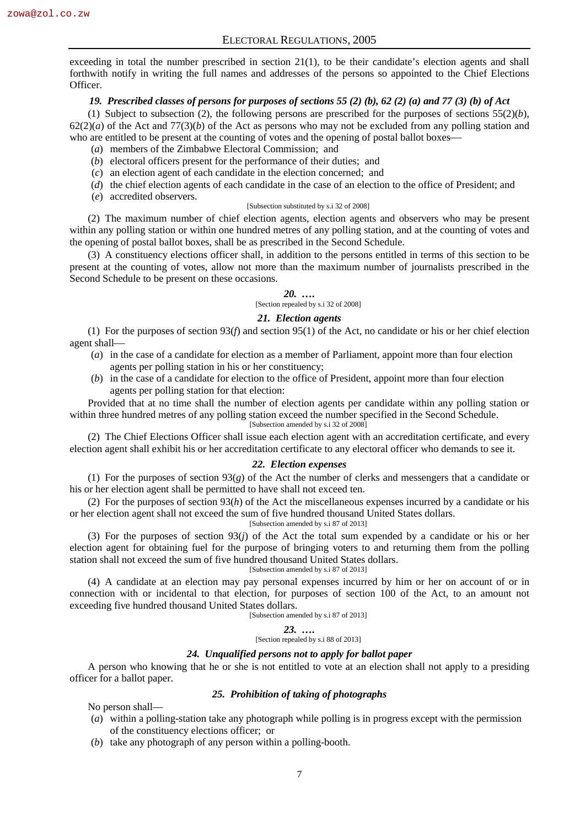exceeding in total the number prescribed in section  $21(1)$ , to be their candidate's election agents and shall forthwith notify in writing the full names and addresses of the persons so appointed to the Chief Elections Officer.

### *19. Prescribed classes of persons for purposes of sections 55 (2) (b), 62 (2) (a) and 77 (3) (b) of Act*

(1) Subject to subsection (2), the following persons are prescribed for the purposes of sections 55(2)(*b*), 62(2)(*a*) of the Act and 77(3)(*b*) of the Act as persons who may not be excluded from any polling station and who are entitled to be present at the counting of votes and the opening of postal ballot boxes—

- (*a*) members of the Zimbabwe Electoral Commission; and
- (*b*) electoral officers present for the performance of their duties; and
- (*c*) an election agent of each candidate in the election concerned; and
- (*d*) the chief election agents of each candidate in the case of an election to the office of President; and (*e*) accredited observers.

#### [Subsection substituted by s.i 32 of 2008]

(2) The maximum number of chief election agents, election agents and observers who may be present within any polling station or within one hundred metres of any polling station, and at the counting of votes and the opening of postal ballot boxes, shall be as prescribed in the Second Schedule.

(3) A constituency elections officer shall, in addition to the persons entitled in terms of this section to be present at the counting of votes, allow not more than the maximum number of journalists prescribed in the Second Schedule to be present on these occasions.

### *20. ….*

[Section repealed by s.i 32 of 2008]

### *21. Election agents*

(1) For the purposes of section 93(*f*) and section 95(1) of the Act, no candidate or his or her chief election agent shall

- (*a*) in the case of a candidate for election as a member of Parliament, appoint more than four election agents per polling station in his or her constituency;
- (*b*) in the case of a candidate for election to the office of President, appoint more than four election agents per polling station for that election:

Provided that at no time shall the number of election agents per candidate within any polling station or within three hundred metres of any polling station exceed the number specified in the Second Schedule. [Subsection amended by s.i 32 of 2008]

(2) The Chief Elections Officer shall issue each election agent with an accreditation certificate, and every election agent shall exhibit his or her accreditation certificate to any electoral officer who demands to see it.

### *22. Election expenses*

(1) For the purposes of section 93(*g*) of the Act the number of clerks and messengers that a candidate or his or her election agent shall be permitted to have shall not exceed ten.

(2) For the purposes of section 93(*h*) of the Act the miscellaneous expenses incurred by a candidate or his or her election agent shall not exceed the sum of five hundred thousand United States dollars.

[Subsection amended by s.i 87 of 2013] (3) For the purposes of section 93(*j*) of the Act the total sum expended by a candidate or his or her

election agent for obtaining fuel for the purpose of bringing voters to and returning them from the polling station shall not exceed the sum of five hundred thousand United States dollars.

### [Subsection amended by s.i 87 of 2013]

(4) A candidate at an election may pay personal expenses incurred by him or her on account of or in connection with or incidental to that election, for purposes of section 100 of the Act, to an amount not exceeding five hundred thousand United States dollars.

[Subsection amended by s.i 87 of 2013]

*23. ….*

[Section repealed by s.i 88 of 2013]

### *24. Unqualified persons not to apply for ballot paper*

A person who knowing that he or she is not entitled to vote at an election shall not apply to a presiding officer for a ballot paper.

### *25. Prohibition of taking of photographs*

No person shall—

- (*a*) within a polling-station take any photograph while polling is in progress except with the permission of the constituency elections officer; or
- (*b*) take any photograph of any person within a polling-booth.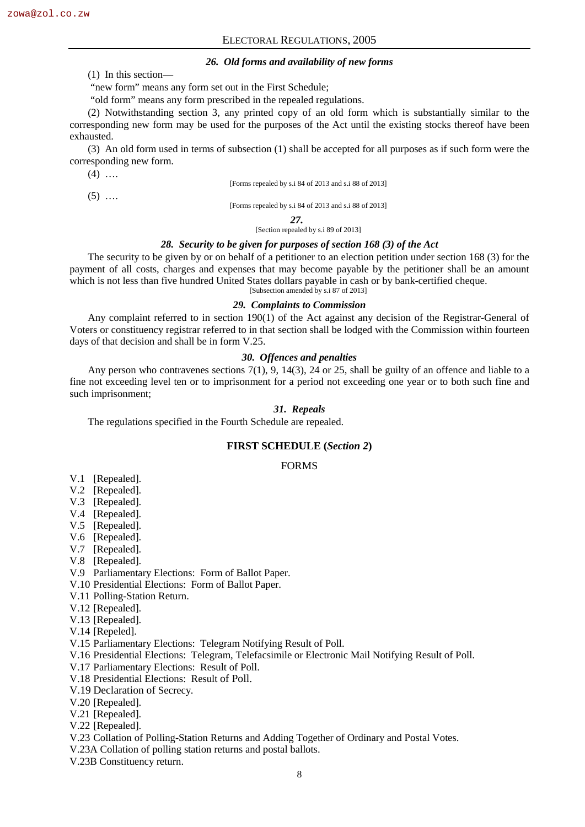### *26. Old forms and availability of new forms*

(1) In this section—

"new form" means any form set out in the First Schedule;

"old form" means any form prescribed in the repealed regulations.

(2) Notwithstanding section 3, any printed copy of an old form which is substantially similar to the corresponding new form may be used for the purposes of the Act until the existing stocks thereof have been exhausted.

(3) An old form used in terms of subsection (1) shall be accepted for all purposes as if such form were the corresponding new form.

 $(4)$  …

[Forms repealed by s.i 84 of 2013 and s.i 88 of 2013]

 $(5)$  ....

[Forms repealed by s.i 84 of 2013 and s.i 88 of 2013]

*27.*

[Section repealed by s.i 89 of 2013]

### *28. Security to be given for purposes of section 168 (3) of the Act*

The security to be given by or on behalf of a petitioner to an election petition under section 168 (3) for the payment of all costs, charges and expenses that may become payable by the petitioner shall be an amount which is not less than five hundred United States dollars payable in cash or by bank-certified cheque. [Subsection amended by s.i 87 of 2013]

### *29. Complaints to Commission*

Any complaint referred to in section 190(1) of the Act against any decision of the Registrar-General of Voters or constituency registrar referred to in that section shall be lodged with the Commission within fourteen days of that decision and shall be in form V.25.

### *30. Offences and penalties*

Any person who contravenes sections 7(1), 9, 14(3), 24 or 25, shall be guilty of an offence and liable to a fine not exceeding level ten or to imprisonment for a period not exceeding one year or to both such fine and such imprisonment;

### *31. Repeals*

The regulations specified in the Fourth Schedule are repealed.

### **FIRST SCHEDULE (***Section 2***)**

### FORMS

- V.1 [Repealed].
- V.2 [Repealed].
- V.3 [Repealed].
- V.4 [Repealed].
- V.5 [Repealed].
- V.6 [Repealed].
- V.7 [Repealed].
- V.8 [Repealed].
- V.9 Parliamentary Elections: Form of Ballot Paper.
- V.10 Presidential Elections: Form of Ballot Paper.
- V.11 Polling-Station Return.
- V.12 [Repealed].
- V.13 [Repealed].
- V.14 [Repeled].
- V.15 Parliamentary Elections: Telegram Notifying Result of Poll.
- V.16 Presidential Elections: Telegram, Telefacsimile or Electronic Mail Notifying Result of Poll.
- V.17 Parliamentary Elections: Result of Poll.
- V.18 Presidential Elections: Result of Poll.
- V.19 Declaration of Secrecy.
- V.20 [Repealed].
- V.21 [Repealed].
- V.22 [Repealed].
- V.23 Collation of Polling-Station Returns and Adding Together of Ordinary and Postal Votes.
- V.23A Collation of polling station returns and postal ballots.
- V.23B Constituency return.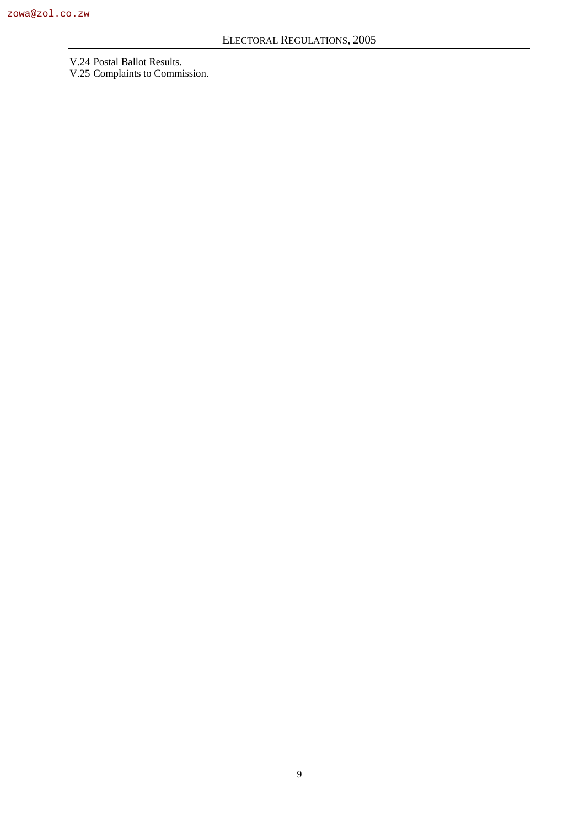V.24 Postal Ballot Results.

V.25 Complaints to Commission.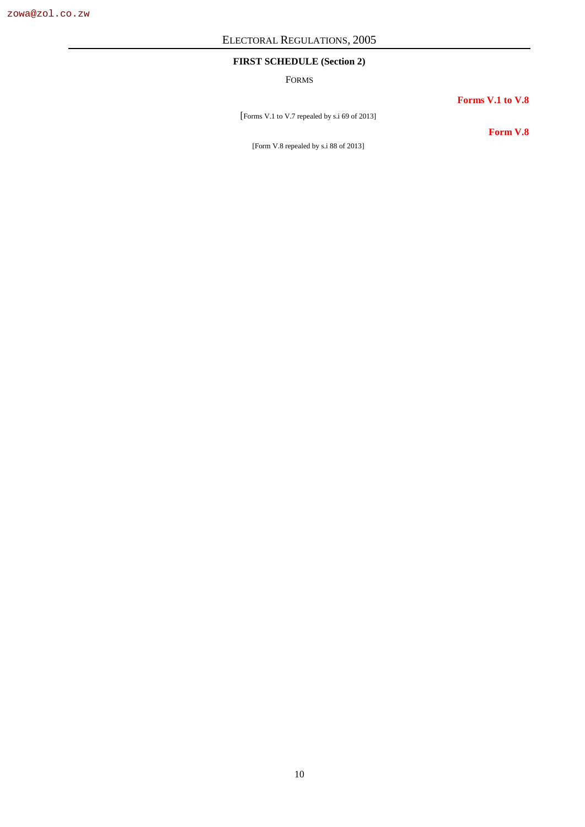# **FIRST SCHEDULE (Section 2)**

FORMS

**Forms V.1 to V.8**

[Forms V.1 to V.7 repealed by s.i 69 of 2013]

**Form V.8**

[Form V.8 repealed by s.i 88 of 2013]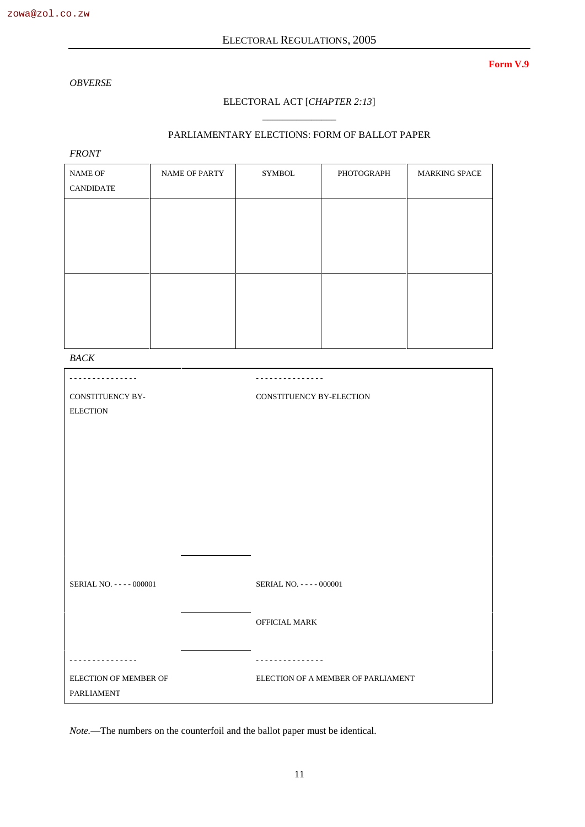*OBVERSE*

### ELECTORAL ACT [*CHAPTER 2:13*]

\_\_\_\_\_\_\_\_\_\_\_\_\_\_\_

# PARLIAMENTARY ELECTIONS: FORM OF BALLOT PAPER

*FRONT*

| NAME OF   | <b>NAME OF PARTY</b> | <b>SYMBOL</b> | PHOTOGRAPH | <b>MARKING SPACE</b> |
|-----------|----------------------|---------------|------------|----------------------|
| CANDIDATE |                      |               |            |                      |
|           |                      |               |            |                      |
|           |                      |               |            |                      |
|           |                      |               |            |                      |
|           |                      |               |            |                      |
|           |                      |               |            |                      |
|           |                      |               |            |                      |
|           |                      |               |            |                      |
|           |                      |               |            |                      |

*BACK*

| -------                      |                                    |
|------------------------------|------------------------------------|
| <b>CONSTITUENCY BY-</b>      | <b>CONSTITUENCY BY-ELECTION</b>    |
| <b>ELECTION</b>              |                                    |
|                              |                                    |
|                              |                                    |
|                              |                                    |
|                              |                                    |
|                              |                                    |
|                              |                                    |
|                              |                                    |
|                              |                                    |
|                              |                                    |
| SERIAL NO. - - - - 000001    | SERIAL NO. - - - - 000001          |
|                              |                                    |
|                              | <b>OFFICIAL MARK</b>               |
|                              |                                    |
|                              | ----------                         |
| <b>ELECTION OF MEMBER OF</b> | ELECTION OF A MEMBER OF PARLIAMENT |
| PARLIAMENT                   |                                    |

*Note.*—The numbers on the counterfoil and the ballot paper must be identical.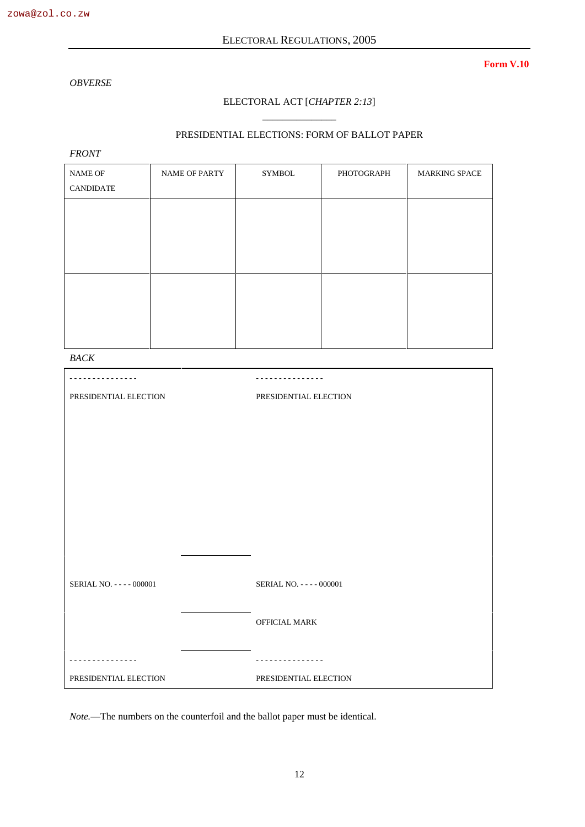*OBVERSE*

### ELECTORAL ACT [*CHAPTER 2:13*]

\_\_\_\_\_\_\_\_\_\_\_\_\_\_\_

# PRESIDENTIAL ELECTIONS: FORM OF BALLOT PAPER

*FRONT*

| NAME OF   | <b>NAME OF PARTY</b> | SYMBOL | PHOTOGRAPH | <b>MARKING SPACE</b> |
|-----------|----------------------|--------|------------|----------------------|
| CANDIDATE |                      |        |            |                      |
|           |                      |        |            |                      |
|           |                      |        |            |                      |
|           |                      |        |            |                      |
|           |                      |        |            |                      |
|           |                      |        |            |                      |
|           |                      |        |            |                      |
|           |                      |        |            |                      |
|           |                      |        |            |                      |

### *BACK*

| PRESIDENTIAL ELECTION     | PRESIDENTIAL ELECTION     |
|---------------------------|---------------------------|
|                           |                           |
|                           |                           |
|                           |                           |
|                           |                           |
|                           |                           |
|                           |                           |
|                           |                           |
|                           |                           |
|                           |                           |
| SERIAL NO. - - - - 000001 | SERIAL NO. - - - - 000001 |
|                           | <b>OFFICIAL MARK</b>      |
|                           |                           |
| ----------                | -----------               |
| PRESIDENTIAL ELECTION     | PRESIDENTIAL ELECTION     |

*Note.*—The numbers on the counterfoil and the ballot paper must be identical.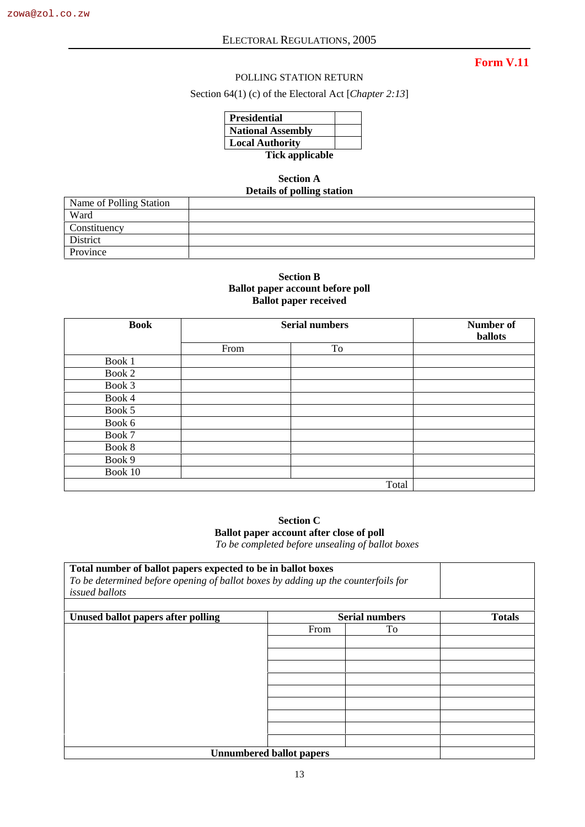# **Form V.11**

### POLLING STATION RETURN

### Section 64(1) (c) of the Electoral Act [*Chapter 2:13*]

| <b>Presidential</b>      |  |
|--------------------------|--|
| <b>National Assembly</b> |  |
| <b>Local Authority</b>   |  |
| <b>Tick applicable</b>   |  |

### **Section A Details of polling station**

| Name of Polling Station |  |
|-------------------------|--|
| Ward                    |  |
| Constituency            |  |
| District                |  |
| Province                |  |

# **Section B Ballot paper account before poll Ballot paper received**

| <b>Book</b> | <b>Serial numbers</b> |       | Number of<br><b>ballots</b> |
|-------------|-----------------------|-------|-----------------------------|
|             | From                  | To    |                             |
| Book 1      |                       |       |                             |
| Book 2      |                       |       |                             |
| Book 3      |                       |       |                             |
| Book 4      |                       |       |                             |
| Book 5      |                       |       |                             |
| Book 6      |                       |       |                             |
| Book 7      |                       |       |                             |
| Book 8      |                       |       |                             |
| Book 9      |                       |       |                             |
| Book 10     |                       |       |                             |
|             |                       | Total |                             |

### **Section C Ballot paper account after close of poll** *To be completed before unsealing of ballot boxes*

**Total number of ballot papers expected to be in ballot boxes** *To be determined before opening of ballot boxes by adding up the counterfoils for issued ballots* **Unused ballot papers after polling <b>Serial numbers Totals** From To **Unnumbered ballot papers**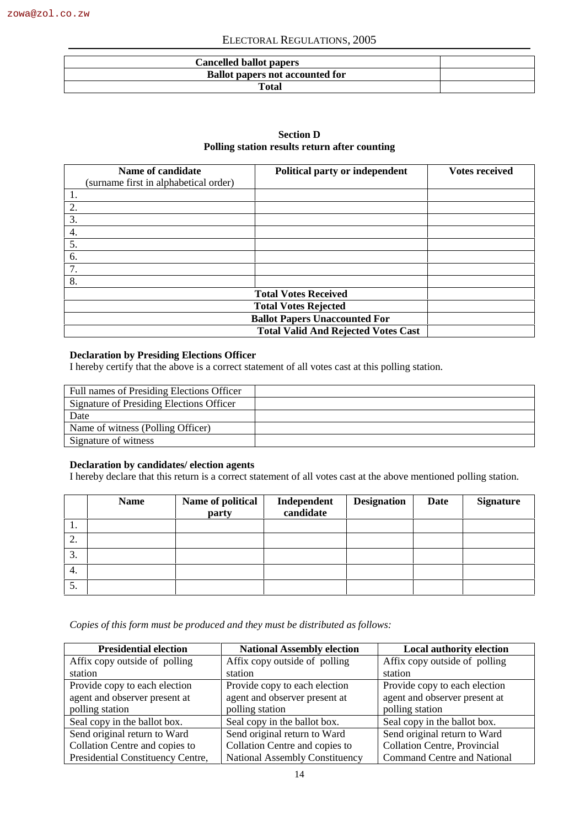| <b>Cancelled ballot papers</b>         |  |
|----------------------------------------|--|
| <b>Ballot papers not accounted for</b> |  |
| Total                                  |  |

| <b>Section D</b>                              |  |
|-----------------------------------------------|--|
| Polling station results return after counting |  |

| Name of candidate<br>(surname first in alphabetical order) | Political party or independent             | <b>Votes received</b> |  |
|------------------------------------------------------------|--------------------------------------------|-----------------------|--|
| 1.                                                         |                                            |                       |  |
| 2.                                                         |                                            |                       |  |
| 3.                                                         |                                            |                       |  |
| 4.                                                         |                                            |                       |  |
| 5.                                                         |                                            |                       |  |
| 6.                                                         |                                            |                       |  |
| 7.                                                         |                                            |                       |  |
| 8.                                                         |                                            |                       |  |
|                                                            | <b>Total Votes Received</b>                |                       |  |
| <b>Total Votes Rejected</b>                                |                                            |                       |  |
| <b>Ballot Papers Unaccounted For</b>                       |                                            |                       |  |
|                                                            | <b>Total Valid And Rejected Votes Cast</b> |                       |  |

### **Declaration by Presiding Elections Officer**

I hereby certify that the above is a correct statement of all votes cast at this polling station.

| Full names of Presiding Elections Officer |  |
|-------------------------------------------|--|
| Signature of Presiding Elections Officer  |  |
| Date                                      |  |
| Name of witness (Polling Officer)         |  |
| Signature of witness                      |  |

# **Declaration by candidates/ election agents**

I hereby declare that this return is a correct statement of all votes cast at the above mentioned polling station.

|         | <b>Name</b> | Name of political<br>party | Independent<br>candidate | <b>Designation</b> | <b>Date</b> | <b>Signature</b> |
|---------|-------------|----------------------------|--------------------------|--------------------|-------------|------------------|
| 1.      |             |                            |                          |                    |             |                  |
| ◠<br>۷. |             |                            |                          |                    |             |                  |
| 3.      |             |                            |                          |                    |             |                  |
| 4.      |             |                            |                          |                    |             |                  |
| J.      |             |                            |                          |                    |             |                  |

*Copies of this form must be produced and they must be distributed as follows:*

| <b>Presidential election</b>      | <b>National Assembly election</b>     | <b>Local authority election</b>     |
|-----------------------------------|---------------------------------------|-------------------------------------|
| Affix copy outside of polling     | Affix copy outside of polling         | Affix copy outside of polling       |
| station                           | station                               | station                             |
| Provide copy to each election     | Provide copy to each election         | Provide copy to each election       |
| agent and observer present at     | agent and observer present at         | agent and observer present at       |
| polling station                   | polling station                       | polling station                     |
| Seal copy in the ballot box.      | Seal copy in the ballot box.          | Seal copy in the ballot box.        |
| Send original return to Ward      | Send original return to Ward          | Send original return to Ward        |
| Collation Centre and copies to    | Collation Centre and copies to        | <b>Collation Centre, Provincial</b> |
| Presidential Constituency Centre, | <b>National Assembly Constituency</b> | <b>Command Centre and National</b>  |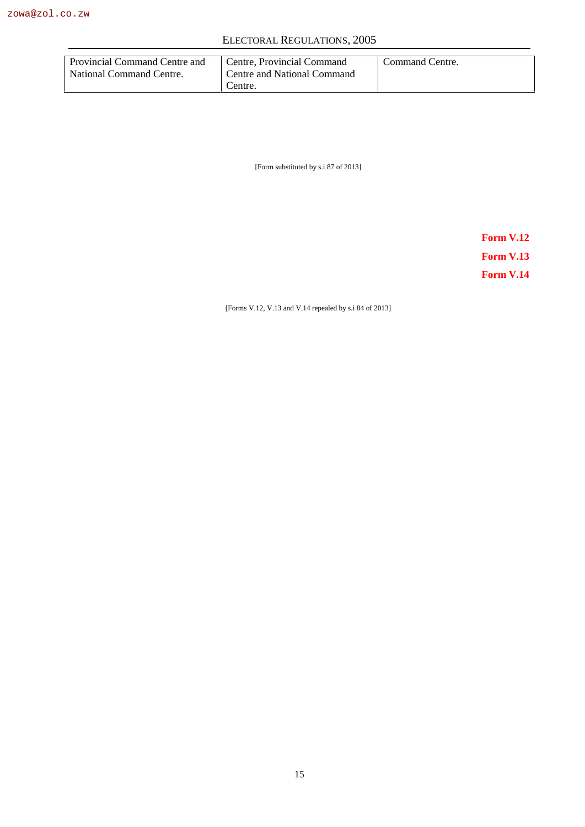| Provincial Command Centre and | Centre, Provincial Command  | Command Centre. |
|-------------------------------|-----------------------------|-----------------|
| National Command Centre.      | Centre and National Command |                 |
|                               | ∴entre.                     |                 |

[Form substituted by s.i 87 of 2013]

**Form V.12**

**Form V.13**

**Form V.14**

[Forms V.12, V.13 and V.14 repealed by s.i 84 of 2013]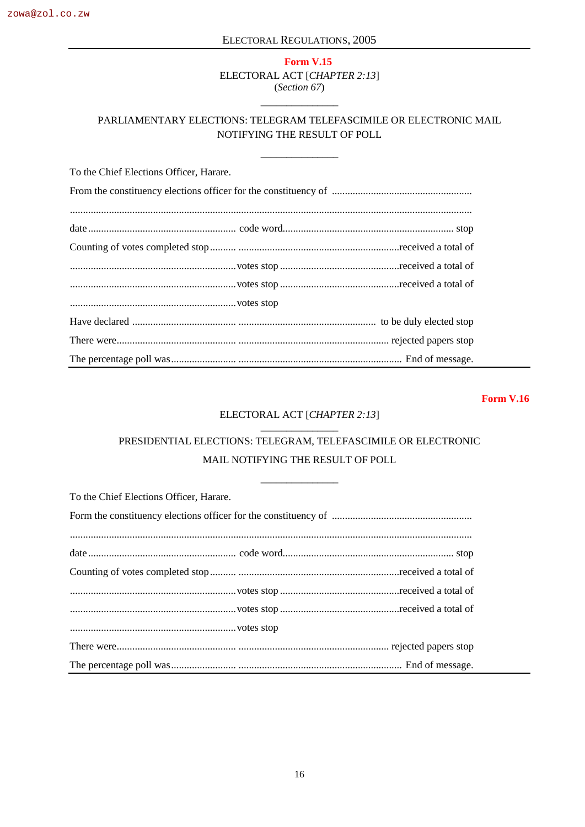### **Form V.15**

# ELECTORAL ACT [*CHAPTER 2:13*]

(*Section 67*)

 $\overline{\phantom{a}}$  , where  $\overline{\phantom{a}}$  , where  $\overline{\phantom{a}}$  ,  $\overline{\phantom{a}}$  ,  $\overline{\phantom{a}}$  ,  $\overline{\phantom{a}}$  ,  $\overline{\phantom{a}}$  ,  $\overline{\phantom{a}}$  ,  $\overline{\phantom{a}}$  ,  $\overline{\phantom{a}}$  ,  $\overline{\phantom{a}}$  ,  $\overline{\phantom{a}}$  ,  $\overline{\phantom{a}}$  ,  $\overline{\phantom{a}}$  ,  $\overline{\phantom{a}}$  ,

 $\overline{\phantom{a}}$  , where  $\overline{\phantom{a}}$  , where  $\overline{\phantom{a}}$  , where  $\overline{\phantom{a}}$ 

# PARLIAMENTARY ELECTIONS: TELEGRAM TELEFASCIMILE OR ELECTRONIC MAIL NOTIFYING THE RESULT OF POLL

| To the Chief Elections Officer, Harare. |  |  |  |  |
|-----------------------------------------|--|--|--|--|
|                                         |  |  |  |  |
|                                         |  |  |  |  |
|                                         |  |  |  |  |
|                                         |  |  |  |  |
|                                         |  |  |  |  |
|                                         |  |  |  |  |
|                                         |  |  |  |  |
|                                         |  |  |  |  |
|                                         |  |  |  |  |
|                                         |  |  |  |  |

# **Form V.16**

# ELECTORAL ACT [*CHAPTER 2:13*]

 $\overline{\phantom{a}}$  , where  $\overline{\phantom{a}}$  , where  $\overline{\phantom{a}}$  ,  $\overline{\phantom{a}}$  ,  $\overline{\phantom{a}}$  ,  $\overline{\phantom{a}}$  ,  $\overline{\phantom{a}}$  ,  $\overline{\phantom{a}}$  ,  $\overline{\phantom{a}}$  ,  $\overline{\phantom{a}}$  ,  $\overline{\phantom{a}}$  ,  $\overline{\phantom{a}}$  ,  $\overline{\phantom{a}}$  ,  $\overline{\phantom{a}}$  ,  $\overline{\phantom{a}}$  ,

 $\overline{\phantom{a}}$  , we can also the contract of  $\overline{\phantom{a}}$ 

# PRESIDENTIAL ELECTIONS: TELEGRAM, TELEFASCIMILE OR ELECTRONIC MAIL NOTIFYING THE RESULT OF POLL

| To the Chief Elections Officer, Harare. |  |  |  |
|-----------------------------------------|--|--|--|
|                                         |  |  |  |
|                                         |  |  |  |
|                                         |  |  |  |
|                                         |  |  |  |
|                                         |  |  |  |
|                                         |  |  |  |
|                                         |  |  |  |
|                                         |  |  |  |
|                                         |  |  |  |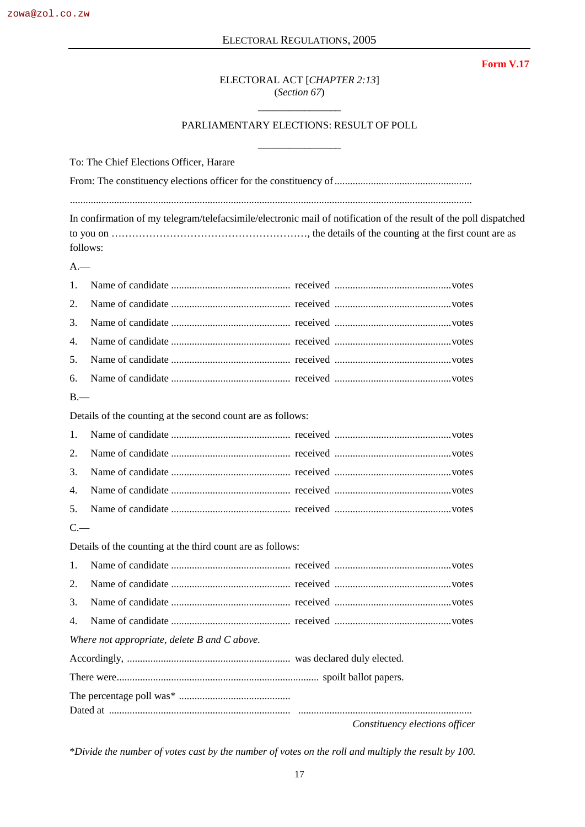### ELECTORAL ACT [*CHAPTER 2:13*] (*Section 67*)

# PARLIAMENTARY ELECTIONS: RESULT OF POLL

\_\_\_\_\_\_\_\_\_\_\_\_\_\_\_\_

|          | To: The Chief Elections Officer, Harare                                                                           |                                |  |  |  |
|----------|-------------------------------------------------------------------------------------------------------------------|--------------------------------|--|--|--|
|          |                                                                                                                   |                                |  |  |  |
| follows: | In confirmation of my telegram/telefacsimile/electronic mail of notification of the result of the poll dispatched |                                |  |  |  |
| $A -$    |                                                                                                                   |                                |  |  |  |
| 1.       |                                                                                                                   |                                |  |  |  |
| 2.       |                                                                                                                   |                                |  |  |  |
| 3.       |                                                                                                                   |                                |  |  |  |
| 4.       |                                                                                                                   |                                |  |  |  |
| 5.       |                                                                                                                   |                                |  |  |  |
| 6.       |                                                                                                                   |                                |  |  |  |
| $B -$    |                                                                                                                   |                                |  |  |  |
|          | Details of the counting at the second count are as follows:                                                       |                                |  |  |  |
| 1.       |                                                                                                                   |                                |  |  |  |
| 2.       |                                                                                                                   |                                |  |  |  |
| 3.       |                                                                                                                   |                                |  |  |  |
| 4.       |                                                                                                                   |                                |  |  |  |
| 5.       |                                                                                                                   |                                |  |  |  |
| $C -$    |                                                                                                                   |                                |  |  |  |
|          | Details of the counting at the third count are as follows:                                                        |                                |  |  |  |
| 1.       |                                                                                                                   |                                |  |  |  |
| 2.       |                                                                                                                   |                                |  |  |  |
| 3.       |                                                                                                                   |                                |  |  |  |
| 4.       |                                                                                                                   |                                |  |  |  |
|          | Where not appropriate, delete B and C above.                                                                      |                                |  |  |  |
|          |                                                                                                                   |                                |  |  |  |
|          |                                                                                                                   |                                |  |  |  |
|          |                                                                                                                   |                                |  |  |  |
|          |                                                                                                                   |                                |  |  |  |
|          |                                                                                                                   | Constituency elections officer |  |  |  |

\**Divide the number of votes cast by the number of votes on the roll and multiply the result by 100.*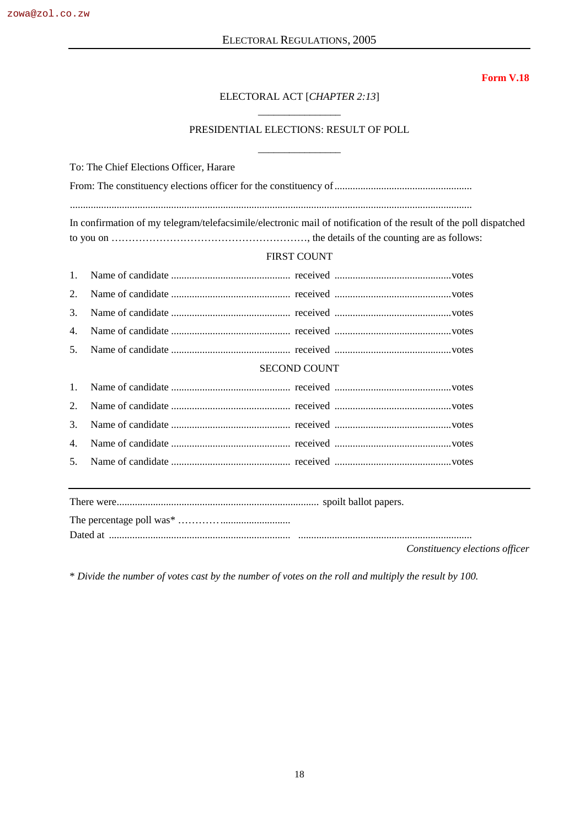### ELECTORAL ACT [*CHAPTER 2:13*]

\_\_\_\_\_\_\_\_\_\_\_\_\_\_\_\_

\_\_\_\_\_\_\_\_\_\_\_\_\_\_\_\_

# PRESIDENTIAL ELECTIONS: RESULT OF POLL

| To: The Chief Elections Officer, Harare                                                                           |  |
|-------------------------------------------------------------------------------------------------------------------|--|
|                                                                                                                   |  |
| In confirmation of my telegram/telefacsimile/electronic mail of notification of the result of the poll dispatched |  |
| <b>FIRST COUNT</b>                                                                                                |  |
|                                                                                                                   |  |
|                                                                                                                   |  |
|                                                                                                                   |  |

- 4. Name of candidate .............................................. received .............................................votes
- 5. Name of candidate .............................................. received .............................................votes

# SECOND COUNT

There were.............................................................................. spoilt ballot papers.

The percentage poll was\* …………........................... Dated at ...................................................................... ...................................................................

*Constituency elections officer*

\* *Divide the number of votes cast by the number of votes on the roll and multiply the result by 100.*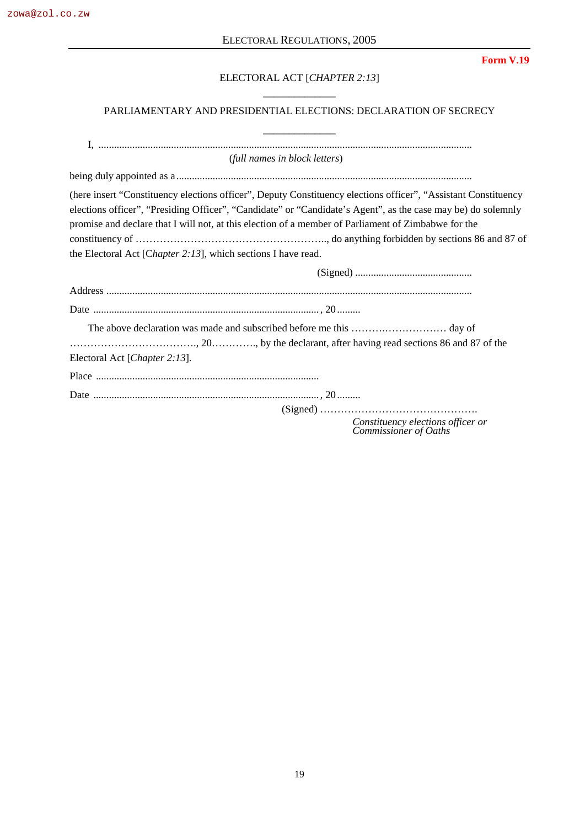# ELECTORAL ACT [*CHAPTER 2:13*]

 $\_$ 

 $\overline{\phantom{a}}$  , we can assume that  $\overline{\phantom{a}}$ 

# PARLIAMENTARY AND PRESIDENTIAL ELECTIONS: DECLARATION OF SECRECY

|                                                               | (full names in block letters)                                                                                                                                                                                                                                                                                                         |
|---------------------------------------------------------------|---------------------------------------------------------------------------------------------------------------------------------------------------------------------------------------------------------------------------------------------------------------------------------------------------------------------------------------|
|                                                               |                                                                                                                                                                                                                                                                                                                                       |
| the Electoral Act [Chapter 2:13], which sections I have read. | (here insert "Constituency elections officer", Deputy Constituency elections officer", "Assistant Constituency<br>elections officer", "Presiding Officer", "Candidate" or "Candidate's Agent", as the case may be) do solemnly<br>promise and declare that I will not, at this election of a member of Parliament of Zimbabwe for the |
|                                                               |                                                                                                                                                                                                                                                                                                                                       |
|                                                               |                                                                                                                                                                                                                                                                                                                                       |
|                                                               |                                                                                                                                                                                                                                                                                                                                       |
|                                                               |                                                                                                                                                                                                                                                                                                                                       |
| Electoral Act [Chapter 2:13].                                 |                                                                                                                                                                                                                                                                                                                                       |
|                                                               |                                                                                                                                                                                                                                                                                                                                       |
|                                                               |                                                                                                                                                                                                                                                                                                                                       |
|                                                               |                                                                                                                                                                                                                                                                                                                                       |
|                                                               | Constituency elections officer or<br>Commissioner of Oaths                                                                                                                                                                                                                                                                            |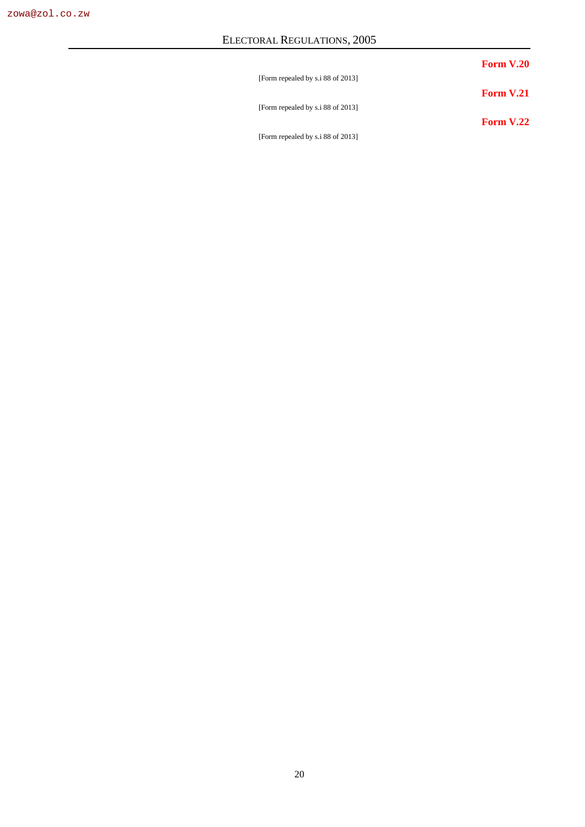|                                   | Form V.20 |
|-----------------------------------|-----------|
| [Form repealed by s.i 88 of 2013] |           |
|                                   | Form V.21 |
| [Form repealed by s.i 88 of 2013] |           |
|                                   | Form V.22 |
| [Form repealed by s.i 88 of 2013] |           |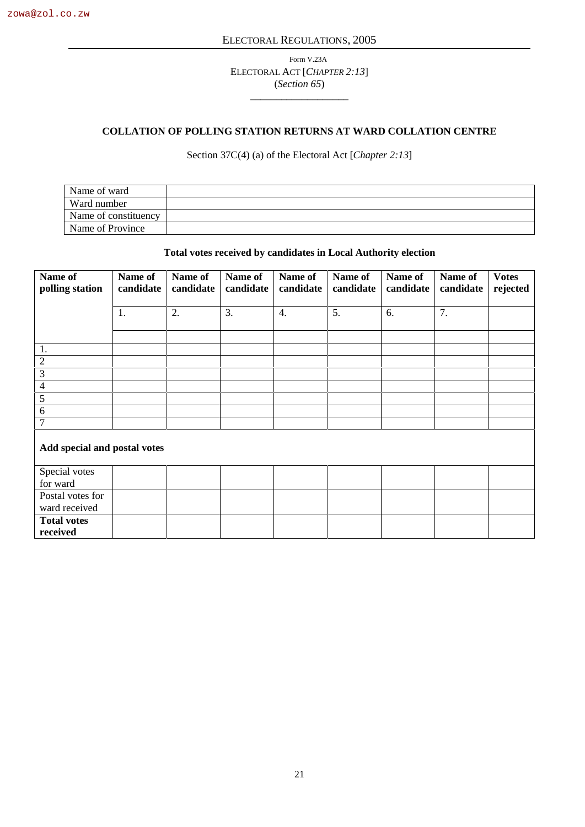Form V.23A ELECTORAL ACT [*CHAPTER 2:13*] (*Section 65*)

 $\frac{1}{2}$  ,  $\frac{1}{2}$  ,  $\frac{1}{2}$  ,  $\frac{1}{2}$  ,  $\frac{1}{2}$  ,  $\frac{1}{2}$  ,  $\frac{1}{2}$  ,  $\frac{1}{2}$  ,  $\frac{1}{2}$  ,  $\frac{1}{2}$  ,  $\frac{1}{2}$  ,  $\frac{1}{2}$  ,  $\frac{1}{2}$  ,  $\frac{1}{2}$  ,  $\frac{1}{2}$  ,  $\frac{1}{2}$  ,  $\frac{1}{2}$  ,  $\frac{1}{2}$  ,  $\frac{1$ 

# **COLLATION OF POLLING STATION RETURNS AT WARD COLLATION CENTRE**

Section 37C(4) (a) of the Electoral Act [*Chapter 2:13*]

| Name of ward         |  |
|----------------------|--|
| Ward number          |  |
| Name of constituency |  |
| Name of Province     |  |

# **Total votes received by candidates in Local Authority election**

| Name of<br>polling station                    | Name of<br>candidate | Name of<br>candidate | Name of<br>candidate | Name of<br>candidate | Name of<br>candidate | Name of<br>candidate | Name of<br>candidate | <b>Votes</b><br>rejected |
|-----------------------------------------------|----------------------|----------------------|----------------------|----------------------|----------------------|----------------------|----------------------|--------------------------|
|                                               | 1.                   | 2.                   | 3.                   | $\overline{4}$ .     | 5.                   | 6.                   | 7.                   |                          |
|                                               |                      |                      |                      |                      |                      |                      |                      |                          |
| 1.                                            |                      |                      |                      |                      |                      |                      |                      |                          |
| $\mathbf{2}$                                  |                      |                      |                      |                      |                      |                      |                      |                          |
| 3                                             |                      |                      |                      |                      |                      |                      |                      |                          |
| $\overline{\mathcal{L}}$                      |                      |                      |                      |                      |                      |                      |                      |                          |
| 5                                             |                      |                      |                      |                      |                      |                      |                      |                          |
| 6                                             |                      |                      |                      |                      |                      |                      |                      |                          |
| 7                                             |                      |                      |                      |                      |                      |                      |                      |                          |
| Add special and postal votes<br>Special votes |                      |                      |                      |                      |                      |                      |                      |                          |
| for ward                                      |                      |                      |                      |                      |                      |                      |                      |                          |
| Postal votes for<br>ward received             |                      |                      |                      |                      |                      |                      |                      |                          |
| <b>Total votes</b><br>received                |                      |                      |                      |                      |                      |                      |                      |                          |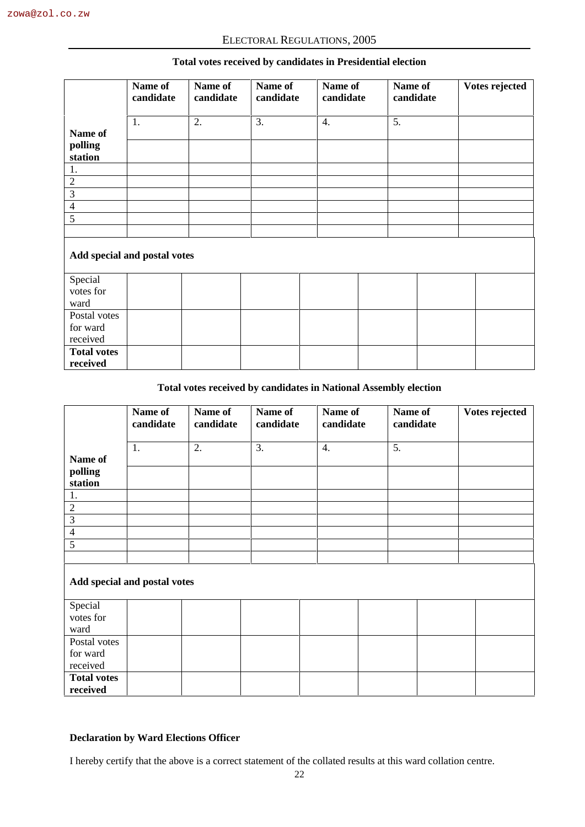# **Total votes received by candidates in Presidential election**

|                              | Name of<br>candidate | Name of<br>candidate | Name of<br>candidate | Name of<br>candidate | Name of<br>candidate | Votes rejected |
|------------------------------|----------------------|----------------------|----------------------|----------------------|----------------------|----------------|
|                              | 1.                   | 2.                   | 3.                   | $\overline{4}$ .     | 5.                   |                |
| Name of                      |                      |                      |                      |                      |                      |                |
| polling<br>station           |                      |                      |                      |                      |                      |                |
| 1.                           |                      |                      |                      |                      |                      |                |
| $\sqrt{2}$                   |                      |                      |                      |                      |                      |                |
| $\mathfrak 3$                |                      |                      |                      |                      |                      |                |
| $\overline{4}$               |                      |                      |                      |                      |                      |                |
| $\overline{5}$               |                      |                      |                      |                      |                      |                |
|                              |                      |                      |                      |                      |                      |                |
| Add special and postal votes |                      |                      |                      |                      |                      |                |
| Special                      |                      |                      |                      |                      |                      |                |
| votes for                    |                      |                      |                      |                      |                      |                |
| ward                         |                      |                      |                      |                      |                      |                |
| Postal votes                 |                      |                      |                      |                      |                      |                |
| for ward                     |                      |                      |                      |                      |                      |                |
| received                     |                      |                      |                      |                      |                      |                |
| <b>Total votes</b>           |                      |                      |                      |                      |                      |                |
| received                     |                      |                      |                      |                      |                      |                |

# **Total votes received by candidates in National Assembly election**

|                                      | Name of<br>candidate | Name of<br>candidate | Name of<br>candidate | Name of<br>candidate | Name of<br>candidate | Votes rejected |
|--------------------------------------|----------------------|----------------------|----------------------|----------------------|----------------------|----------------|
| Name of<br>polling                   | 1.                   | 2.                   | 3.                   | $\overline{4}$ .     | 5.                   |                |
| station                              |                      |                      |                      |                      |                      |                |
| 1.<br>$\sqrt{2}$                     |                      |                      |                      |                      |                      |                |
| $\mathfrak{Z}$                       |                      |                      |                      |                      |                      |                |
| $\overline{4}$                       |                      |                      |                      |                      |                      |                |
| 5                                    |                      |                      |                      |                      |                      |                |
|                                      |                      |                      |                      |                      |                      |                |
| Add special and postal votes         |                      |                      |                      |                      |                      |                |
| Special<br>votes for<br>ward         |                      |                      |                      |                      |                      |                |
| Postal votes<br>for ward<br>received |                      |                      |                      |                      |                      |                |
| <b>Total votes</b><br>received       |                      |                      |                      |                      |                      |                |

# **Declaration by Ward Elections Officer**

I hereby certify that the above is a correct statement of the collated results at this ward collation centre.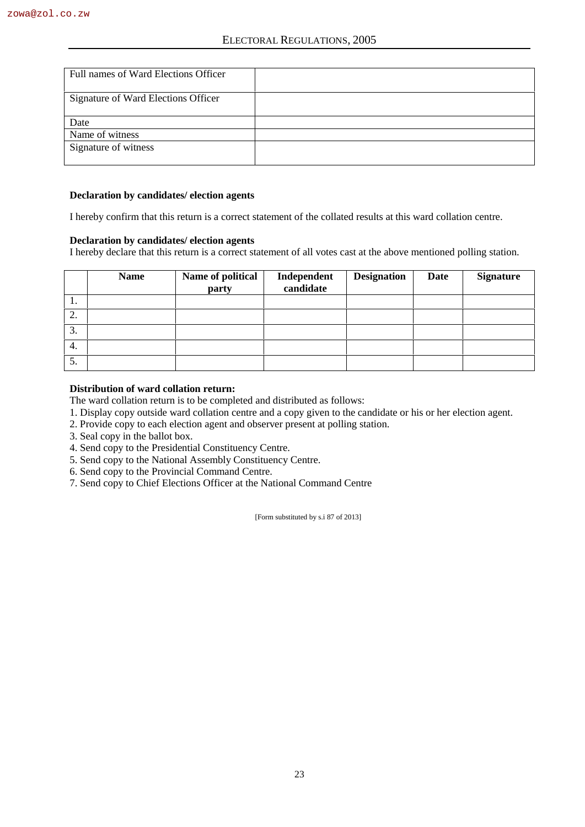| Full names of Ward Elections Officer |  |
|--------------------------------------|--|
| Signature of Ward Elections Officer  |  |
| Date                                 |  |
| Name of witness                      |  |
| Signature of witness                 |  |

### **Declaration by candidates/ election agents**

I hereby confirm that this return is a correct statement of the collated results at this ward collation centre.

### **Declaration by candidates/ election agents**

I hereby declare that this return is a correct statement of all votes cast at the above mentioned polling station.

|    | <b>Name</b> | Name of political<br>party | Independent<br>candidate | <b>Designation</b> | <b>Date</b> | <b>Signature</b> |
|----|-------------|----------------------------|--------------------------|--------------------|-------------|------------------|
| 1. |             |                            |                          |                    |             |                  |
| 2. |             |                            |                          |                    |             |                  |
| 3. |             |                            |                          |                    |             |                  |
| 4. |             |                            |                          |                    |             |                  |
| 5. |             |                            |                          |                    |             |                  |

# **Distribution of ward collation return:**

The ward collation return is to be completed and distributed as follows:

- 1. Display copy outside ward collation centre and a copy given to the candidate or his or her election agent.
- 2. Provide copy to each election agent and observer present at polling station.
- 3. Seal copy in the ballot box.
- 4. Send copy to the Presidential Constituency Centre.
- 5. Send copy to the National Assembly Constituency Centre.
- 6. Send copy to the Provincial Command Centre.
- 7. Send copy to Chief Elections Officer at the National Command Centre

[Form substituted by s.i 87 of 2013]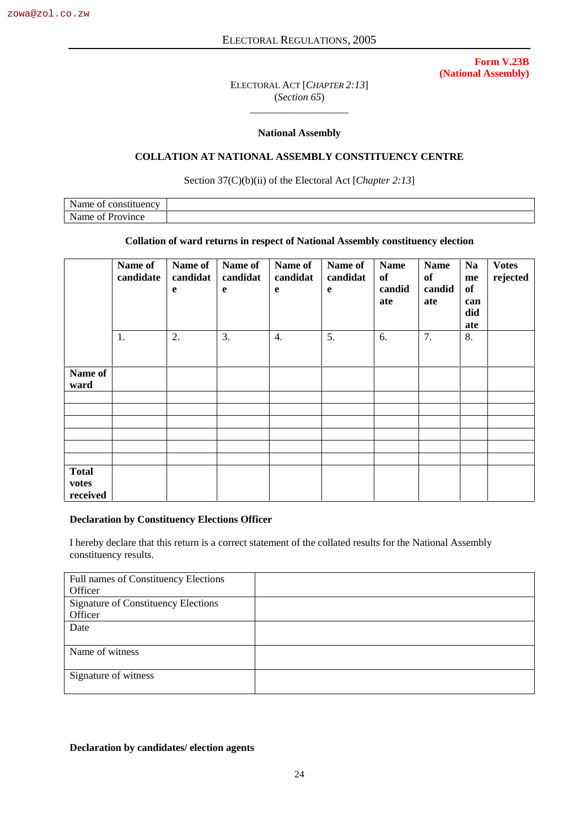**Form V.23B (National Assembly)**

ELECTORAL ACT [*CHAPTER 2:13*] (*Section 65*)  $\frac{1}{2}$  ,  $\frac{1}{2}$  ,  $\frac{1}{2}$  ,  $\frac{1}{2}$  ,  $\frac{1}{2}$  ,  $\frac{1}{2}$  ,  $\frac{1}{2}$  ,  $\frac{1}{2}$  ,  $\frac{1}{2}$  ,  $\frac{1}{2}$  ,  $\frac{1}{2}$  ,  $\frac{1}{2}$  ,  $\frac{1}{2}$  ,  $\frac{1}{2}$  ,  $\frac{1}{2}$  ,  $\frac{1}{2}$  ,  $\frac{1}{2}$  ,  $\frac{1}{2}$  ,  $\frac{1$ 

### **National Assembly**

# **COLLATION AT NATIONAL ASSEMBLY CONSTITUENCY CENTRE**

Section 37(C)(b)(ii) of the Electoral Act [*Chapter 2:13*]

| N<br>3022<br>. ms<br>uenc.<br>не<br>01<br>$\cdots$ |  |
|----------------------------------------------------|--|
| N<br>vince<br>me<br>01                             |  |

### **Collation of ward returns in respect of National Assembly constituency election**

|                                   | Name of<br>candidate | Name of<br>candidat<br>e | Name of<br>candidat<br>e | Name of<br>candidat<br>$\mathbf e$ | Name of<br>candidat<br>$\mathbf e$ | <b>Name</b><br>of<br>candid<br>ate | <b>Name</b><br>of<br>candid<br>ate | <b>Na</b><br>me<br>of<br>can<br>did<br>ate | <b>Votes</b><br>rejected |
|-----------------------------------|----------------------|--------------------------|--------------------------|------------------------------------|------------------------------------|------------------------------------|------------------------------------|--------------------------------------------|--------------------------|
|                                   | 1.                   | 2.                       | 3.                       | 4.                                 | 5.                                 | 6.                                 | 7.                                 | 8.                                         |                          |
| Name of<br>ward                   |                      |                          |                          |                                    |                                    |                                    |                                    |                                            |                          |
|                                   |                      |                          |                          |                                    |                                    |                                    |                                    |                                            |                          |
|                                   |                      |                          |                          |                                    |                                    |                                    |                                    |                                            |                          |
| <b>Total</b><br>votes<br>received |                      |                          |                          |                                    |                                    |                                    |                                    |                                            |                          |

### **Declaration by Constituency Elections Officer**

I hereby declare that this return is a correct statement of the collated results for the National Assembly constituency results.

| Full names of Constituency Elections       |  |
|--------------------------------------------|--|
| Officer                                    |  |
| <b>Signature of Constituency Elections</b> |  |
| Officer                                    |  |
| Date                                       |  |
|                                            |  |
| Name of witness                            |  |
|                                            |  |
| Signature of witness                       |  |
|                                            |  |

# **Declaration by candidates/ election agents**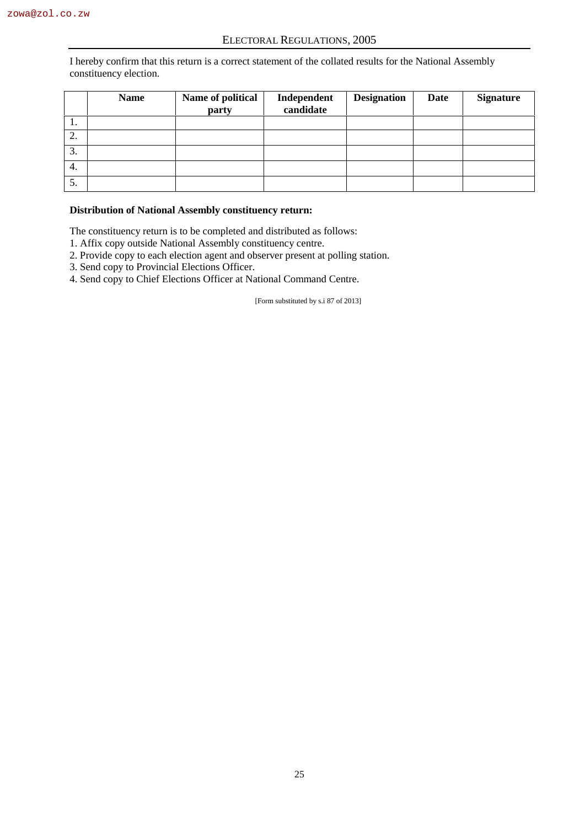I hereby confirm that this return is a correct statement of the collated results for the National Assembly constituency election.

|    | <b>Name</b> | Name of political<br>party | Independent<br>candidate | <b>Designation</b> | Date | <b>Signature</b> |
|----|-------------|----------------------------|--------------------------|--------------------|------|------------------|
| ., |             |                            |                          |                    |      |                  |
| 2. |             |                            |                          |                    |      |                  |
| 3. |             |                            |                          |                    |      |                  |
| 4. |             |                            |                          |                    |      |                  |
| 5. |             |                            |                          |                    |      |                  |

### **Distribution of National Assembly constituency return:**

The constituency return is to be completed and distributed as follows:

- 1. Affix copy outside National Assembly constituency centre.
- 2. Provide copy to each election agent and observer present at polling station.
- 3. Send copy to Provincial Elections Officer.
- 4. Send copy to Chief Elections Officer at National Command Centre.

[Form substituted by s.i 87 of 2013]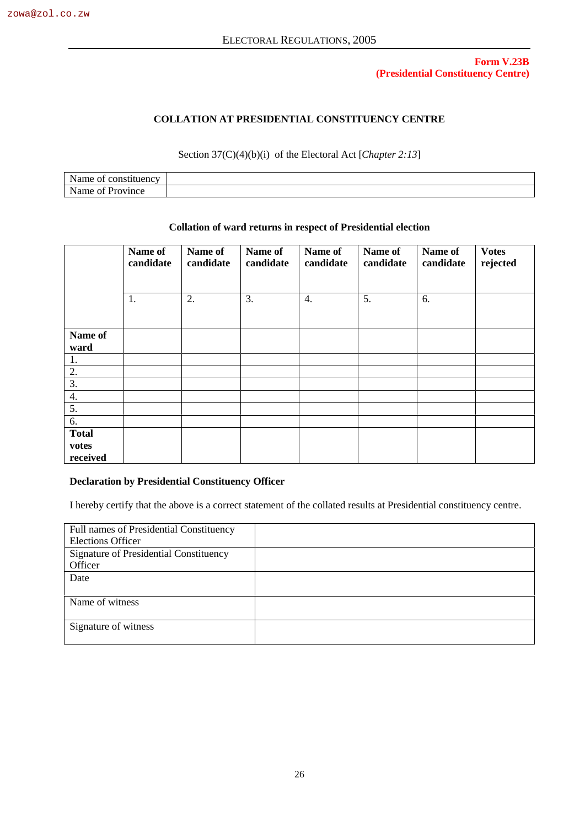# **COLLATION AT PRESIDENTIAL CONSTITUENCY CENTRE**

# Section 37(C)(4)(b)(i) of the Electoral Act [*Chapter 2:13*]

| $\mathbf{v}$<br>constituenc <sup>.</sup><br>$\Delta$ Namer<br>- 0 |  |
|-------------------------------------------------------------------|--|
| $\mathbf{v}$<br>$\Omega$<br>nnce?<br>ne.                          |  |

# **Collation of ward returns in respect of Presidential election**

|              | Name of<br>candidate | Name of<br>candidate | Name of<br>candidate | Name of<br>candidate | Name of<br>candidate | Name of<br>candidate | <b>Votes</b><br>rejected |
|--------------|----------------------|----------------------|----------------------|----------------------|----------------------|----------------------|--------------------------|
|              |                      |                      |                      |                      |                      |                      |                          |
|              | 1.                   | 2.                   | 3.                   | 4.                   | 5.                   | 6.                   |                          |
|              |                      |                      |                      |                      |                      |                      |                          |
|              |                      |                      |                      |                      |                      |                      |                          |
| Name of      |                      |                      |                      |                      |                      |                      |                          |
| ward         |                      |                      |                      |                      |                      |                      |                          |
| 1.           |                      |                      |                      |                      |                      |                      |                          |
| 2.           |                      |                      |                      |                      |                      |                      |                          |
| 3.           |                      |                      |                      |                      |                      |                      |                          |
| 4.           |                      |                      |                      |                      |                      |                      |                          |
| 5.           |                      |                      |                      |                      |                      |                      |                          |
| 6.           |                      |                      |                      |                      |                      |                      |                          |
| <b>Total</b> |                      |                      |                      |                      |                      |                      |                          |
| votes        |                      |                      |                      |                      |                      |                      |                          |
| received     |                      |                      |                      |                      |                      |                      |                          |

# **Declaration by Presidential Constituency Officer**

I hereby certify that the above is a correct statement of the collated results at Presidential constituency centre.

| Full names of Presidential Constituency |  |
|-----------------------------------------|--|
| <b>Elections Officer</b>                |  |
| Signature of Presidential Constituency  |  |
| Officer                                 |  |
| Date                                    |  |
|                                         |  |
| Name of witness                         |  |
|                                         |  |
| Signature of witness                    |  |
|                                         |  |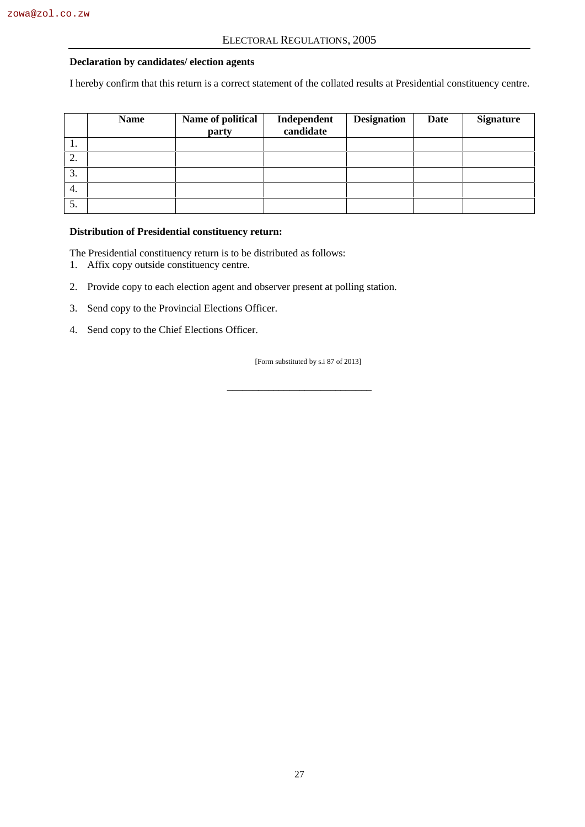### **Declaration by candidates/ election agents**

I hereby confirm that this return is a correct statement of the collated results at Presidential constituency centre.

|    | <b>Name</b> | Name of political<br>party | Independent<br>candidate | <b>Designation</b> | Date | <b>Signature</b> |
|----|-------------|----------------------------|--------------------------|--------------------|------|------------------|
| 1. |             |                            |                          |                    |      |                  |
| 2. |             |                            |                          |                    |      |                  |
| 3. |             |                            |                          |                    |      |                  |
| 4. |             |                            |                          |                    |      |                  |
| D. |             |                            |                          |                    |      |                  |

### **Distribution of Presidential constituency return:**

The Presidential constituency return is to be distributed as follows:

- 1. Affix copy outside constituency centre.
- 2. Provide copy to each election agent and observer present at polling station.
- 3. Send copy to the Provincial Elections Officer.
- 4. Send copy to the Chief Elections Officer.

[Form substituted by s.i 87 of 2013]

**\_\_\_\_\_\_\_\_\_\_\_\_\_\_\_\_\_\_\_\_\_\_\_\_\_\_\_\_**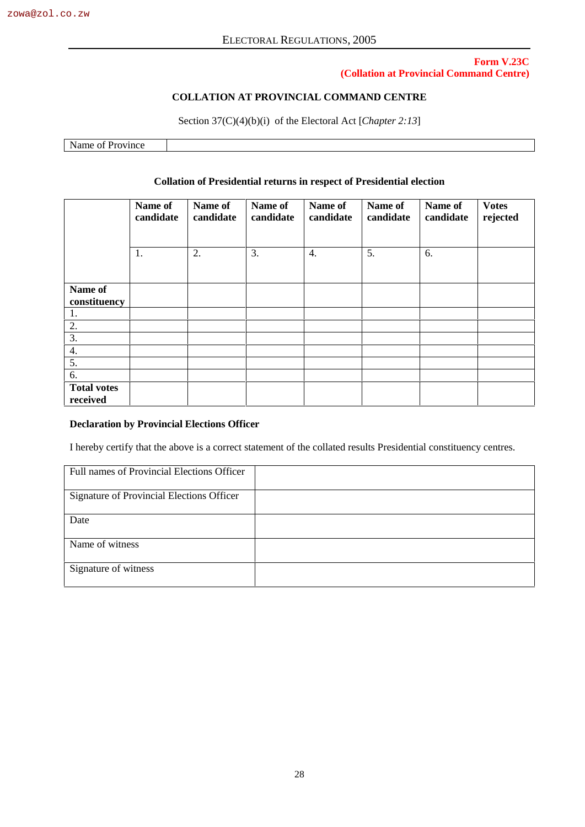### **Form V.23C (Collation at Provincial Command Centre)**

# **COLLATION AT PROVINCIAL COMMAND CENTRE**

Section 37(C)(4)(b)(i) of the Electoral Act [*Chapter 2:13*]

Name of Province

### **Collation of Presidential returns in respect of Presidential election**

|                          | Name of<br>candidate | Name of<br>candidate | Name of<br>candidate | Name of<br>candidate | Name of<br>candidate | Name of<br>candidate | <b>Votes</b><br>rejected |
|--------------------------|----------------------|----------------------|----------------------|----------------------|----------------------|----------------------|--------------------------|
|                          | 1.                   | 2.                   | 3.                   | $\overline{4}$ .     | 5.                   | 6.                   |                          |
| Name of<br>constituency  |                      |                      |                      |                      |                      |                      |                          |
| 1.<br>2.                 |                      |                      |                      |                      |                      |                      |                          |
| 3.<br>$\mathbf{4}$<br>5. |                      |                      |                      |                      |                      |                      |                          |
| 6.<br><b>Total votes</b> |                      |                      |                      |                      |                      |                      |                          |
| received                 |                      |                      |                      |                      |                      |                      |                          |

### **Declaration by Provincial Elections Officer**

I hereby certify that the above is a correct statement of the collated results Presidential constituency centres.

| Full names of Provincial Elections Officer |  |
|--------------------------------------------|--|
| Signature of Provincial Elections Officer  |  |
| Date                                       |  |
| Name of witness                            |  |
| Signature of witness                       |  |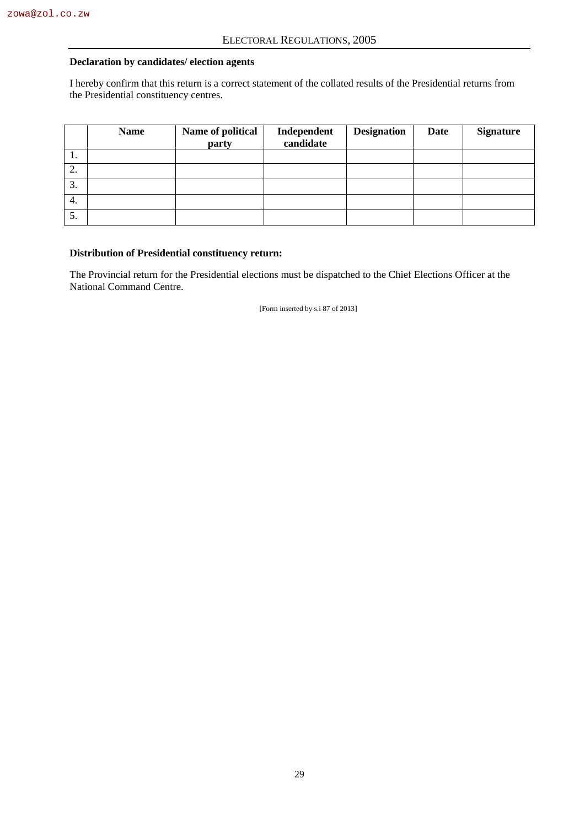### **Declaration by candidates/ election agents**

I hereby confirm that this return is a correct statement of the collated results of the Presidential returns from the Presidential constituency centres.

|    | <b>Name</b> | Name of political<br>party | Independent<br>candidate | <b>Designation</b> | Date | <b>Signature</b> |
|----|-------------|----------------------------|--------------------------|--------------------|------|------------------|
| ., |             |                            |                          |                    |      |                  |
| 2. |             |                            |                          |                    |      |                  |
| 3. |             |                            |                          |                    |      |                  |
| 4. |             |                            |                          |                    |      |                  |
| C. |             |                            |                          |                    |      |                  |

### **Distribution of Presidential constituency return:**

The Provincial return for the Presidential elections must be dispatched to the Chief Elections Officer at the National Command Centre.

[Form inserted by s.i 87 of 2013]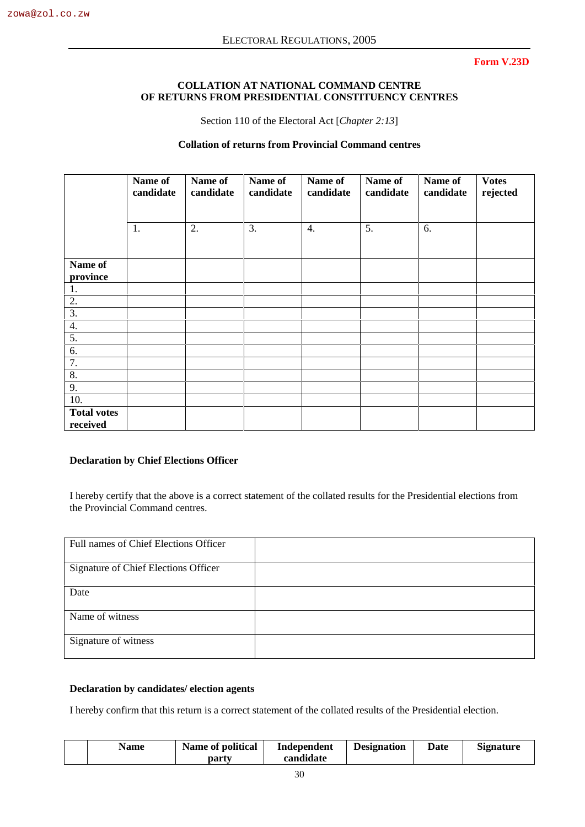**Form V.23D**

### **COLLATION AT NATIONAL COMMAND CENTRE OF RETURNS FROM PRESIDENTIAL CONSTITUENCY CENTRES**

Section 110 of the Electoral Act [*Chapter 2:13*]

# **Collation of returns from Provincial Command centres**

|                    | Name of<br>candidate | Name of<br>candidate | Name of<br>candidate | Name of<br>candidate | Name of<br>candidate | Name of<br>candidate | <b>Votes</b><br>rejected |
|--------------------|----------------------|----------------------|----------------------|----------------------|----------------------|----------------------|--------------------------|
|                    |                      |                      |                      |                      |                      |                      |                          |
|                    | 1.                   | 2.                   | 3.                   | $\overline{4}$ .     | 5.                   | 6.                   |                          |
|                    |                      |                      |                      |                      |                      |                      |                          |
| Name of            |                      |                      |                      |                      |                      |                      |                          |
| province           |                      |                      |                      |                      |                      |                      |                          |
| 1.                 |                      |                      |                      |                      |                      |                      |                          |
| 2.                 |                      |                      |                      |                      |                      |                      |                          |
| 3.                 |                      |                      |                      |                      |                      |                      |                          |
| $\overline{4}$ .   |                      |                      |                      |                      |                      |                      |                          |
| 5.                 |                      |                      |                      |                      |                      |                      |                          |
| 6.                 |                      |                      |                      |                      |                      |                      |                          |
| 7.                 |                      |                      |                      |                      |                      |                      |                          |
| 8.                 |                      |                      |                      |                      |                      |                      |                          |
| 9.                 |                      |                      |                      |                      |                      |                      |                          |
| 10.                |                      |                      |                      |                      |                      |                      |                          |
| <b>Total votes</b> |                      |                      |                      |                      |                      |                      |                          |
| received           |                      |                      |                      |                      |                      |                      |                          |

# **Declaration by Chief Elections Officer**

I hereby certify that the above is a correct statement of the collated results for the Presidential elections from the Provincial Command centres.

| Full names of Chief Elections Officer |  |
|---------------------------------------|--|
| Signature of Chief Elections Officer  |  |
| Date                                  |  |
| Name of witness                       |  |
| Signature of witness                  |  |

# **Declaration by candidates/ election agents**

I hereby confirm that this return is a correct statement of the collated results of the Presidential election.

| Name | Name of political | Independent | <b>Designation</b> | Date | Signature |
|------|-------------------|-------------|--------------------|------|-----------|
|      | part              | candidate   |                    |      |           |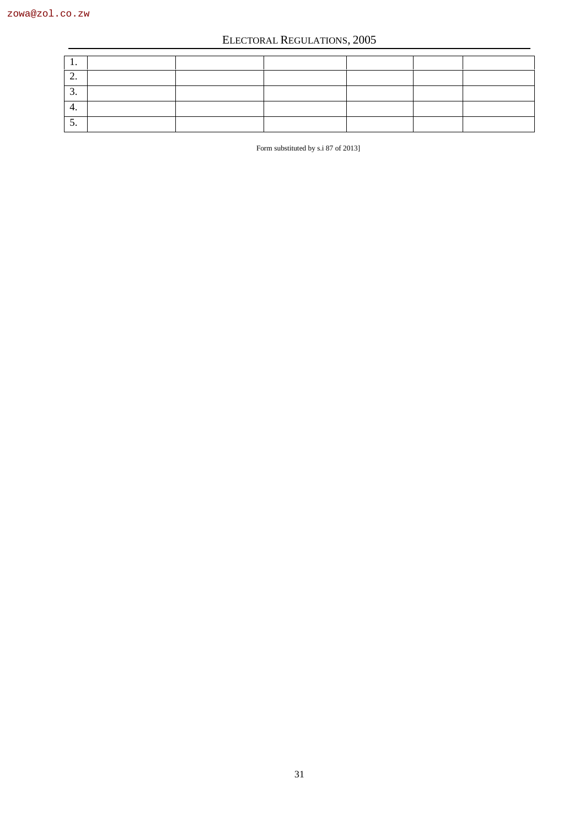| . .           |  |  |  |
|---------------|--|--|--|
| <u>.</u>      |  |  |  |
| ⌒<br><u>.</u> |  |  |  |
| т.            |  |  |  |
| ◡.            |  |  |  |

Form substituted by s.i 87 of 2013]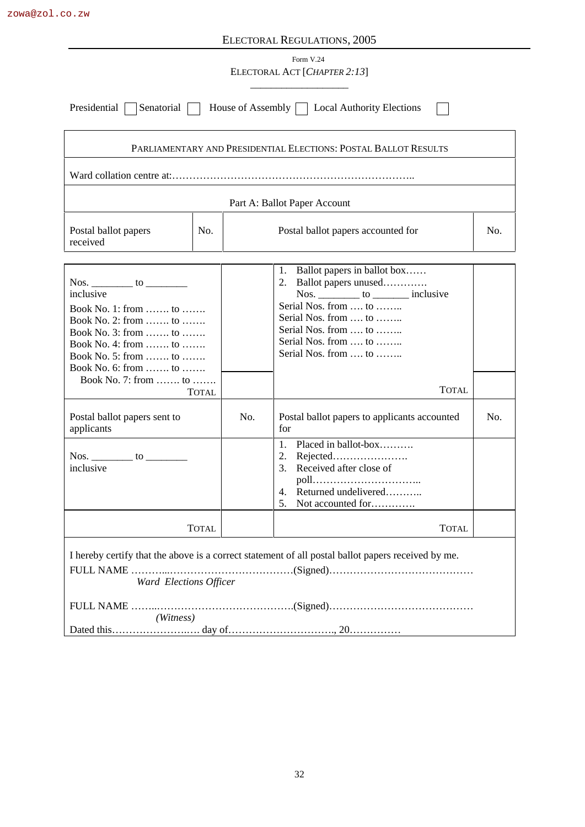|                                                                                                                                                                                                                                            |     | ELECTORAL REGULATIONS, 2005                                                                                                                                                                                                                    |     |
|--------------------------------------------------------------------------------------------------------------------------------------------------------------------------------------------------------------------------------------------|-----|------------------------------------------------------------------------------------------------------------------------------------------------------------------------------------------------------------------------------------------------|-----|
|                                                                                                                                                                                                                                            |     | Form V.24<br>ELECTORAL ACT [CHAPTER 2:13]                                                                                                                                                                                                      |     |
| Presidential<br>Senatorial                                                                                                                                                                                                                 |     | House of Assembly $\Box$ Local Authority Elections                                                                                                                                                                                             |     |
|                                                                                                                                                                                                                                            |     | PARLIAMENTARY AND PRESIDENTIAL ELECTIONS: POSTAL BALLOT RESULTS                                                                                                                                                                                |     |
|                                                                                                                                                                                                                                            |     |                                                                                                                                                                                                                                                |     |
|                                                                                                                                                                                                                                            |     | Part A: Ballot Paper Account                                                                                                                                                                                                                   |     |
| Postal ballot papers<br>No.<br>received                                                                                                                                                                                                    |     | Postal ballot papers accounted for                                                                                                                                                                                                             | No. |
| Nos. $\_\_\_\_\_$ to $\_\_\_\_\_\_\_$<br>inclusive<br>Book No. 1: from  to<br>Book No. 2: from  to<br>Book No. 3: from  to<br>Book No. 4: from  to<br>Book No. 5: from  to<br>Book No. 6: from  to<br>Book No. 7: from  to<br><b>TOTAL</b> |     | Ballot papers in ballot box<br>1.<br>2. Ballot papers unused<br>Nos. __________ to _________ inclusive<br>Serial Nos. from  to<br>Serial Nos. from  to<br>Serial Nos. from  to<br>Serial Nos. from  to<br>Serial Nos. from  to<br><b>TOTAL</b> |     |
| Postal ballot papers sent to<br>applicants                                                                                                                                                                                                 | No. | Postal ballot papers to applicants accounted<br>for                                                                                                                                                                                            | No. |
| Nos. $\_\_\_\_\_$ to $\_\_\_\_\_\_\_$<br>inclusive                                                                                                                                                                                         |     | Placed in ballot-box<br>1.<br>3.<br>Received after close of<br>Returned undelivered<br>4.<br>Not accounted for<br>5.                                                                                                                           |     |
| <b>TOTAL</b>                                                                                                                                                                                                                               |     | <b>TOTAL</b>                                                                                                                                                                                                                                   |     |
| Ward Elections Officer                                                                                                                                                                                                                     |     | I hereby certify that the above is a correct statement of all postal ballot papers received by me.                                                                                                                                             |     |
| (Witness)                                                                                                                                                                                                                                  |     |                                                                                                                                                                                                                                                |     |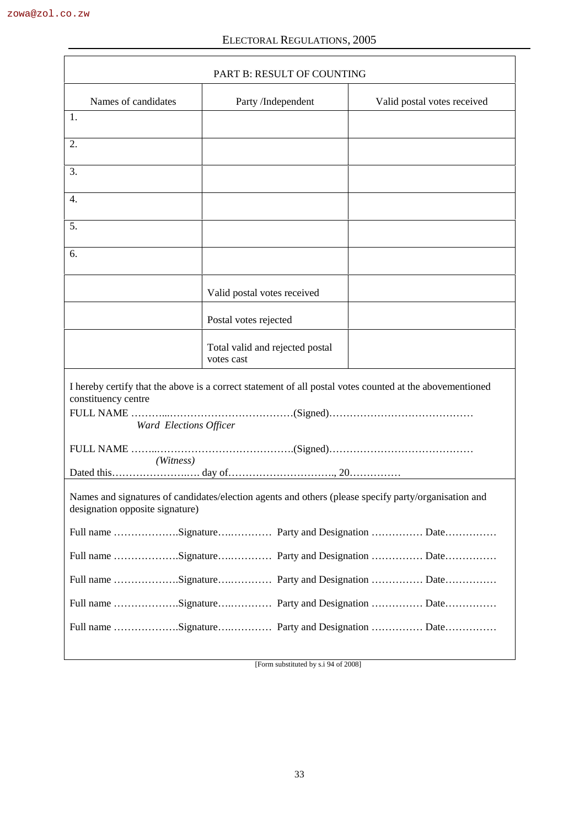| PART B: RESULT OF COUNTING                                                                                                                                |                                               |                                                 |  |  |  |  |
|-----------------------------------------------------------------------------------------------------------------------------------------------------------|-----------------------------------------------|-------------------------------------------------|--|--|--|--|
| Names of candidates                                                                                                                                       | Party /Independent                            | Valid postal votes received                     |  |  |  |  |
| 1.                                                                                                                                                        |                                               |                                                 |  |  |  |  |
| 2.                                                                                                                                                        |                                               |                                                 |  |  |  |  |
| 3.                                                                                                                                                        |                                               |                                                 |  |  |  |  |
| 4.                                                                                                                                                        |                                               |                                                 |  |  |  |  |
| 5.                                                                                                                                                        |                                               |                                                 |  |  |  |  |
| 6.                                                                                                                                                        |                                               |                                                 |  |  |  |  |
|                                                                                                                                                           | Valid postal votes received                   |                                                 |  |  |  |  |
|                                                                                                                                                           | Postal votes rejected                         |                                                 |  |  |  |  |
|                                                                                                                                                           | Total valid and rejected postal<br>votes cast |                                                 |  |  |  |  |
| I hereby certify that the above is a correct statement of all postal votes counted at the abovementioned<br>constituency centre<br>Ward Elections Officer |                                               |                                                 |  |  |  |  |
| (Witness)                                                                                                                                                 |                                               |                                                 |  |  |  |  |
| Names and signatures of candidates/election agents and others (please specify party/organisation and<br>designation opposite signature)                   |                                               |                                                 |  |  |  |  |
| Full name Signature Party and Designation  Date                                                                                                           |                                               |                                                 |  |  |  |  |
| Full name Signature Party and Designation  Date                                                                                                           |                                               |                                                 |  |  |  |  |
| Full name Signature Party and Designation  Date                                                                                                           |                                               |                                                 |  |  |  |  |
| Full name Signature Party and Designation  Date                                                                                                           |                                               |                                                 |  |  |  |  |
|                                                                                                                                                           |                                               | Full name Signature Party and Designation  Date |  |  |  |  |
|                                                                                                                                                           |                                               |                                                 |  |  |  |  |

[Form substituted by s.i 94 of 2008]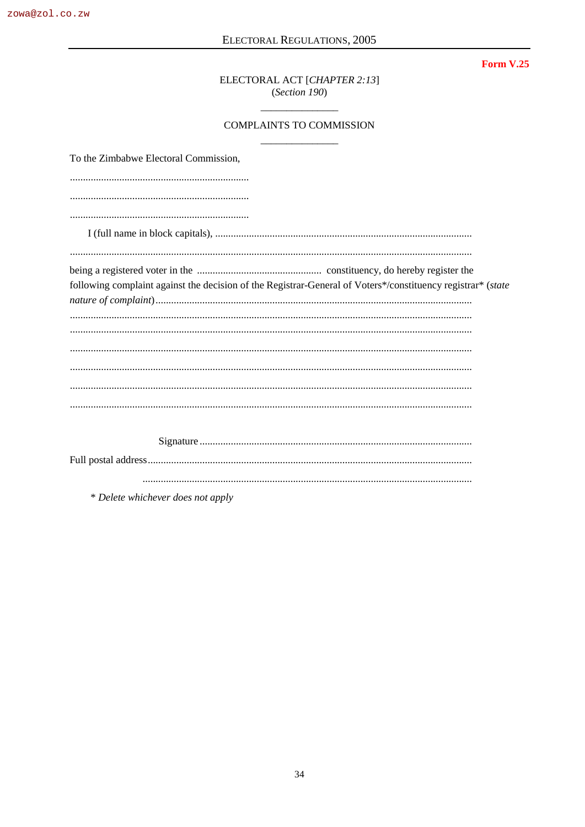### **Form V.25**

# ELECTORAL ACT [CHAPTER 2:13]<br>(Section 190)

# **COMPLAINTS TO COMMISSION**

| To the Zimbabwe Electoral Commission,                                                                       |
|-------------------------------------------------------------------------------------------------------------|
|                                                                                                             |
|                                                                                                             |
|                                                                                                             |
|                                                                                                             |
|                                                                                                             |
| following complaint against the decision of the Registrar-General of Voters*/constituency registrar* (state |
|                                                                                                             |
|                                                                                                             |
|                                                                                                             |
|                                                                                                             |
|                                                                                                             |
|                                                                                                             |
|                                                                                                             |
|                                                                                                             |
|                                                                                                             |
|                                                                                                             |
|                                                                                                             |
|                                                                                                             |
| $\mathbf{1} \cdot \mathbf{1}$ $\mathbf{1}$ $\mathbf{1}$ $\mathbf{1}$                                        |

\* Delete whichever does not apply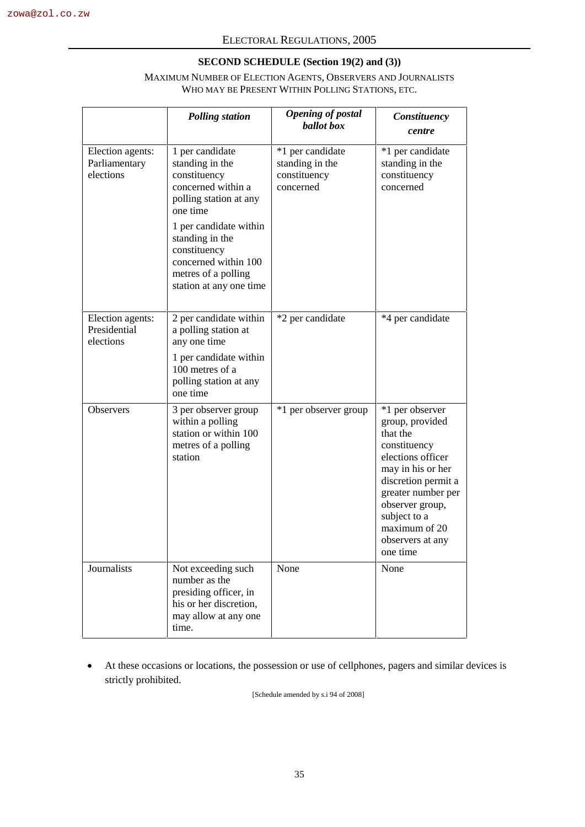# **SECOND SCHEDULE (Section 19(2) and (3))**

MAXIMUM NUMBER OF ELECTION AGENTS, OBSERVERS AND JOURNALISTS WHO MAY BE PRESENT WITHIN POLLING STATIONS, ETC.

|                                                | <b>Polling station</b>                                                                                                              | <b>Opening of postal</b><br>ballot box                           | Constituency<br>centre                                                                                                                                                                                                                    |
|------------------------------------------------|-------------------------------------------------------------------------------------------------------------------------------------|------------------------------------------------------------------|-------------------------------------------------------------------------------------------------------------------------------------------------------------------------------------------------------------------------------------------|
| Election agents:<br>Parliamentary<br>elections | 1 per candidate<br>standing in the<br>constituency<br>concerned within a<br>polling station at any<br>one time                      | *1 per candidate<br>standing in the<br>constituency<br>concerned | *1 per candidate<br>standing in the<br>constituency<br>concerned                                                                                                                                                                          |
|                                                | 1 per candidate within<br>standing in the<br>constituency<br>concerned within 100<br>metres of a polling<br>station at any one time |                                                                  |                                                                                                                                                                                                                                           |
| Election agents:<br>Presidential<br>elections  | 2 per candidate within<br>a polling station at<br>any one time                                                                      | *2 per candidate                                                 | *4 per candidate                                                                                                                                                                                                                          |
|                                                | 1 per candidate within<br>100 metres of a<br>polling station at any<br>one time                                                     |                                                                  |                                                                                                                                                                                                                                           |
| <b>Observers</b>                               | 3 per observer group<br>within a polling<br>station or within 100<br>metres of a polling<br>station                                 | *1 per observer group                                            | *1 per observer<br>group, provided<br>that the<br>constituency<br>elections officer<br>may in his or her<br>discretion permit a<br>greater number per<br>observer group,<br>subject to a<br>maximum of 20<br>observers at any<br>one time |
| Journalists                                    | Not exceeding such<br>number as the<br>presiding officer, in<br>his or her discretion,<br>may allow at any one<br>time.             | None                                                             | None                                                                                                                                                                                                                                      |

 At these occasions or locations, the possession or use of cellphones, pagers and similar devices is strictly prohibited.

[Schedule amended by s.i 94 of 2008]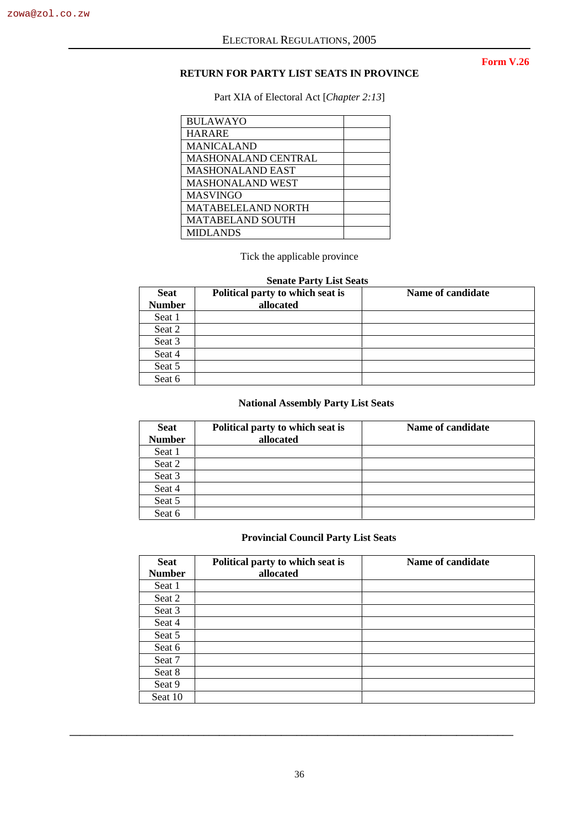# **RETURN FOR PARTY LIST SEATS IN PROVINCE**

Part XIA of Electoral Act [*Chapter 2:13*]

| <b>BULAWAYO</b>            |  |
|----------------------------|--|
| <b>HARARE</b>              |  |
| <b>MANICALAND</b>          |  |
| <b>MASHONALAND CENTRAL</b> |  |
| <b>MASHONALAND EAST</b>    |  |
| <b>MASHONALAND WEST</b>    |  |
| <b>MASVINGO</b>            |  |
| <b>MATABELELAND NORTH</b>  |  |
| <b>MATABELAND SOUTH</b>    |  |
| <b>MIDLANDS</b>            |  |

Tick the applicable province

### **Senate Party List Seats**

| <b>Seat</b>   | Political party to which seat is | Name of candidate |
|---------------|----------------------------------|-------------------|
| <b>Number</b> | allocated                        |                   |
| Seat 1        |                                  |                   |
| Seat 2        |                                  |                   |
| Seat 3        |                                  |                   |
| Seat 4        |                                  |                   |
| Seat 5        |                                  |                   |
| Seat 6        |                                  |                   |

# **National Assembly Party List Seats**

| <b>Seat</b><br><b>Number</b> | Political party to which seat is<br>allocated | Name of candidate |
|------------------------------|-----------------------------------------------|-------------------|
| Seat 1                       |                                               |                   |
| Seat 2                       |                                               |                   |
| Seat 3                       |                                               |                   |
| Seat 4                       |                                               |                   |
| Seat 5                       |                                               |                   |
| Seat 6                       |                                               |                   |

# **Provincial Council Party List Seats**

| <b>Seat</b><br><b>Number</b> | Political party to which seat is<br>allocated | Name of candidate |
|------------------------------|-----------------------------------------------|-------------------|
| Seat 1                       |                                               |                   |
| Seat 2                       |                                               |                   |
| Seat 3                       |                                               |                   |
| Seat 4                       |                                               |                   |
| Seat 5                       |                                               |                   |
| Seat 6                       |                                               |                   |
| Seat 7                       |                                               |                   |
| Seat 8                       |                                               |                   |
| Seat 9                       |                                               |                   |
| Seat 10                      |                                               |                   |

**\_\_\_\_\_\_\_\_\_\_\_\_\_\_\_\_\_\_\_\_\_\_\_\_\_\_\_\_\_\_\_\_\_\_\_\_\_\_\_\_\_\_\_\_\_\_\_\_\_\_\_\_\_\_\_\_\_\_\_\_\_\_\_\_\_\_\_\_\_\_\_\_\_\_\_\_\_\_\_\_\_\_\_\_\_\_**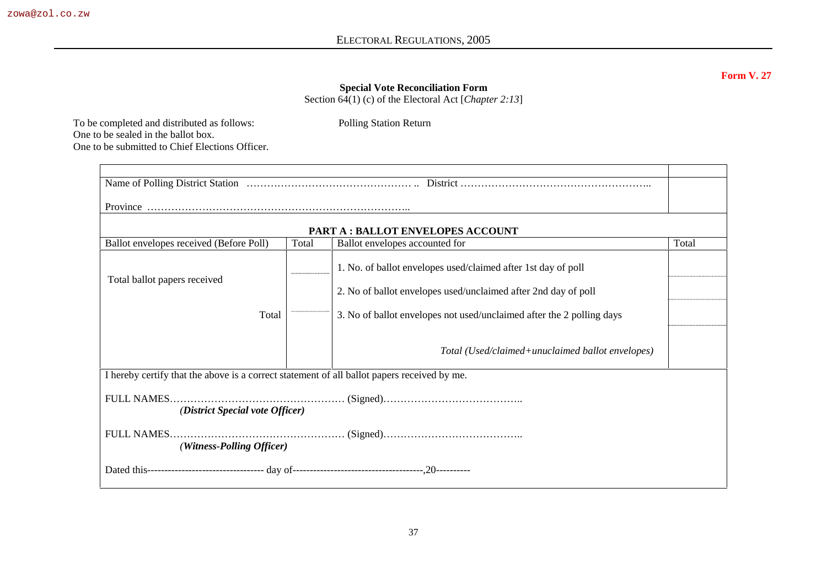**Form V. 27**

# **Special Vote Reconciliation Form** Section 64(1) (c) of the Electoral Act [*Chapter 2:13*]

To be completed and distributed as follows: Polling Station Return One to be sealed in the ballot box. One to be submitted to Chief Elections Officer.

 $\overline{a}$ 

|                                                                                             |       | <b>PART A : BALLOT ENVELOPES ACCOUNT</b>                              |       |
|---------------------------------------------------------------------------------------------|-------|-----------------------------------------------------------------------|-------|
| Ballot envelopes received (Before Poll)                                                     | Total | Ballot envelopes accounted for                                        | Total |
|                                                                                             |       | 1. No. of ballot envelopes used/claimed after 1st day of poll         |       |
| Total ballot papers received                                                                |       | 2. No of ballot envelopes used/unclaimed after 2nd day of poll        |       |
| Total                                                                                       |       | 3. No of ballot envelopes not used/unclaimed after the 2 polling days |       |
|                                                                                             |       | Total (Used/claimed+unuclaimed ballot envelopes)                      |       |
| I hereby certify that the above is a correct statement of all ballot papers received by me. |       |                                                                       |       |
| (District Special vote Officer)                                                             |       |                                                                       |       |
|                                                                                             |       |                                                                       |       |
| (Witness-Polling Officer)                                                                   |       |                                                                       |       |
|                                                                                             |       |                                                                       |       |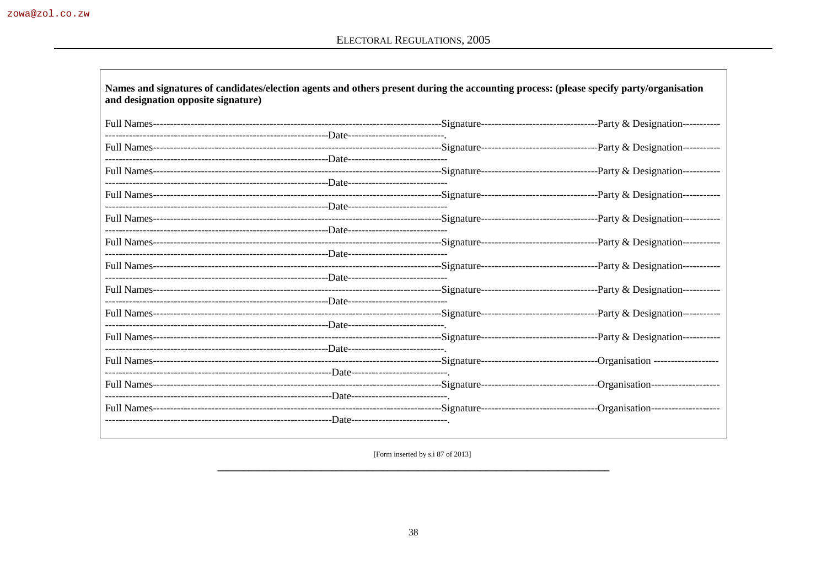$\sqrt{2}$ 

[Form inserted by s.i 87 of 2013]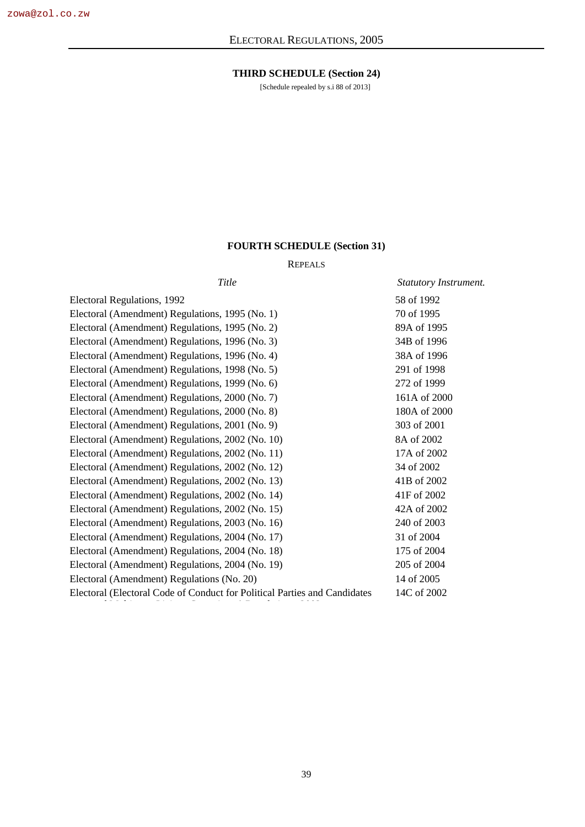## **THIRD SCHEDULE (Section 24)**

[Schedule repealed by s.i 88 of 2013]

# **FOURTH SCHEDULE (Section 31)**

## REPEALS

*Title Statutory Instrument.*

| Electoral Regulations, 1992                                               | 58 of 1992   |
|---------------------------------------------------------------------------|--------------|
| Electoral (Amendment) Regulations, 1995 (No. 1)                           | 70 of 1995   |
| Electoral (Amendment) Regulations, 1995 (No. 2)                           | 89A of 1995  |
| Electoral (Amendment) Regulations, 1996 (No. 3)                           | 34B of 1996  |
| Electoral (Amendment) Regulations, 1996 (No. 4)                           | 38A of 1996  |
| Electoral (Amendment) Regulations, 1998 (No. 5)                           | 291 of 1998  |
| Electoral (Amendment) Regulations, 1999 (No. 6)                           | 272 of 1999  |
| Electoral (Amendment) Regulations, 2000 (No. 7)                           | 161A of 2000 |
| Electoral (Amendment) Regulations, 2000 (No. 8)                           | 180A of 2000 |
| Electoral (Amendment) Regulations, 2001 (No. 9)                           | 303 of 2001  |
| Electoral (Amendment) Regulations, 2002 (No. 10)                          | 8A of 2002   |
| Electoral (Amendment) Regulations, 2002 (No. 11)                          | 17A of 2002  |
| Electoral (Amendment) Regulations, 2002 (No. 12)                          | 34 of 2002   |
| Electoral (Amendment) Regulations, 2002 (No. 13)                          | 41B of 2002  |
| Electoral (Amendment) Regulations, 2002 (No. 14)                          | 41F of 2002  |
| Electoral (Amendment) Regulations, 2002 (No. 15)                          | 42A of 2002  |
| Electoral (Amendment) Regulations, 2003 (No. 16)                          | 240 of 2003  |
| Electoral (Amendment) Regulations, 2004 (No. 17)                          | 31 of 2004   |
| Electoral (Amendment) Regulations, 2004 (No. 18)                          | 175 of 2004  |
| Electoral (Amendment) Regulations, 2004 (No. 19)                          | 205 of 2004  |
| Electoral (Amendment) Regulations (No. 20)                                | 14 of 2005   |
| Electoral (Electoral Code of Conduct for Political Parties and Candidates | 14C of 2002  |

Electoral (Electoral Code of Conduct for Political Parties and Candidates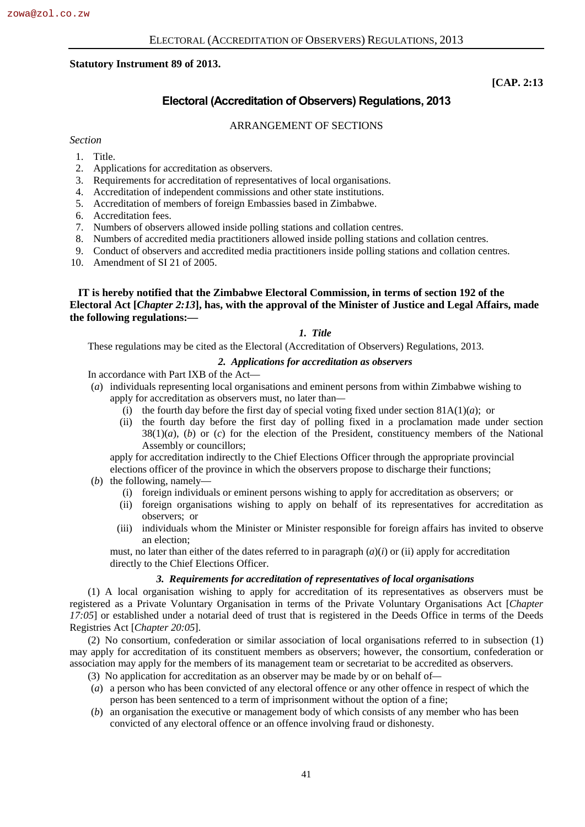#### **Statutory Instrument 89 of 2013.**

**[CAP. 2:13**

# **Electoral (Accreditation of Observers) Regulations, 2013**

### ARRANGEMENT OF SECTIONS

*Section*

- 1. Title. 2. Applications for accreditation as observers.
- 3. Requirements for accreditation of representatives of local organisations.
- 4. Accreditation of independent commissions and other state institutions.
- 5. Accreditation of members of foreign Embassies based in Zimbabwe.
- 6. Accreditation fees.
- 7. Numbers of observers allowed inside polling stations and collation centres.
- 8. Numbers of accredited media practitioners allowed inside polling stations and collation centres.
- 9. Conduct of observers and accredited media practitioners inside polling stations and collation centres.
- 10. Amendment of SI 21 of 2005.

**IT is hereby notified that the Zimbabwe Electoral Commission, in terms of section 192 of the Electoral Act [***Chapter 2:13***], has, with the approval of the Minister of Justice and Legal Affairs, made the following regulations:—**

## *1. Title*

These regulations may be cited as the Electoral (Accreditation of Observers) Regulations, 2013.

#### *2. Applications for accreditation as observers*

In accordance with Part IXB of the Act—

- (*a*) individuals representing local organisations and eminent persons from within Zimbabwe wishing to apply for accreditation as observers must, no later than*—*
	- (i) the fourth day before the first day of special voting fixed under section  $81A(1)(a)$ ; or
	- (ii) the fourth day before the first day of polling fixed in a proclamation made under section 38(1)(*a*), (*b*) or (*c*) for the election of the President, constituency members of the National Assembly or councillors;

apply for accreditation indirectly to the Chief Elections Officer through the appropriate provincial elections officer of the province in which the observers propose to discharge their functions;

- (*b*) the following, namely—
	- (i) foreign individuals or eminent persons wishing to apply for accreditation as observers; or
	- (ii) foreign organisations wishing to apply on behalf of its representatives for accreditation as observers; or
	- (iii) individuals whom the Minister or Minister responsible for foreign affairs has invited to observe an election;

must, no later than either of the dates referred to in paragraph  $(a)(i)$  or (ii) apply for accreditation directly to the Chief Elections Officer.

#### *3. Requirements for accreditation of representatives of local organisations*

(1) A local organisation wishing to apply for accreditation of its representatives as observers must be registered as a Private Voluntary Organisation in terms of the Private Voluntary Organisations Act [*Chapter 17:05*] or established under a notarial deed of trust that is registered in the Deeds Office in terms of the Deeds Registries Act [*Chapter 20:05*].

(2) No consortium, confederation or similar association of local organisations referred to in subsection (1) may apply for accreditation of its constituent members as observers; however, the consortium, confederation or association may apply for the members of its management team or secretariat to be accredited as observers.

- (3) No application for accreditation as an observer may be made by or on behalf of*—*
- (*a*) a person who has been convicted of any electoral offence or any other offence in respect of which the person has been sentenced to a term of imprisonment without the option of a fine;
- (*b*) an organisation the executive or management body of which consists of any member who has been convicted of any electoral offence or an offence involving fraud or dishonesty.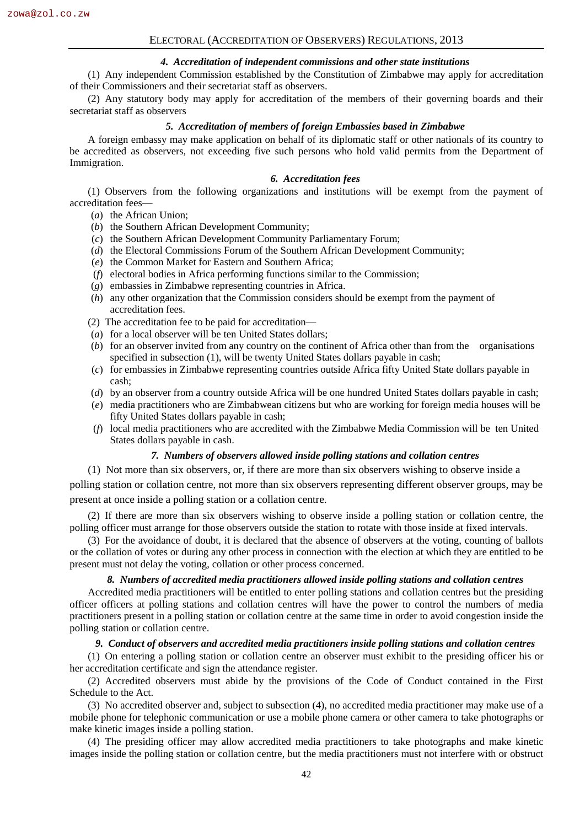#### ELECTORAL (ACCREDITATION OF OBSERVERS) REGULATIONS, 2013

#### *4. Accreditation of independent commissions and other state institutions*

(1) Any independent Commission established by the Constitution of Zimbabwe may apply for accreditation of their Commissioners and their secretariat staff as observers.

(2) Any statutory body may apply for accreditation of the members of their governing boards and their secretariat staff as observers

#### *5. Accreditation of members of foreign Embassies based in Zimbabwe*

A foreign embassy may make application on behalf of its diplomatic staff or other nationals of its country to be accredited as observers, not exceeding five such persons who hold valid permits from the Department of Immigration.

## *6. Accreditation fees*

(1) Observers from the following organizations and institutions will be exempt from the payment of accreditation fees—

- (*a*) the African Union;
- (*b*) the Southern African Development Community;
- (*c*) the Southern African Development Community Parliamentary Forum;
- (*d*) the Electoral Commissions Forum of the Southern African Development Community;
- (*e*) the Common Market for Eastern and Southern Africa;
- (*f*) electoral bodies in Africa performing functions similar to the Commission;
- (*g*) embassies in Zimbabwe representing countries in Africa.
- (*h*) any other organization that the Commission considers should be exempt from the payment of accreditation fees.
- (2) The accreditation fee to be paid for accreditation—
- (*a*) for a local observer will be ten United States dollars;
- (*b*) for an observer invited from any country on the continent of Africa other than from the organisations specified in subsection (1), will be twenty United States dollars payable in cash;
- (*c*) for embassies in Zimbabwe representing countries outside Africa fifty United State dollars payable in cash;
- (*d*) by an observer from a country outside Africa will be one hundred United States dollars payable in cash;
- (*e*) media practitioners who are Zimbabwean citizens but who are working for foreign media houses will be fifty United States dollars payable in cash;
- (*f*) local media practitioners who are accredited with the Zimbabwe Media Commission will be ten United States dollars payable in cash.

#### *7. Numbers of observers allowed inside polling stations and collation centres*

(1) Not more than six observers, or, if there are more than six observers wishing to observe inside a polling station or collation centre, not more than six observers representing different observer groups, may be

present at once inside a polling station or a collation centre.

(2) If there are more than six observers wishing to observe inside a polling station or collation centre, the polling officer must arrange for those observers outside the station to rotate with those inside at fixed intervals.

(3) For the avoidance of doubt, it is declared that the absence of observers at the voting, counting of ballots or the collation of votes or during any other process in connection with the election at which they are entitled to be present must not delay the voting, collation or other process concerned.

#### *8. Numbers of accredited media practitioners allowed inside polling stations and collation centres*

Accredited media practitioners will be entitled to enter polling stations and collation centres but the presiding officer officers at polling stations and collation centres will have the power to control the numbers of media practitioners present in a polling station or collation centre at the same time in order to avoid congestion inside the polling station or collation centre.

#### *9. Conduct of observers and accredited media practitioners inside polling stations and collation centres*

(1) On entering a polling station or collation centre an observer must exhibit to the presiding officer his or her accreditation certificate and sign the attendance register.

(2) Accredited observers must abide by the provisions of the Code of Conduct contained in the First Schedule to the Act.

(3) No accredited observer and, subject to subsection (4), no accredited media practitioner may make use of a mobile phone for telephonic communication or use a mobile phone camera or other camera to take photographs or make kinetic images inside a polling station.

(4) The presiding officer may allow accredited media practitioners to take photographs and make kinetic images inside the polling station or collation centre, but the media practitioners must not interfere with or obstruct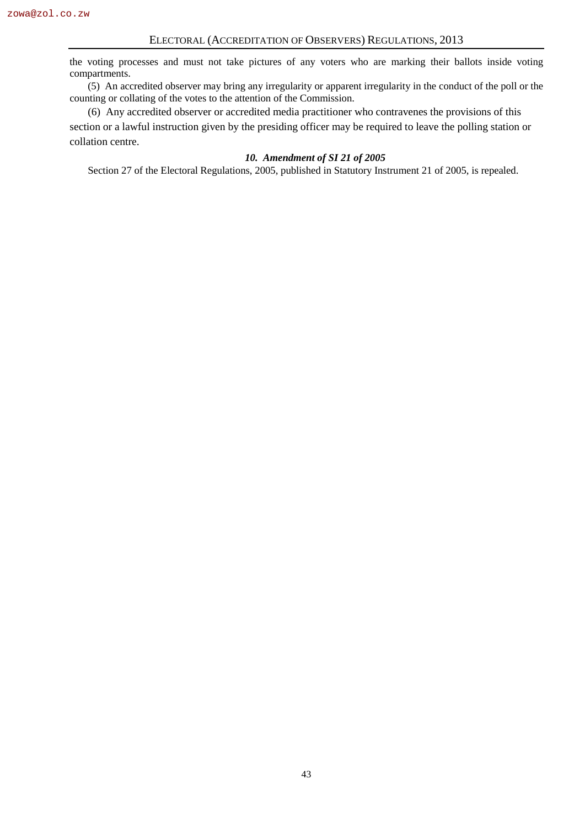#### ELECTORAL (ACCREDITATION OF OBSERVERS) REGULATIONS, 2013

the voting processes and must not take pictures of any voters who are marking their ballots inside voting compartments.

(5) An accredited observer may bring any irregularity or apparent irregularity in the conduct of the poll or the counting or collating of the votes to the attention of the Commission.

(6) Any accredited observer or accredited media practitioner who contravenes the provisions of this section or a lawful instruction given by the presiding officer may be required to leave the polling station or collation centre.

## *10. Amendment of SI 21 of 2005*

Section 27 of the Electoral Regulations, 2005, published in Statutory Instrument 21 of 2005, is repealed.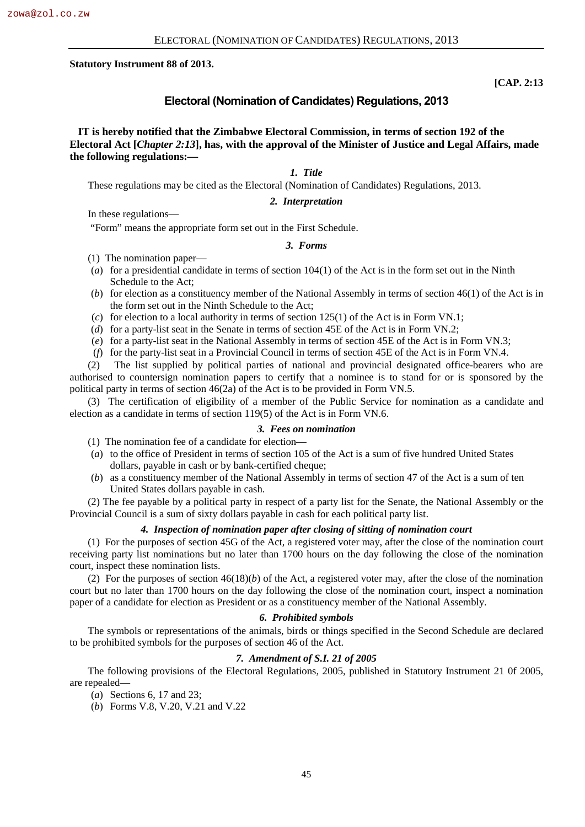#### **Statutory Instrument 88 of 2013.**

**[CAP. 2:13**

## **Electoral (Nomination of Candidates) Regulations, 2013**

**IT is hereby notified that the Zimbabwe Electoral Commission, in terms of section 192 of the Electoral Act [***Chapter 2:13***], has, with the approval of the Minister of Justice and Legal Affairs, made the following regulations:—**

## *1. Title*

These regulations may be cited as the Electoral (Nomination of Candidates) Regulations, 2013.

#### *2. Interpretation*

In these regulations—

"Form" means the appropriate form set out in the First Schedule.

#### *3. Forms*

- (1) The nomination paper—
- (*a*) for a presidential candidate in terms of section 104(1) of the Act is in the form set out in the Ninth Schedule to the Act;
- (*b*) for election as a constituency member of the National Assembly in terms of section 46(1) of the Act is in the form set out in the Ninth Schedule to the Act;
- (*c*) for election to a local authority in terms of section 125(1) of the Act is in Form VN.1;
- (*d*) for a party-list seat in the Senate in terms of section 45E of the Act is in Form VN.2;
- (*e*) for a party-list seat in the National Assembly in terms of section 45E of the Act is in Form VN.3;
- (*f*) for the party-list seat in a Provincial Council in terms of section 45E of the Act is in Form VN.4.

(2) The list supplied by political parties of national and provincial designated office-bearers who are authorised to countersign nomination papers to certify that a nominee is to stand for or is sponsored by the political party in terms of section 46(2a) of the Act is to be provided in Form VN.5.

(3) The certification of eligibility of a member of the Public Service for nomination as a candidate and election as a candidate in terms of section 119(5) of the Act is in Form VN.6.

#### *3. Fees on nomination*

- (1) The nomination fee of a candidate for election—
- (*a*) to the office of President in terms of section 105 of the Act is a sum of five hundred United States dollars, payable in cash or by bank-certified cheque;
- (*b*) as a constituency member of the National Assembly in terms of section 47 of the Act is a sum of ten United States dollars payable in cash.

(2) The fee payable by a political party in respect of a party list for the Senate, the National Assembly or the Provincial Council is a sum of sixty dollars payable in cash for each political party list.

## *4. Inspection of nomination paper after closing of sitting of nomination court*

(1) For the purposes of section 45G of the Act, a registered voter may, after the close of the nomination court receiving party list nominations but no later than 1700 hours on the day following the close of the nomination court, inspect these nomination lists.

(2) For the purposes of section  $46(18)(b)$  of the Act, a registered voter may, after the close of the nomination court but no later than 1700 hours on the day following the close of the nomination court, inspect a nomination paper of a candidate for election as President or as a constituency member of the National Assembly.

### *6. Prohibited symbols*

The symbols or representations of the animals, birds or things specified in the Second Schedule are declared to be prohibited symbols for the purposes of section 46 of the Act.

### *7. Amendment of S.I. 21 of 2005*

The following provisions of the Electoral Regulations, 2005, published in Statutory Instrument 21 0f 2005, are repealed—

- (*a*) Sections 6, 17 and 23;
- (*b*) Forms V.8, V.20, V.21 and V.22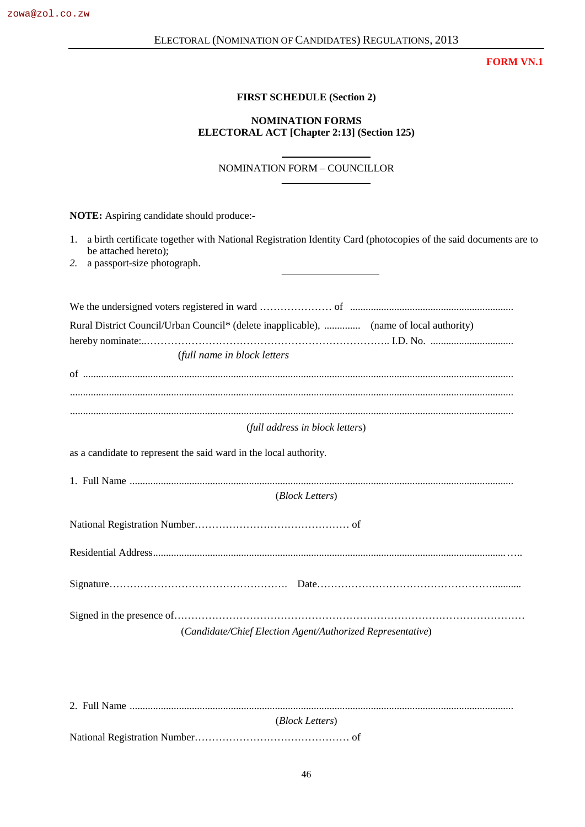## **FORM VN.1**

## **FIRST SCHEDULE (Section 2)**

## **NOMINATION FORMS ELECTORAL ACT [Chapter 2:13] (Section 125)**

## NOMINATION FORM – COUNCILLOR

**NOTE:** Aspiring candidate should produce:-

- 1. a birth certificate together with National Registration Identity Card (photocopies of the said documents are to be attached hereto);
- *2.* a passport-size photograph.

| Rural District Council/Urban Council* (delete inapplicable),  (name of local authority) |  |
|-----------------------------------------------------------------------------------------|--|
|                                                                                         |  |
| (full name in block letters                                                             |  |
|                                                                                         |  |
|                                                                                         |  |
|                                                                                         |  |
| (full address in block letters)                                                         |  |
| as a candidate to represent the said ward in the local authority.                       |  |
|                                                                                         |  |
| ( <i>Block Letters</i> )                                                                |  |
|                                                                                         |  |
|                                                                                         |  |
|                                                                                         |  |
|                                                                                         |  |
| (Candidate/Chief Election Agent/Authorized Representative)                              |  |

2. Full Name .................................................................................................................................................... (*Block Letters*) National Registration Number……………………………………… of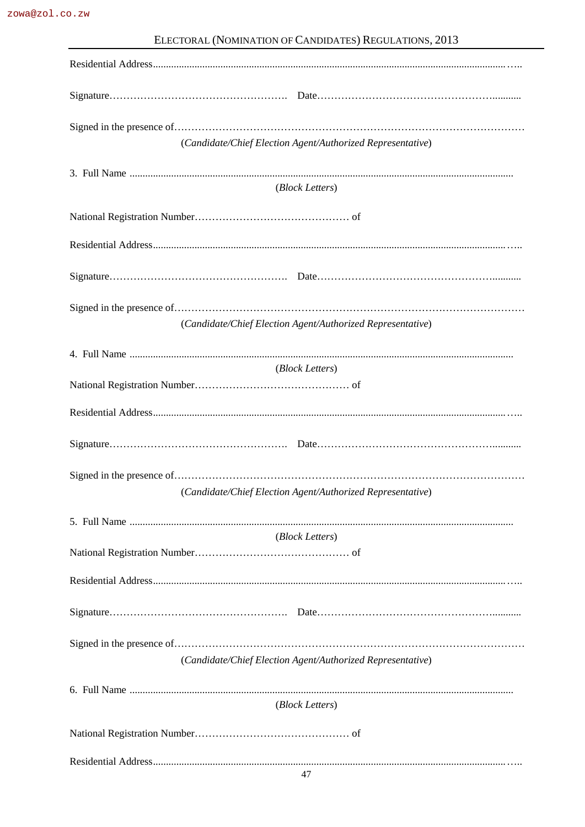|  | ELECTORAL (NOMINATION OF CANDIDATES) REGULATIONS, 2013 |  |
|--|--------------------------------------------------------|--|
|  |                                                        |  |

| (Candidate/Chief Election Agent/Authorized Representative) |
|------------------------------------------------------------|
|                                                            |
| (Block Letters)                                            |
|                                                            |
|                                                            |
|                                                            |
|                                                            |
| (Candidate/Chief Election Agent/Authorized Representative) |
|                                                            |
| ( <i>Block Letters</i> )                                   |
|                                                            |
|                                                            |
|                                                            |
| (Candidate/Chief Election Agent/Authorized Representative) |
|                                                            |
| (Block Letters)                                            |
|                                                            |
|                                                            |
|                                                            |
|                                                            |
| (Candidate/Chief Election Agent/Authorized Representative) |
|                                                            |
| (Block Letters)                                            |
|                                                            |
|                                                            |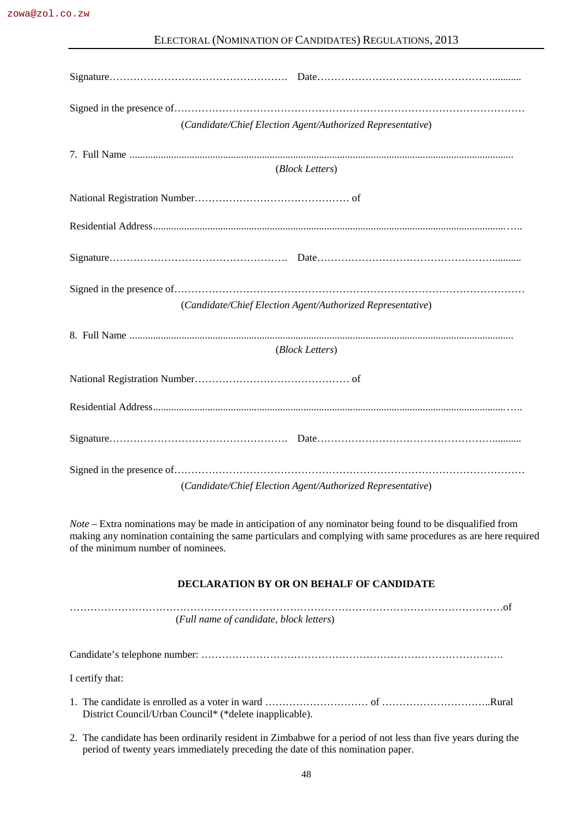| ELECTORAL (NOMINATION OF CANDIDATES) REGULATIONS, 2013 |  |
|--------------------------------------------------------|--|
|--------------------------------------------------------|--|

| (Candidate/Chief Election Agent/Authorized Representative) |
|------------------------------------------------------------|
|                                                            |
| (Block Letters)                                            |
|                                                            |
|                                                            |
|                                                            |
|                                                            |
| (Candidate/Chief Election Agent/Authorized Representative) |
|                                                            |
| (Block Letters)                                            |
|                                                            |
|                                                            |
|                                                            |
|                                                            |
| (Candidate/Chief Election Agent/Authorized Representative) |

*Note* – Extra nominations may be made in anticipation of any nominator being found to be disqualified from making any nomination containing the same particulars and complying with same procedures as are here required of the minimum number of nominees.

## **DECLARATION BY OR ON BEHALF OF CANDIDATE**

………………………………………………………………………………………………………………of (*Full name of candidate, block letters*)

Candidate's telephone number: …………………………………………………………………………….

I certify that:

- 1. The candidate is enrolled as a voter in ward ………………………… of …………………………..Rural District Council/Urban Council\* (\*delete inapplicable).
- 2. The candidate has been ordinarily resident in Zimbabwe for a period of not less than five years during the period of twenty years immediately preceding the date of this nomination paper.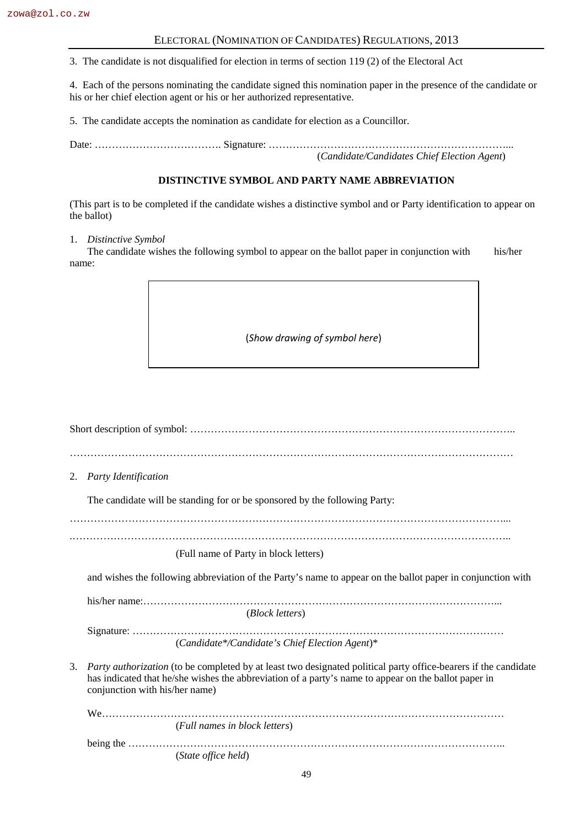3. The candidate is not disqualified for election in terms of section 119 (2) of the Electoral Act

4. Each of the persons nominating the candidate signed this nomination paper in the presence of the candidate or his or her chief election agent or his or her authorized representative.

5. The candidate accepts the nomination as candidate for election as a Councillor.

Date: ………………………………. Signature: ……………………………………………………………... (*Candidate/Candidates Chief Election Agent*)

## **DISTINCTIVE SYMBOL AND PARTY NAME ABBREVIATION**

(This part is to be completed if the candidate wishes a distinctive symbol and or Party identification to appear on the ballot)

1. *Distinctive Symbol*

The candidate wishes the following symbol to appear on the ballot paper in conjunction with his/her name:

(*Show drawing of symbol here*)

|    | 2. Party Identification                                                                                                                                                                                                                                   |
|----|-----------------------------------------------------------------------------------------------------------------------------------------------------------------------------------------------------------------------------------------------------------|
|    | The candidate will be standing for or be sponsored by the following Party:                                                                                                                                                                                |
|    |                                                                                                                                                                                                                                                           |
|    | (Full name of Party in block letters)                                                                                                                                                                                                                     |
|    | and wishes the following abbreviation of the Party's name to appear on the ballot paper in conjunction with                                                                                                                                               |
|    | (Block letters)                                                                                                                                                                                                                                           |
|    | (Candidate*/Candidate's Chief Election Agent)*                                                                                                                                                                                                            |
| 3. | Party authorization (to be completed by at least two designated political party office-bearers if the candidate<br>has indicated that he/she wishes the abbreviation of a party's name to appear on the ballot paper in<br>conjunction with his/her name) |
|    | (Full names in block letters)                                                                                                                                                                                                                             |
|    | (State office held)                                                                                                                                                                                                                                       |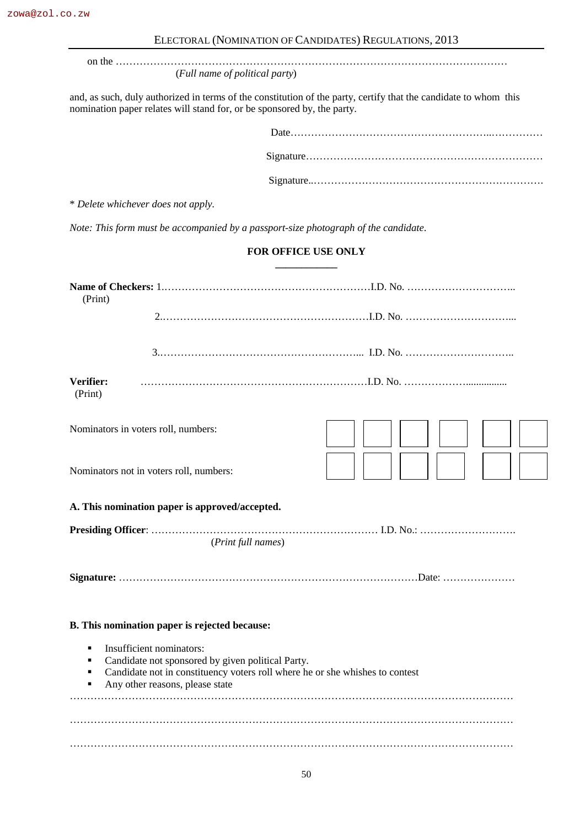|  |  |  | ELECTORAL (NOMINATION OF CANDIDATES) REGULATIONS, 2013 |  |
|--|--|--|--------------------------------------------------------|--|
|--|--|--|--------------------------------------------------------|--|

| (Full name of political party)                                                                                                                                                                                       |  |
|----------------------------------------------------------------------------------------------------------------------------------------------------------------------------------------------------------------------|--|
| and, as such, duly authorized in terms of the constitution of the party, certify that the candidate to whom this<br>nomination paper relates will stand for, or be sponsored by, the party.                          |  |
|                                                                                                                                                                                                                      |  |
|                                                                                                                                                                                                                      |  |
|                                                                                                                                                                                                                      |  |
| * Delete whichever does not apply.                                                                                                                                                                                   |  |
| Note: This form must be accompanied by a passport-size photograph of the candidate.                                                                                                                                  |  |
| FOR OFFICE USE ONLY                                                                                                                                                                                                  |  |
| (Print)                                                                                                                                                                                                              |  |
|                                                                                                                                                                                                                      |  |
|                                                                                                                                                                                                                      |  |
| Verifier:<br>(Print)                                                                                                                                                                                                 |  |
| Nominators in voters roll, numbers:                                                                                                                                                                                  |  |
| Nominators not in voters roll, numbers:                                                                                                                                                                              |  |
| A. This nomination paper is approved/accepted.                                                                                                                                                                       |  |
| (Print full names)                                                                                                                                                                                                   |  |
|                                                                                                                                                                                                                      |  |
|                                                                                                                                                                                                                      |  |
| B. This nomination paper is rejected because:                                                                                                                                                                        |  |
| Insufficient nominators:<br>٠<br>Candidate not sponsored by given political Party.<br>٠<br>Candidate not in constituency voters roll where he or she whishes to contest<br>٠<br>Any other reasons, please state<br>٠ |  |
|                                                                                                                                                                                                                      |  |
|                                                                                                                                                                                                                      |  |
|                                                                                                                                                                                                                      |  |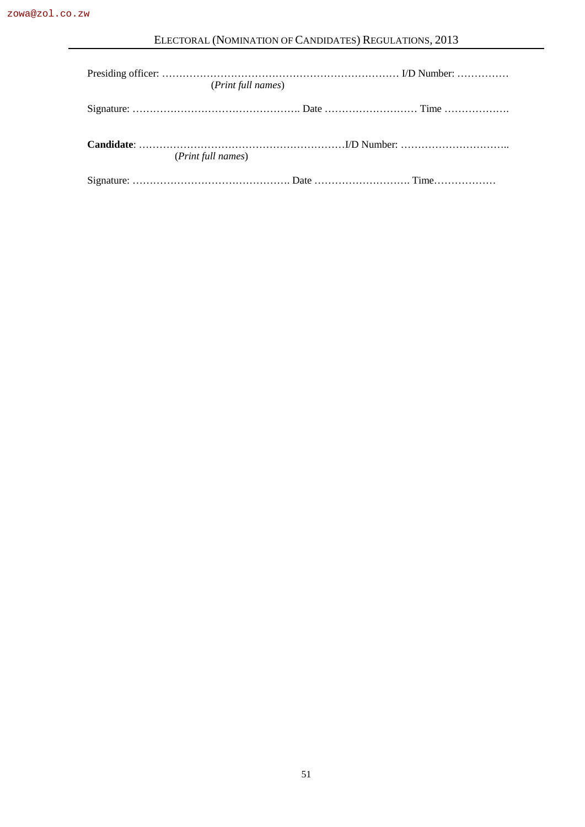| ( <i>Print full names</i> ) |  |  |
|-----------------------------|--|--|
|                             |  |  |
| ( <i>Print full names</i> ) |  |  |
|                             |  |  |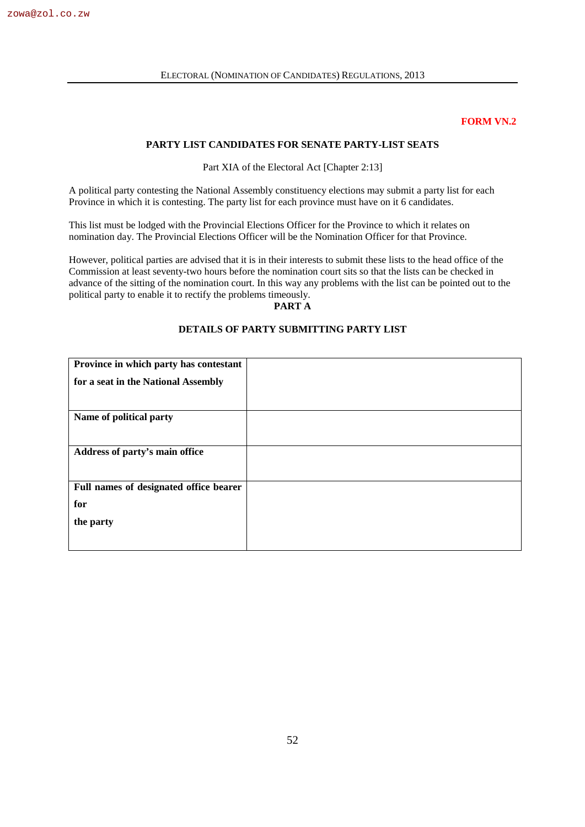#### **FORM VN.2**

## **PARTY LIST CANDIDATES FOR SENATE PARTY-LIST SEATS**

Part XIA of the Electoral Act [Chapter 2:13]

A political party contesting the National Assembly constituency elections may submit a party list for each Province in which it is contesting. The party list for each province must have on it 6 candidates.

This list must be lodged with the Provincial Elections Officer for the Province to which it relates on nomination day. The Provincial Elections Officer will be the Nomination Officer for that Province.

However, political parties are advised that it is in their interests to submit these lists to the head office of the Commission at least seventy-two hours before the nomination court sits so that the lists can be checked in advance of the sitting of the nomination court. In this way any problems with the list can be pointed out to the political party to enable it to rectify the problems timeously.

#### **PART A**

# **DETAILS OF PARTY SUBMITTING PARTY LIST**

| Province in which party has contestant |  |
|----------------------------------------|--|
| for a seat in the National Assembly    |  |
| Name of political party                |  |
| Address of party's main office         |  |
| Full names of designated office bearer |  |
| for                                    |  |
| the party                              |  |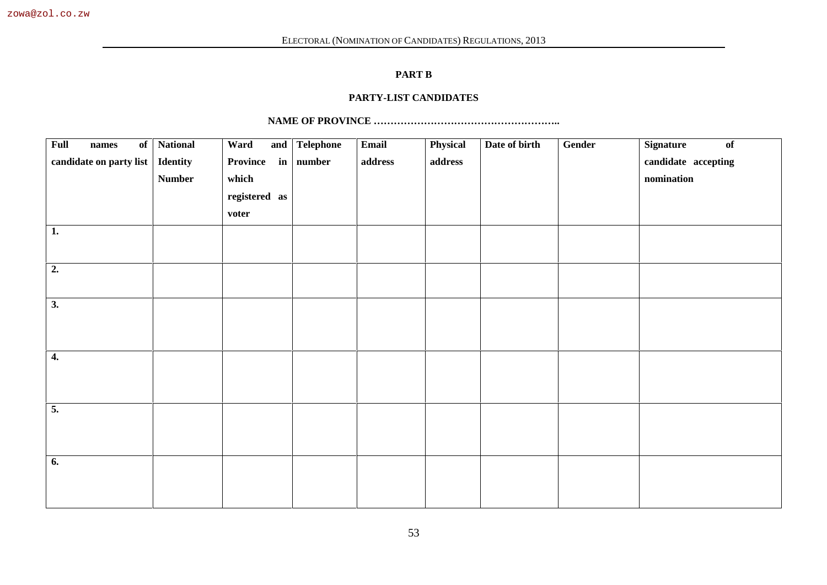# **PART B**

# **PARTY-LIST CANDIDATES**

# **NAME OF PROVINCE ………………………………………………..**

| Full<br>of<br>$\bold{names}$ | <b>National</b> | Ward<br>and   | <b>Telephone</b> | Email                             | Physical | Date of birth | Gender | <b>Signature</b><br>$\mathbf{of}$ |
|------------------------------|-----------------|---------------|------------------|-----------------------------------|----------|---------------|--------|-----------------------------------|
| candidate on party list      | <b>Identity</b> | Province in   | number           | $\operatorname{\mathbf{address}}$ | address  |               |        | candidate accepting               |
|                              | <b>Number</b>   | which         |                  |                                   |          |               |        | nomination                        |
|                              |                 | registered as |                  |                                   |          |               |        |                                   |
|                              |                 | voter         |                  |                                   |          |               |        |                                   |
| 1.                           |                 |               |                  |                                   |          |               |        |                                   |
|                              |                 |               |                  |                                   |          |               |        |                                   |
| 2.                           |                 |               |                  |                                   |          |               |        |                                   |
|                              |                 |               |                  |                                   |          |               |        |                                   |
| $\overline{3}$ .             |                 |               |                  |                                   |          |               |        |                                   |
|                              |                 |               |                  |                                   |          |               |        |                                   |
|                              |                 |               |                  |                                   |          |               |        |                                   |
| $\boldsymbol{4}$ .           |                 |               |                  |                                   |          |               |        |                                   |
|                              |                 |               |                  |                                   |          |               |        |                                   |
|                              |                 |               |                  |                                   |          |               |        |                                   |
| $\overline{5}$ .             |                 |               |                  |                                   |          |               |        |                                   |
|                              |                 |               |                  |                                   |          |               |        |                                   |
|                              |                 |               |                  |                                   |          |               |        |                                   |
| 6.                           |                 |               |                  |                                   |          |               |        |                                   |
|                              |                 |               |                  |                                   |          |               |        |                                   |
|                              |                 |               |                  |                                   |          |               |        |                                   |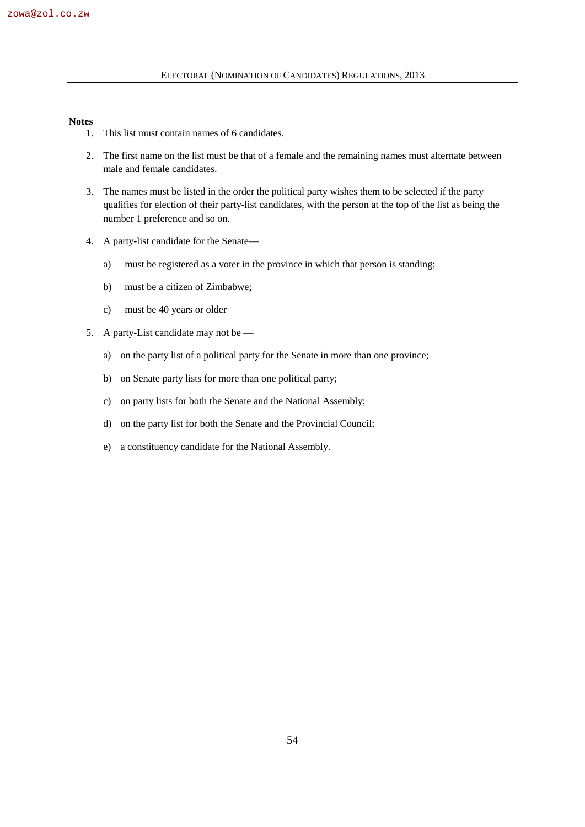#### **Notes**

- 1. This list must contain names of 6 candidates.
- 2. The first name on the list must be that of a female and the remaining names must alternate between male and female candidates.
- 3. The names must be listed in the order the political party wishes them to be selected if the party qualifies for election of their party-list candidates, with the person at the top of the list as being the number 1 preference and so on.
- 4. A party-list candidate for the Senate
	- a) must be registered as a voter in the province in which that person is standing;
	- b) must be a citizen of Zimbabwe;
	- c) must be 40 years or older
- 5. A party-List candidate may not be
	- a) on the party list of a political party for the Senate in more than one province;
	- b) on Senate party lists for more than one political party;
	- c) on party lists for both the Senate and the National Assembly;
	- d) on the party list for both the Senate and the Provincial Council;
	- e) a constituency candidate for the National Assembly.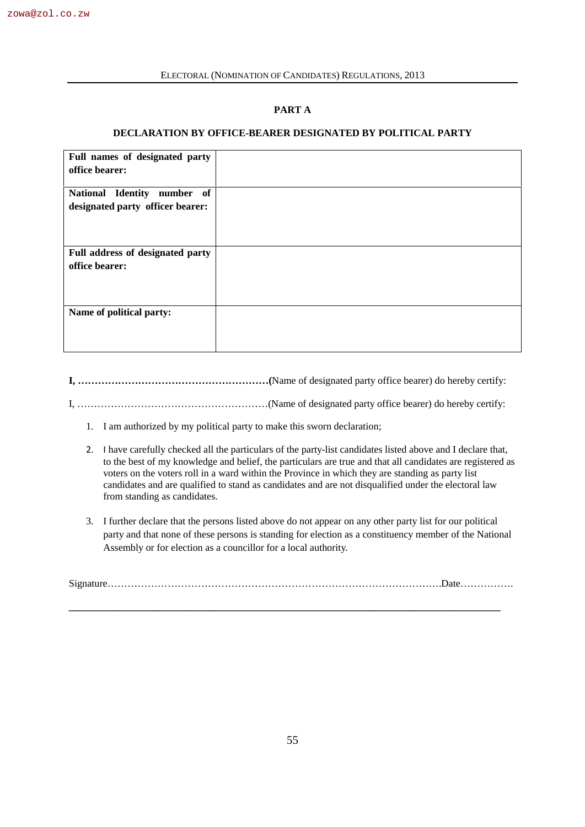## **PART A**

#### **DECLARATION BY OFFICE-BEARER DESIGNATED BY POLITICAL PARTY**

| Full names of designated party<br>office bearer:   |  |
|----------------------------------------------------|--|
| National Identity<br>number of                     |  |
| designated party officer bearer:                   |  |
| Full address of designated party<br>office bearer: |  |
| Name of political party:                           |  |

**I, …………………………………………………(**Name of designated party office bearer) do hereby certify:

I, …………………………………………………(Name of designated party office bearer) do hereby certify:

- 1. I am authorized by my political party to make this sworn declaration;
- 2. I have carefully checked all the particulars of the party-list candidates listed above and I declare that, to the best of my knowledge and belief, the particulars are true and that all candidates are registered as voters on the voters roll in a ward within the Province in which they are standing as party list candidates and are qualified to stand as candidates and are not disqualified under the electoral law from standing as candidates.
- 3. I further declare that the persons listed above do not appear on any other party list for our political party and that none of these persons is standing for election as a constituency member of the National Assembly or for election as a councillor for a local authority*.*

Signature……………………………………………………………………………………….Date…………….

**\_\_\_\_\_\_\_\_\_\_\_\_\_\_\_\_\_\_\_\_\_\_\_\_\_\_\_\_\_\_\_\_\_\_\_\_\_\_\_\_\_\_\_\_\_\_\_\_\_\_\_\_\_\_\_\_\_\_\_\_\_\_\_\_\_\_\_\_\_\_\_\_\_\_\_\_\_\_\_\_\_\_\_\_\_\_**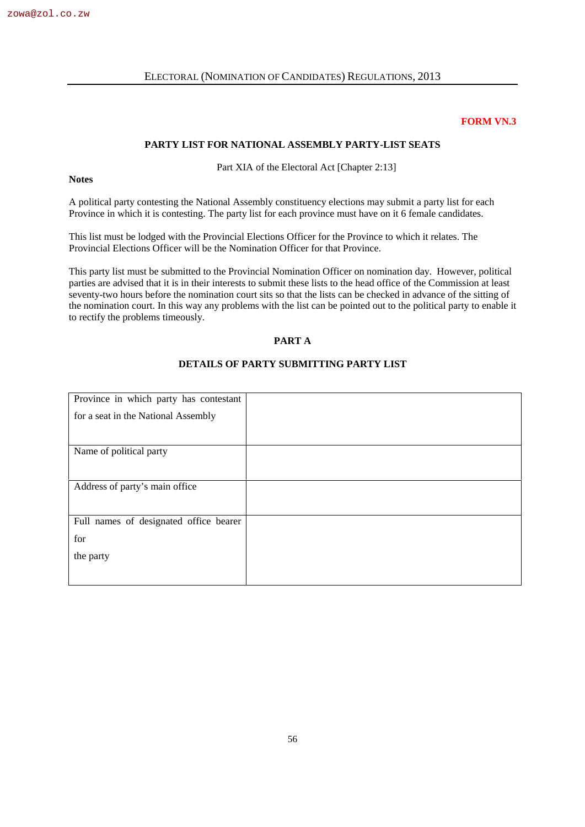### **FORM VN.3**

## **PARTY LIST FOR NATIONAL ASSEMBLY PARTY-LIST SEATS**

Part XIA of the Electoral Act [Chapter 2:13]

#### **Notes**

A political party contesting the National Assembly constituency elections may submit a party list for each Province in which it is contesting. The party list for each province must have on it 6 female candidates.

This list must be lodged with the Provincial Elections Officer for the Province to which it relates. The Provincial Elections Officer will be the Nomination Officer for that Province.

This party list must be submitted to the Provincial Nomination Officer on nomination day. However, political parties are advised that it is in their interests to submit these lists to the head office of the Commission at least seventy-two hours before the nomination court sits so that the lists can be checked in advance of the sitting of the nomination court. In this way any problems with the list can be pointed out to the political party to enable it to rectify the problems timeously.

### **PART A**

## **DETAILS OF PARTY SUBMITTING PARTY LIST**

| Province in which party has contestant |  |
|----------------------------------------|--|
| for a seat in the National Assembly    |  |
|                                        |  |
| Name of political party                |  |
|                                        |  |
|                                        |  |
| Address of party's main office         |  |
|                                        |  |
|                                        |  |
| Full names of designated office bearer |  |
| for                                    |  |
| the party                              |  |
|                                        |  |
|                                        |  |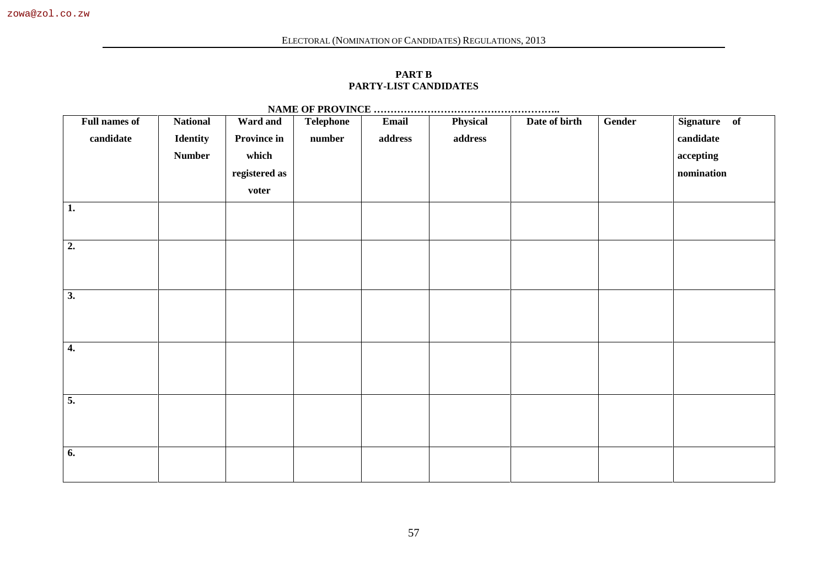**PART B PARTY-LIST CANDIDATES**

| <b>Full names of</b> | <b>National</b>           | Ward and                    | <b>Telephone</b> | Email            | Physical | Date of birth | Gender | Signature of           |
|----------------------|---------------------------|-----------------------------|------------------|------------------|----------|---------------|--------|------------------------|
| candidate            | Identity<br><b>Number</b> | <b>Province in</b><br>which | number           | $\bold{address}$ | address  |               |        | candidate<br>accepting |
|                      |                           | registered as               |                  |                  |          |               |        | nomination             |
|                      |                           | voter                       |                  |                  |          |               |        |                        |
| $\vert$ 1.           |                           |                             |                  |                  |          |               |        |                        |
| $\overline{2}$ .     |                           |                             |                  |                  |          |               |        |                        |
| $\overline{3}$ .     |                           |                             |                  |                  |          |               |        |                        |
| $\boldsymbol{4}$ .   |                           |                             |                  |                  |          |               |        |                        |
| 5.                   |                           |                             |                  |                  |          |               |        |                        |
| 6.                   |                           |                             |                  |                  |          |               |        |                        |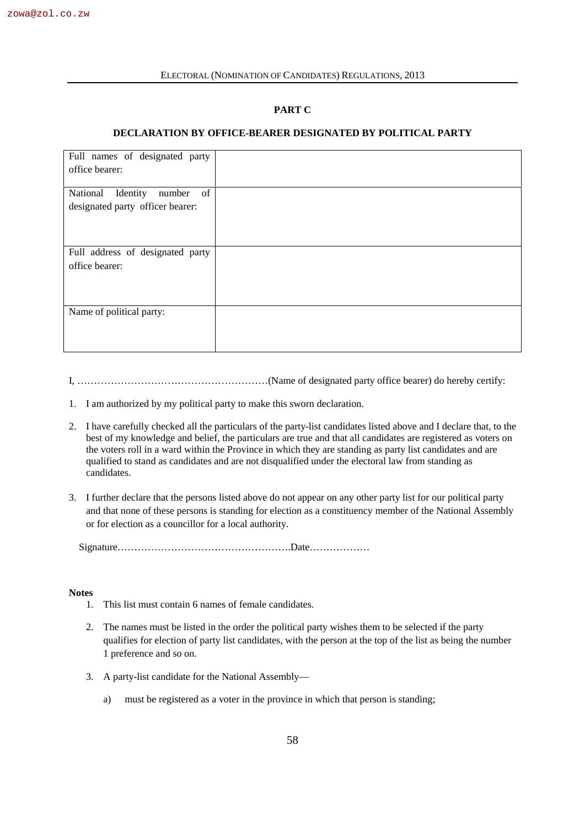#### **PART C**

#### **DECLARATION BY OFFICE-BEARER DESIGNATED BY POLITICAL PARTY**

| Full names of designated party<br>office bearer:                         |  |
|--------------------------------------------------------------------------|--|
| National<br>Identity<br>of<br>number<br>designated party officer bearer: |  |
| Full address of designated party<br>office bearer:                       |  |
| Name of political party:                                                 |  |

I, …………………………………………………(Name of designated party office bearer) do hereby certify:

- 1. I am authorized by my political party to make this sworn declaration.
- 2. I have carefully checked all the particulars of the party-list candidates listed above and I declare that, to the best of my knowledge and belief, the particulars are true and that all candidates are registered as voters on the voters roll in a ward within the Province in which they are standing as party list candidates and are qualified to stand as candidates and are not disqualified under the electoral law from standing as candidates.
- 3. I further declare that the persons listed above do not appear on any other party list for our political party and that none of these persons is standing for election as a constituency member of the National Assembly or for election as a councillor for a local authority.

Signature…………………………………………….Date………………

#### **Notes**

- 1. This list must contain 6 names of female candidates.
- 2. The names must be listed in the order the political party wishes them to be selected if the party qualifies for election of party list candidates, with the person at the top of the list as being the number 1 preference and so on.
- 3. A party-list candidate for the National Assembly
	- a) must be registered as a voter in the province in which that person is standing;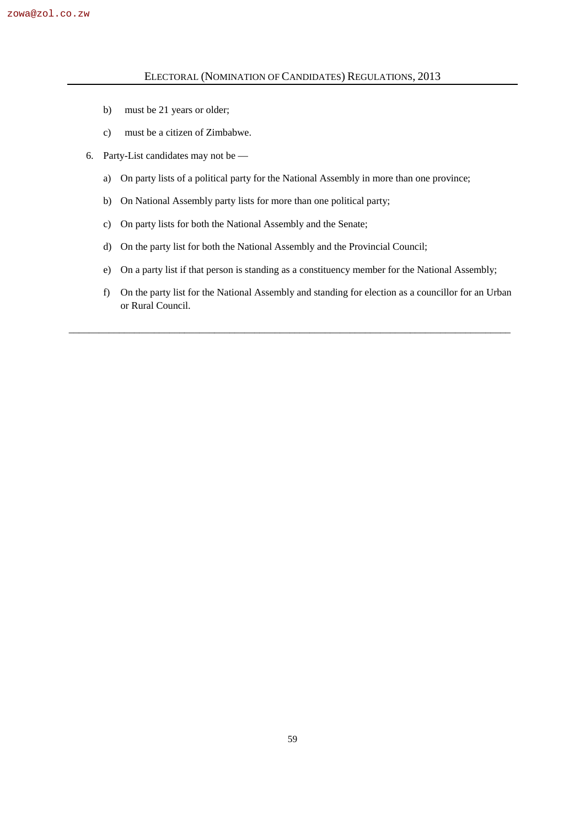- b) must be 21 years or older;
- c) must be a citizen of Zimbabwe.
- 6. Party-List candidates may not be
	- a) On party lists of a political party for the National Assembly in more than one province;
	- b) On National Assembly party lists for more than one political party;
	- c) On party lists for both the National Assembly and the Senate;
	- d) On the party list for both the National Assembly and the Provincial Council;
	- e) On a party list if that person is standing as a constituency member for the National Assembly;
	- f) On the party list for the National Assembly and standing for election as a councillor for an Urban or Rural Council.

\_\_\_\_\_\_\_\_\_\_\_\_\_\_\_\_\_\_\_\_\_\_\_\_\_\_\_\_\_\_\_\_\_\_\_\_\_\_\_\_\_\_\_\_\_\_\_\_\_\_\_\_\_\_\_\_\_\_\_\_\_\_\_\_\_\_\_\_\_\_\_\_\_\_\_\_\_\_\_\_\_\_\_\_\_\_\_\_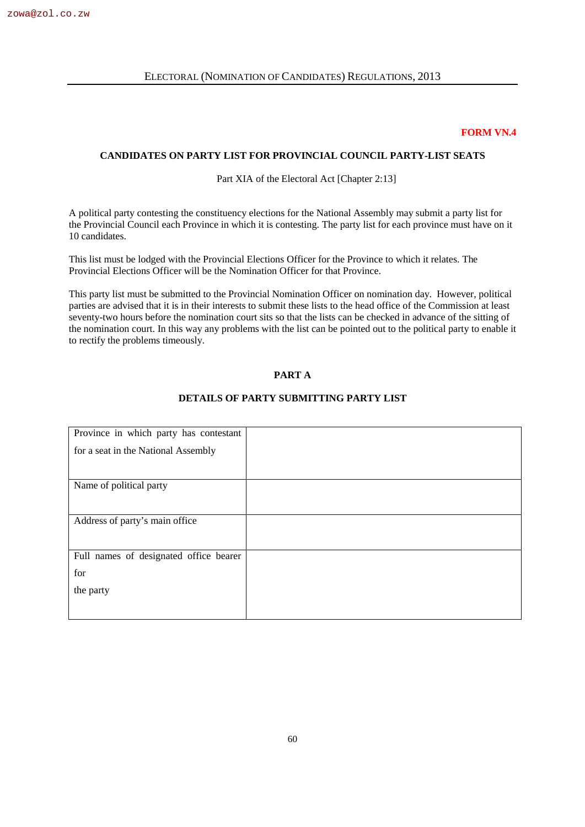#### **FORM VN.4**

## **CANDIDATES ON PARTY LIST FOR PROVINCIAL COUNCIL PARTY-LIST SEATS**

#### Part XIA of the Electoral Act [Chapter 2:13]

A political party contesting the constituency elections for the National Assembly may submit a party list for the Provincial Council each Province in which it is contesting. The party list for each province must have on it 10 candidates.

This list must be lodged with the Provincial Elections Officer for the Province to which it relates. The Provincial Elections Officer will be the Nomination Officer for that Province.

This party list must be submitted to the Provincial Nomination Officer on nomination day. However, political parties are advised that it is in their interests to submit these lists to the head office of the Commission at least seventy-two hours before the nomination court sits so that the lists can be checked in advance of the sitting of the nomination court. In this way any problems with the list can be pointed out to the political party to enable it to rectify the problems timeously.

### **PART A**

## **DETAILS OF PARTY SUBMITTING PARTY LIST**

| Province in which party has contestant |  |
|----------------------------------------|--|
| for a seat in the National Assembly    |  |
|                                        |  |
|                                        |  |
| Name of political party                |  |
|                                        |  |
| Address of party's main office         |  |
|                                        |  |
|                                        |  |
| Full names of designated office bearer |  |
| for                                    |  |
| the party                              |  |
|                                        |  |
|                                        |  |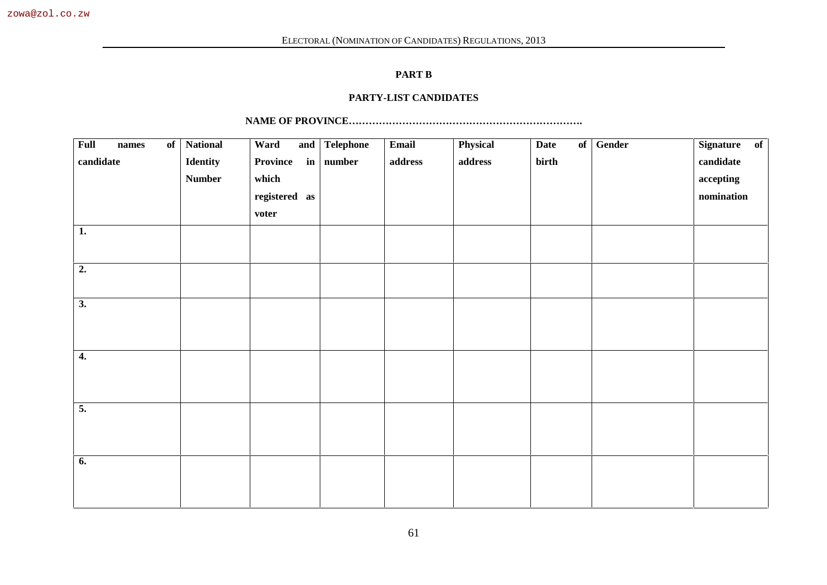# **PART B**

# **PARTY-LIST CANDIDATES**

**NAME OF PROVINCE…………………………………………………………….**

| Full               | $\bold{names}$ | of | <b>National</b> | Ward          | and | <b>Telephone</b> | Email   | Physical | <b>Date</b> | of Gender | <b>Signature</b><br>$\overline{\textbf{of}}$ |
|--------------------|----------------|----|-----------------|---------------|-----|------------------|---------|----------|-------------|-----------|----------------------------------------------|
| candidate          |                |    | Identity        | Province      |     | in   number      | address | address  | birth       |           | candidate                                    |
|                    |                |    | <b>Number</b>   | which         |     |                  |         |          |             |           | accepting                                    |
|                    |                |    |                 | registered as |     |                  |         |          |             |           | nomination                                   |
|                    |                |    |                 | voter         |     |                  |         |          |             |           |                                              |
| 1.                 |                |    |                 |               |     |                  |         |          |             |           |                                              |
|                    |                |    |                 |               |     |                  |         |          |             |           |                                              |
| $\overline{2}$ .   |                |    |                 |               |     |                  |         |          |             |           |                                              |
|                    |                |    |                 |               |     |                  |         |          |             |           |                                              |
| $\overline{3}$ .   |                |    |                 |               |     |                  |         |          |             |           |                                              |
|                    |                |    |                 |               |     |                  |         |          |             |           |                                              |
|                    |                |    |                 |               |     |                  |         |          |             |           |                                              |
| $\boldsymbol{4}$ . |                |    |                 |               |     |                  |         |          |             |           |                                              |
|                    |                |    |                 |               |     |                  |         |          |             |           |                                              |
|                    |                |    |                 |               |     |                  |         |          |             |           |                                              |
| $\overline{5}$ .   |                |    |                 |               |     |                  |         |          |             |           |                                              |
|                    |                |    |                 |               |     |                  |         |          |             |           |                                              |
|                    |                |    |                 |               |     |                  |         |          |             |           |                                              |
| $\overline{6}$ .   |                |    |                 |               |     |                  |         |          |             |           |                                              |
|                    |                |    |                 |               |     |                  |         |          |             |           |                                              |
|                    |                |    |                 |               |     |                  |         |          |             |           |                                              |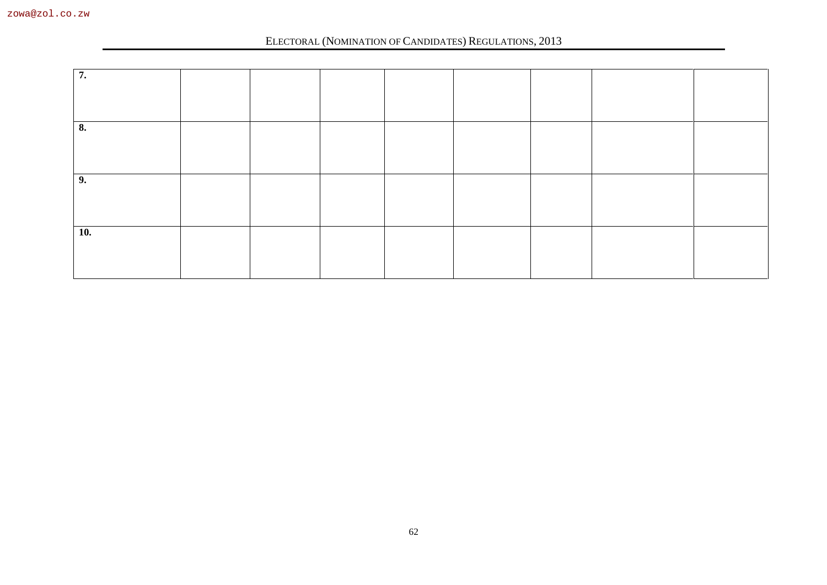| $\vert$ 7. |  |  |  |  |
|------------|--|--|--|--|
|            |  |  |  |  |
| 8.         |  |  |  |  |
|            |  |  |  |  |
| 9.         |  |  |  |  |
|            |  |  |  |  |
| <b>10.</b> |  |  |  |  |
|            |  |  |  |  |
|            |  |  |  |  |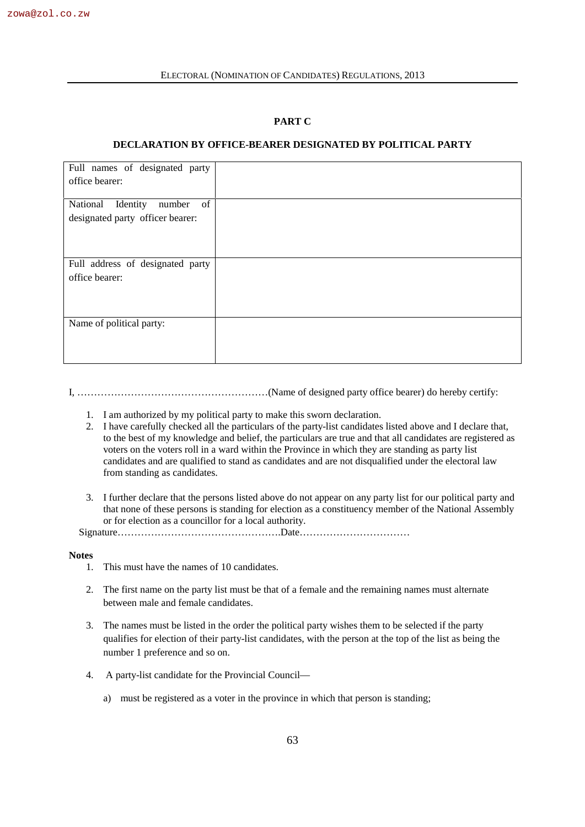#### **PART C**

### **DECLARATION BY OFFICE-BEARER DESIGNATED BY POLITICAL PARTY**

| Full names of designated party<br>office bearer: |  |
|--------------------------------------------------|--|
|                                                  |  |
| National<br>of<br>Identity<br>number             |  |
| designated party officer bearer:                 |  |
|                                                  |  |
|                                                  |  |
| Full address of designated party                 |  |
| office bearer:                                   |  |
|                                                  |  |
|                                                  |  |
| Name of political party:                         |  |
|                                                  |  |
|                                                  |  |
|                                                  |  |

I, …………………………………………………(Name of designed party office bearer) do hereby certify:

- 1. I am authorized by my political party to make this sworn declaration.
- 2. I have carefully checked all the particulars of the party-list candidates listed above and I declare that, to the best of my knowledge and belief, the particulars are true and that all candidates are registered as voters on the voters roll in a ward within the Province in which they are standing as party list candidates and are qualified to stand as candidates and are not disqualified under the electoral law from standing as candidates.
- 3. I further declare that the persons listed above do not appear on any party list for our political party and that none of these persons is standing for election as a constituency member of the National Assembly or for election as a councillor for a local authority.

Signature………………………………………….Date……………………………

#### **Notes**

- 1. This must have the names of 10 candidates.
- 2. The first name on the party list must be that of a female and the remaining names must alternate between male and female candidates.
- 3. The names must be listed in the order the political party wishes them to be selected if the party qualifies for election of their party-list candidates, with the person at the top of the list as being the number 1 preference and so on.
- 4. A party-list candidate for the Provincial Council
	- a) must be registered as a voter in the province in which that person is standing;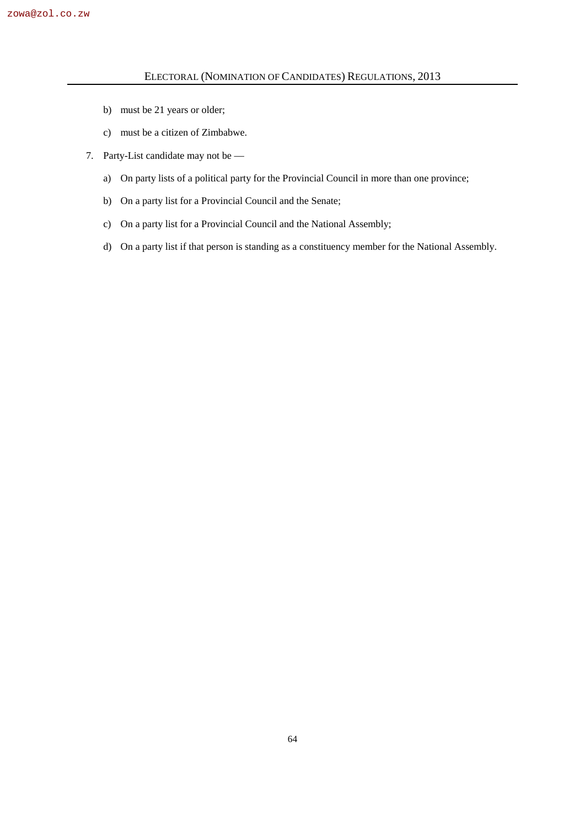- b) must be 21 years or older;
- c) must be a citizen of Zimbabwe.
- 7. Party-List candidate may not be
	- a) On party lists of a political party for the Provincial Council in more than one province;
	- b) On a party list for a Provincial Council and the Senate;
	- c) On a party list for a Provincial Council and the National Assembly;
	- d) On a party list if that person is standing as a constituency member for the National Assembly.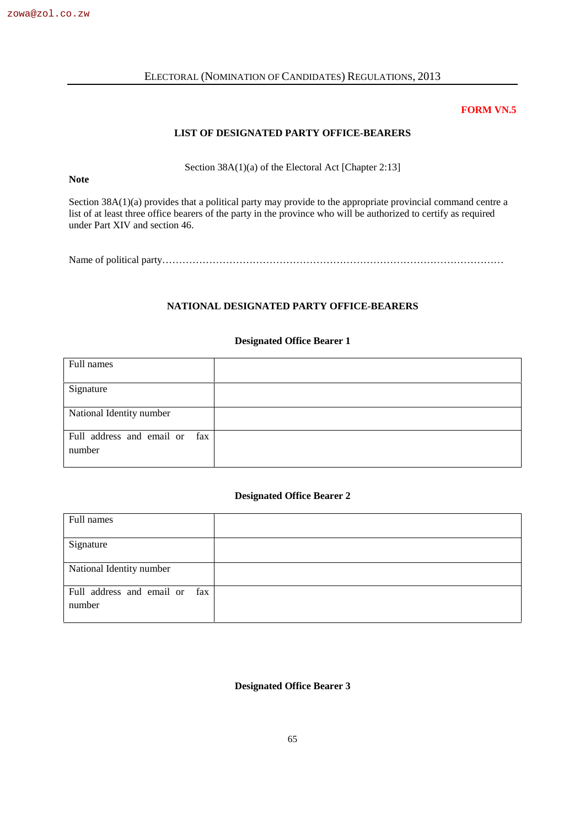#### **FORM VN.5**

### **LIST OF DESIGNATED PARTY OFFICE-BEARERS**

Section 38A(1)(a) of the Electoral Act [Chapter 2:13]

**Note**

Section 38A(1)(a) provides that a political party may provide to the appropriate provincial command centre a list of at least three office bearers of the party in the province who will be authorized to certify as required under Part XIV and section 46.

Name of political party…………………………………………………………………………………………

## **NATIONAL DESIGNATED PARTY OFFICE-BEARERS**

## **Designated Office Bearer 1**

| Full names                    |  |
|-------------------------------|--|
| Signature                     |  |
|                               |  |
| National Identity number      |  |
| Full address and email or fax |  |
| number                        |  |
|                               |  |

## **Designated Office Bearer 2**

| Full names                    |  |
|-------------------------------|--|
|                               |  |
| Signature                     |  |
|                               |  |
| National Identity number      |  |
|                               |  |
| Full address and email or fax |  |
| number                        |  |
|                               |  |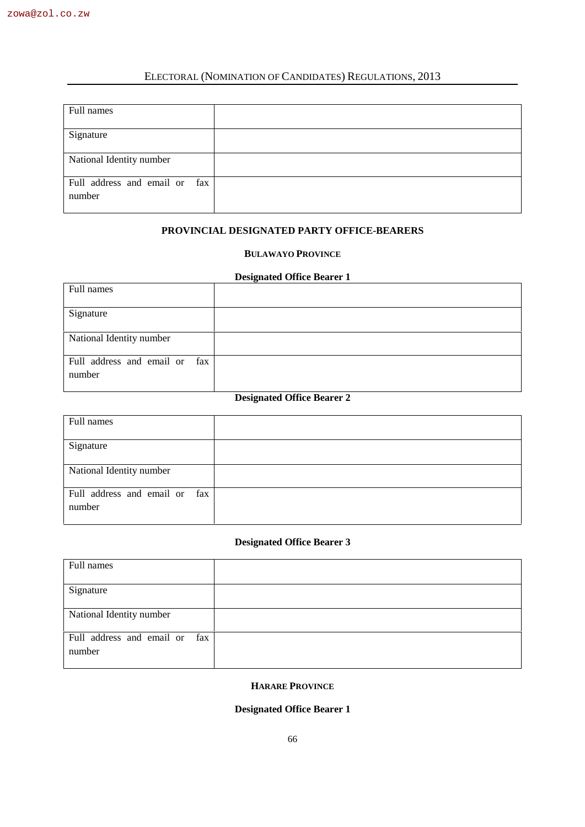| Full names                    |  |
|-------------------------------|--|
|                               |  |
| Signature                     |  |
|                               |  |
| National Identity number      |  |
|                               |  |
| Full address and email or fax |  |
| number                        |  |
|                               |  |

# **PROVINCIAL DESIGNATED PARTY OFFICE-BEARERS**

## **BULAWAYO PROVINCE**

## **Designated Office Bearer 1**

| Full names                              |  |
|-----------------------------------------|--|
| Signature                               |  |
| National Identity number                |  |
| Full address and email or fax<br>number |  |

# **Designated Office Bearer 2**

| Full names                              |  |
|-----------------------------------------|--|
| Signature                               |  |
| National Identity number                |  |
| Full address and email or fax<br>number |  |

### **Designated Office Bearer 3**

| Full names                              |  |
|-----------------------------------------|--|
| Signature                               |  |
| National Identity number                |  |
| Full address and email or fax<br>number |  |

# **HARARE PROVINCE**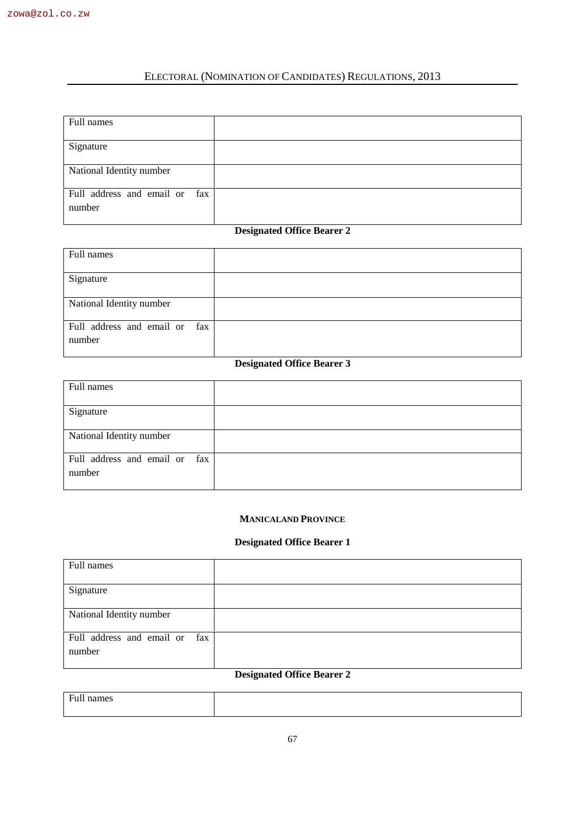| Full names                              |  |
|-----------------------------------------|--|
| Signature                               |  |
| National Identity number                |  |
| Full address and email or fax<br>number |  |

## **Designated Office Bearer 2**

| Full names                    |  |
|-------------------------------|--|
| Signature                     |  |
|                               |  |
| National Identity number      |  |
|                               |  |
| Full address and email or fax |  |
| number                        |  |
|                               |  |

# **Designated Office Bearer 3**

| Full names                              |  |
|-----------------------------------------|--|
| Signature                               |  |
| National Identity number                |  |
| Full address and email or fax<br>number |  |

### **MANICALAND PROVINCE**

# **Designated Office Bearer 1**

| Full names                              |  |
|-----------------------------------------|--|
| Signature                               |  |
| National Identity number                |  |
| Full address and email or fax<br>number |  |

| $\overline{\phantom{0}}$ |  |
|--------------------------|--|
|                          |  |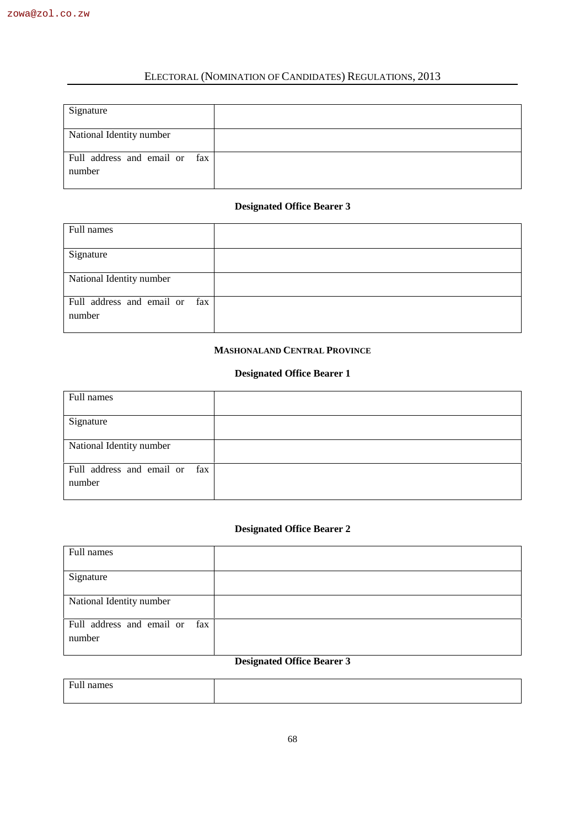| Signature                               |  |
|-----------------------------------------|--|
| National Identity number                |  |
| Full address and email or fax<br>number |  |

# **Designated Office Bearer 3**

| Full names                    |  |
|-------------------------------|--|
|                               |  |
| Signature                     |  |
|                               |  |
| National Identity number      |  |
|                               |  |
| Full address and email or fax |  |
| number                        |  |
|                               |  |

# **MASHONALAND CENTRAL PROVINCE**

# **Designated Office Bearer 1**

| Full names                              |  |
|-----------------------------------------|--|
| Signature                               |  |
| National Identity number                |  |
| Full address and email or fax<br>number |  |

# **Designated Office Bearer 2**

| Full names                    |  |
|-------------------------------|--|
|                               |  |
| Signature                     |  |
|                               |  |
| National Identity number      |  |
|                               |  |
| Full address and email or fax |  |
| number                        |  |
|                               |  |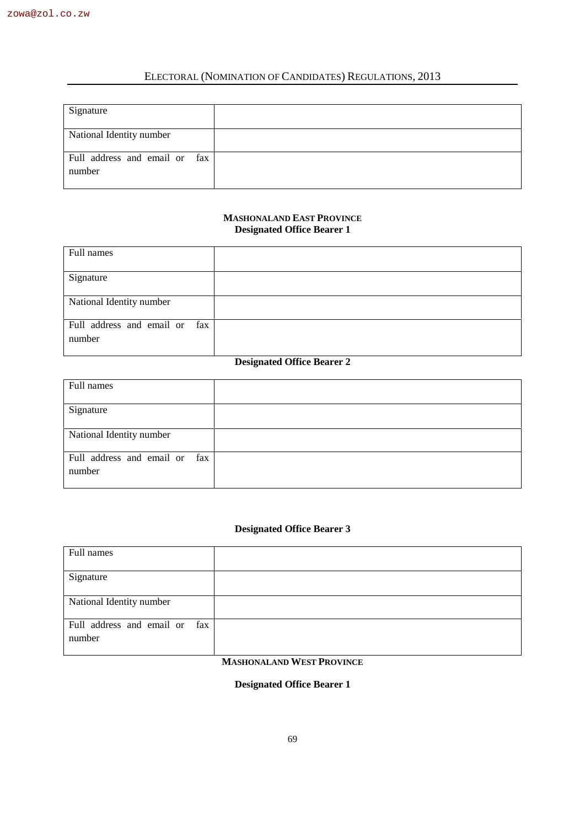| Signature                               |  |
|-----------------------------------------|--|
| National Identity number                |  |
| Full address and email or fax<br>number |  |

## **MASHONALAND EAST PROVINCE Designated Office Bearer 1**

| Full names                    |  |
|-------------------------------|--|
|                               |  |
| Signature                     |  |
|                               |  |
| National Identity number      |  |
|                               |  |
| Full address and email or fax |  |
| number                        |  |
|                               |  |

# **Designated Office Bearer 2**

| Full names                              |  |
|-----------------------------------------|--|
| Signature                               |  |
| National Identity number                |  |
| Full address and email or fax<br>number |  |

# **Designated Office Bearer 3**

| Full names                              |  |
|-----------------------------------------|--|
| Signature                               |  |
| National Identity number                |  |
| Full address and email or fax<br>number |  |

# **MASHONALAND WEST PROVINCE**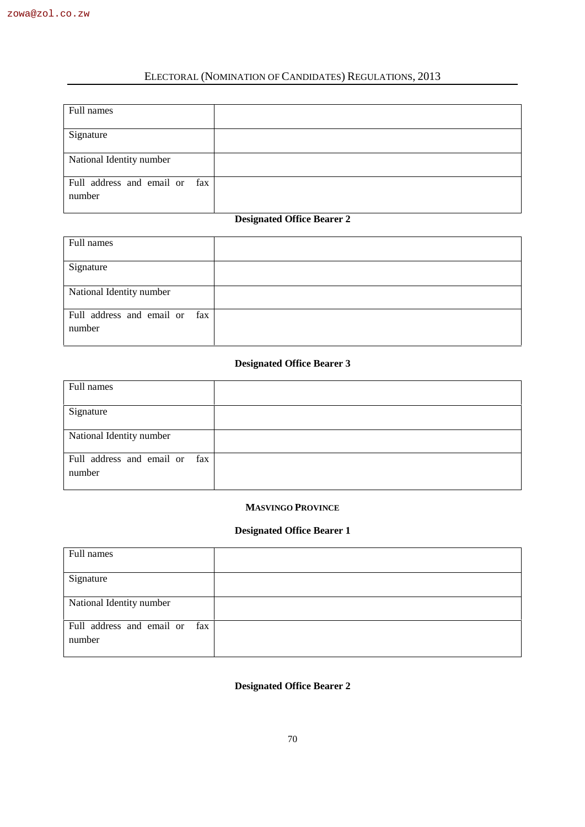| Full names                    |  |
|-------------------------------|--|
|                               |  |
|                               |  |
| Signature                     |  |
|                               |  |
| National Identity number      |  |
|                               |  |
|                               |  |
| Full address and email or fax |  |
| number                        |  |
|                               |  |
|                               |  |

# **Designated Office Bearer 2**

| Full names                              |  |
|-----------------------------------------|--|
| Signature                               |  |
| National Identity number                |  |
| Full address and email or fax<br>number |  |

# **Designated Office Bearer 3**

| Full names                              |  |
|-----------------------------------------|--|
| Signature                               |  |
| National Identity number                |  |
| Full address and email or fax<br>number |  |

### **MASVINGO PROVINCE**

# **Designated Office Bearer 1**

| Full names                    |  |
|-------------------------------|--|
|                               |  |
| Signature                     |  |
|                               |  |
| National Identity number      |  |
|                               |  |
| Full address and email or fax |  |
|                               |  |
| number                        |  |
|                               |  |
|                               |  |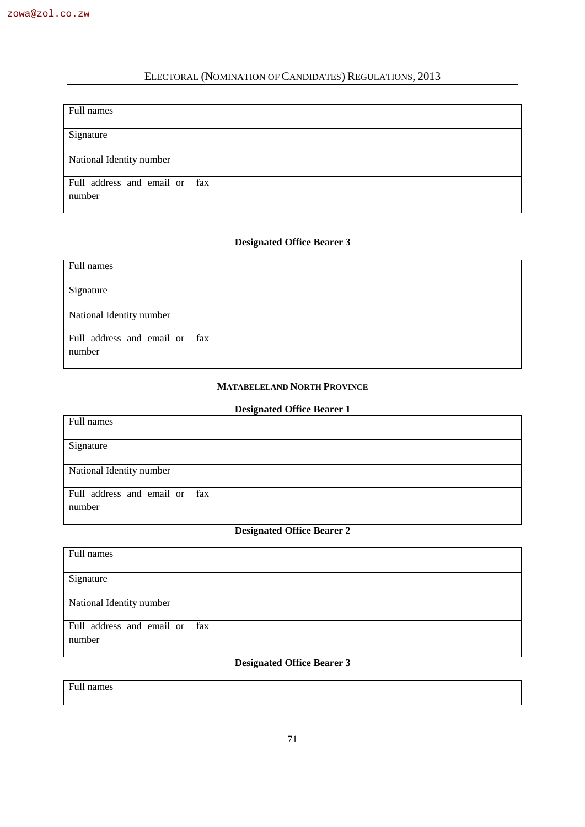| Full names                    |  |
|-------------------------------|--|
|                               |  |
| Signature                     |  |
|                               |  |
| National Identity number      |  |
|                               |  |
| Full address and email or fax |  |
| number                        |  |
|                               |  |

# **Designated Office Bearer 3**

| Full names                              |  |
|-----------------------------------------|--|
| Signature                               |  |
| National Identity number                |  |
| Full address and email or fax<br>number |  |

## **MATABELELAND NORTH PROVINCE**

## **Designated Office Bearer 1**

| Full names                    |  |
|-------------------------------|--|
|                               |  |
| Signature                     |  |
|                               |  |
|                               |  |
| National Identity number      |  |
|                               |  |
| Full address and email or fax |  |
| number                        |  |
|                               |  |
|                               |  |

# **Designated Office Bearer 2**

| Full names                              |  |
|-----------------------------------------|--|
| Signature                               |  |
| National Identity number                |  |
| Full address and email or fax<br>number |  |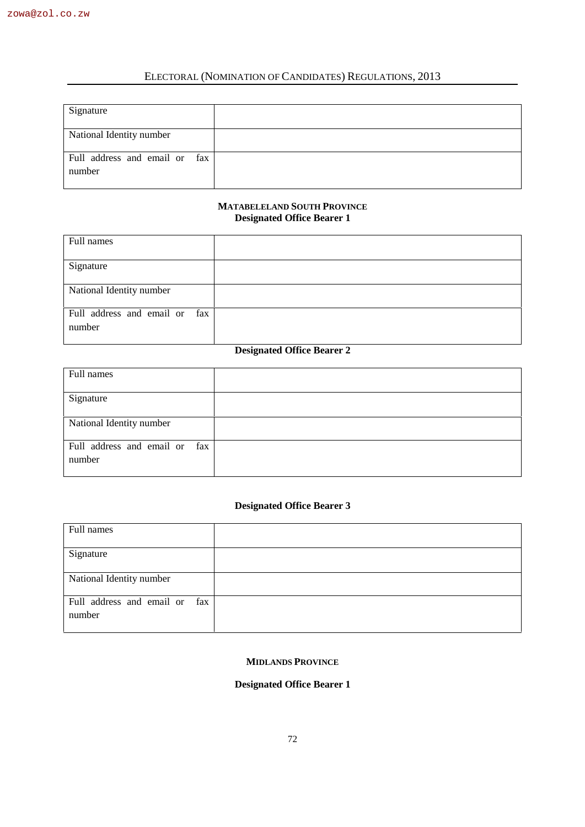| Signature                               |  |
|-----------------------------------------|--|
| National Identity number                |  |
| Full address and email or fax<br>number |  |

### **MATABELELAND SOUTH PROVINCE Designated Office Bearer 1**

| Full names                              |  |
|-----------------------------------------|--|
| Signature                               |  |
| National Identity number                |  |
| Full address and email or fax<br>number |  |

# **Designated Office Bearer 2**

| Full names                              |  |
|-----------------------------------------|--|
| Signature                               |  |
| National Identity number                |  |
| Full address and email or fax<br>number |  |

# **Designated Office Bearer 3**

| Full names                              |  |
|-----------------------------------------|--|
| Signature                               |  |
| National Identity number                |  |
| Full address and email or fax<br>number |  |

### **MIDLANDS PROVINCE**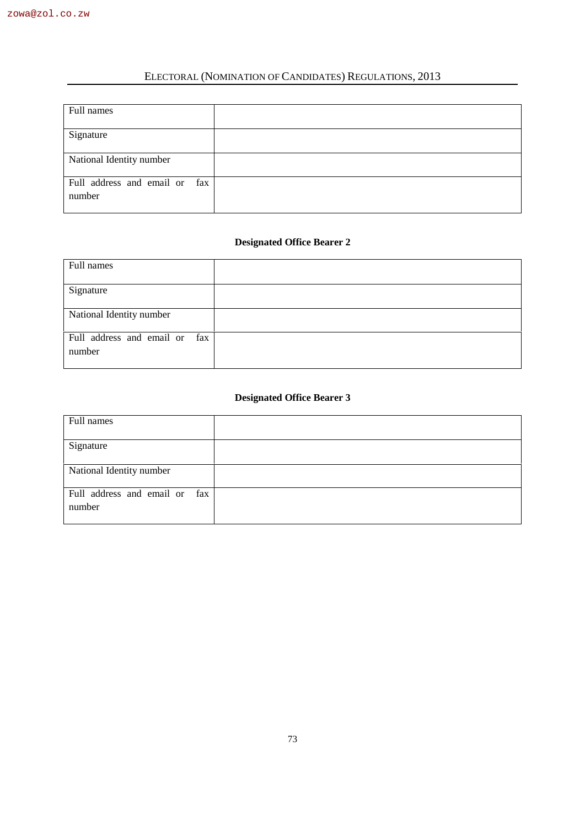# ELECTORAL (NOMINATION OF CANDIDATES) REGULATIONS, 2013

| Full names                    |  |
|-------------------------------|--|
|                               |  |
| Signature                     |  |
|                               |  |
| National Identity number      |  |
|                               |  |
| Full address and email or fax |  |
| number                        |  |
|                               |  |

# **Designated Office Bearer 2**

| Full names                              |  |
|-----------------------------------------|--|
| Signature                               |  |
| National Identity number                |  |
| Full address and email or fax<br>number |  |

# **Designated Office Bearer 3**

| Full names                              |  |
|-----------------------------------------|--|
| Signature                               |  |
| National Identity number                |  |
| Full address and email or fax<br>number |  |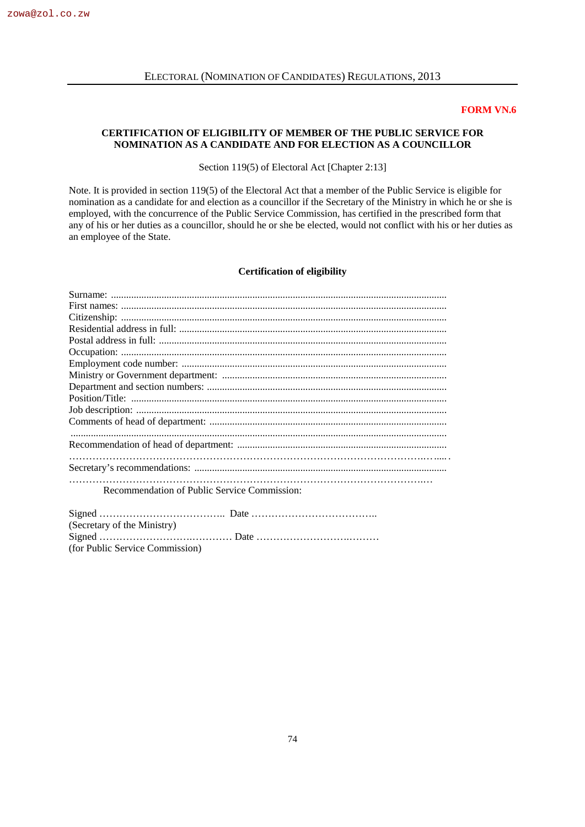#### **FORM VN.6**

### **CERTIFICATION OF ELIGIBILITY OF MEMBER OF THE PUBLIC SERVICE FOR NOMINATION AS A CANDIDATE AND FOR ELECTION AS A COUNCILLOR**

Section 119(5) of Electoral Act [Chapter 2:13]

Note. It is provided in section 119(5) of the Electoral Act that a member of the Public Service is eligible for nomination as a candidate for and election as a councillor if the Secretary of the Ministry in which he or she is employed, with the concurrence of the Public Service Commission, has certified in the prescribed form that any of his or her duties as a councillor, should he or she be elected, would not conflict with his or her duties as an employee of the State.

### **Certification of eligibility**

Recommendation of Public Service Commission:

| (Secretary of the Ministry)     |  |
|---------------------------------|--|
|                                 |  |
| (for Public Service Commission) |  |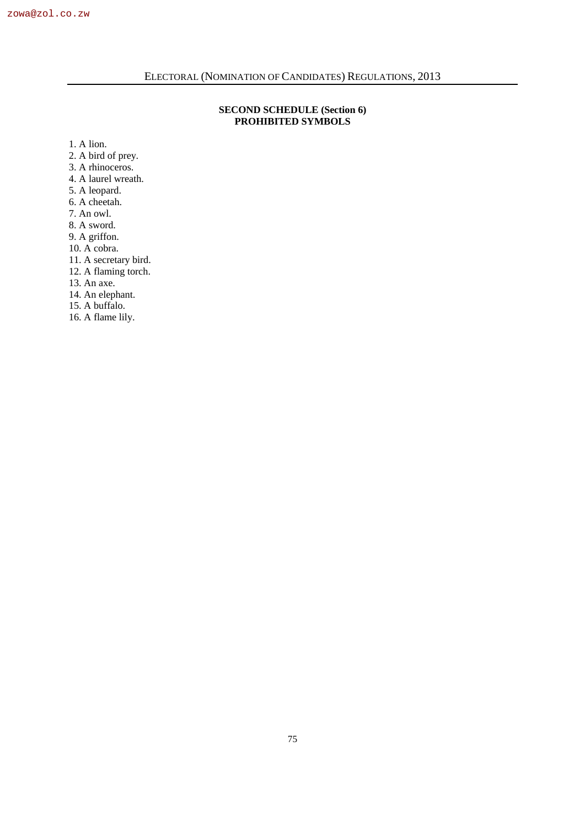#### **SECOND SCHEDULE (Section 6) PROHIBITED SYMBOLS**

1. A lion.

2. A bird of prey.

- 3. A rhinoceros.
- 4. A laurel wreath.
- 5. A leopard.
- 6. A cheetah.
- 7. An owl.
- 8. A sword.
- 9. A griffon.
- 10. A cobra.
- 11. A secretary bird.
- 12. A flaming torch.
- 13. An axe.
- 14. An elephant.
- 15. A buffalo.
- 16. A flame lily.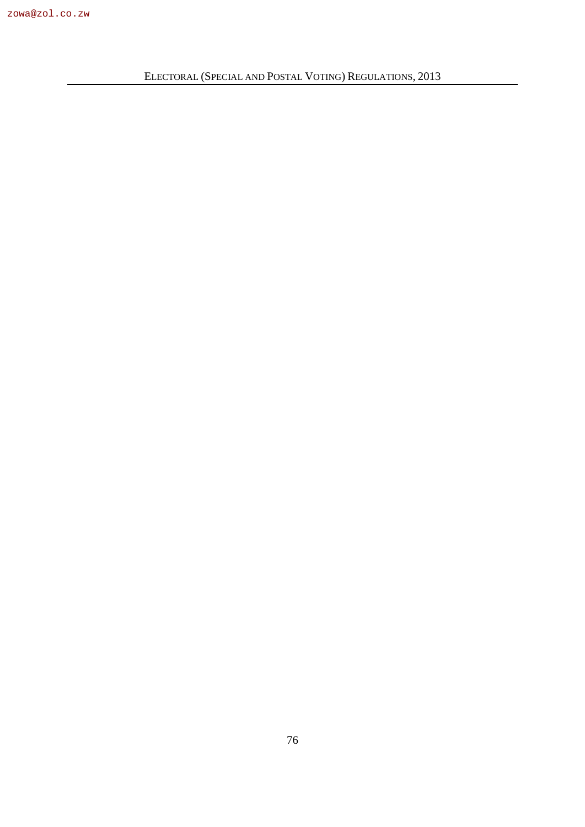ELECTORAL (SPECIAL AND POSTAL VOTING) REGULATIONS, 2013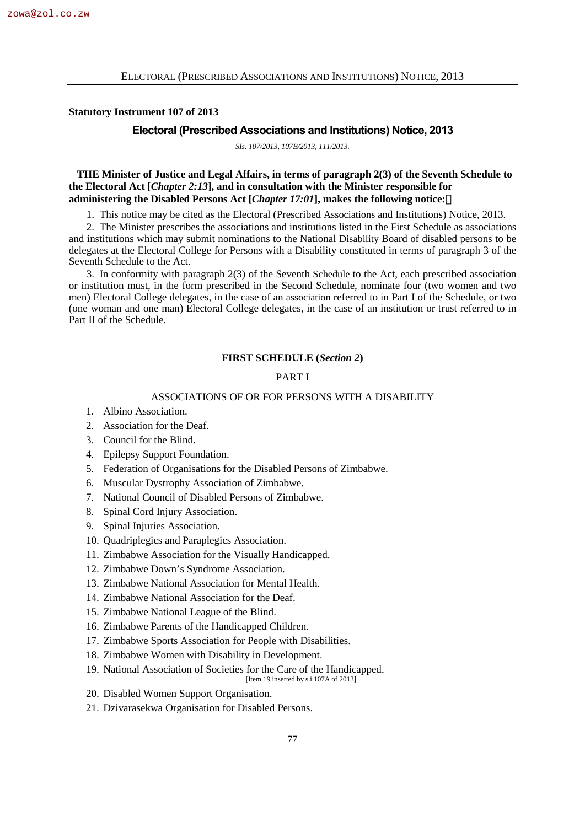**Statutory Instrument 107 of 2013**

#### **Electoral (Prescribed Associations and Institutions) Notice, 2013**

*SIs. 107/2013, 107B/2013, 111/2013.*

### **THE Minister of Justice and Legal Affairs, in terms of paragraph 2(3) of the Seventh Schedule to the Electoral Act [***Chapter 2:13***], and in consultation with the Minister responsible for administering the Disabled Persons Act [***Chapter 17:01***], makes the following notice:**

1. This notice may be cited as the Electoral (Prescribed Associations and Institutions) Notice, 2013.

2. The Minister prescribes the associations and institutions listed in the First Schedule as associations and institutions which may submit nominations to the National Disability Board of disabled persons to be delegates at the Electoral College for Persons with a Disability constituted in terms of paragraph 3 of the Seventh Schedule to the Act.

3. In conformity with paragraph 2(3) of the Seventh Schedule to the Act, each prescribed association or institution must, in the form prescribed in the Second Schedule, nominate four (two women and two men) Electoral College delegates, in the case of an association referred to in Part I of the Schedule, or two (one woman and one man) Electoral College delegates, in the case of an institution or trust referred to in Part II of the Schedule.

#### **FIRST SCHEDULE (***Section 2***)**

#### PART I

#### ASSOCIATIONS OF OR FOR PERSONS WITH A DISABILITY

- 1. Albino Association.
- 2. Association for the Deaf.
- 3. Council for the Blind.
- 4. Epilepsy Support Foundation.
- 5. Federation of Organisations for the Disabled Persons of Zimbabwe.
- 6. Muscular Dystrophy Association of Zimbabwe.
- 7. National Council of Disabled Persons of Zimbabwe.
- 8. Spinal Cord Injury Association.
- 9. Spinal Injuries Association.
- 10. Quadriplegics and Paraplegics Association.
- 11. Zimbabwe Association for the Visually Handicapped.
- 12. Zimbabwe Down's Syndrome Association.
- 13. Zimbabwe National Association for Mental Health.
- 14. Zimbabwe National Association for the Deaf.
- 15. Zimbabwe National League of the Blind.
- 16. Zimbabwe Parents of the Handicapped Children.
- 17. Zimbabwe Sports Association for People with Disabilities.
- 18. Zimbabwe Women with Disability in Development.
- 19. National Association of Societies for the Care of the Handicapped. [Item 19 inserted by s.i 107A of 2013]
- 20. Disabled Women Support Organisation.
- 21. Dzivarasekwa Organisation for Disabled Persons.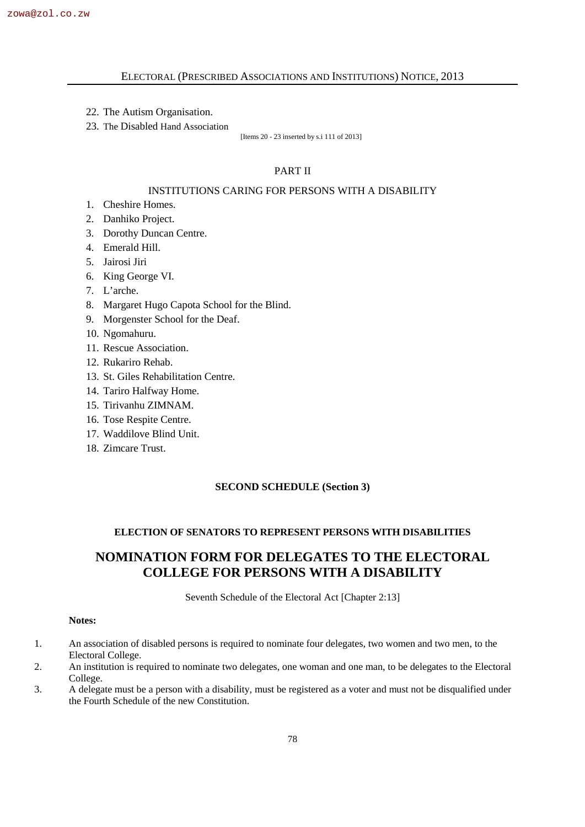- 22. The Autism Organisation.
- 23. The Disabled Hand Association

[Items 20 - 23 inserted by s.i 111 of 2013]

# PART II

## INSTITUTIONS CARING FOR PERSONS WITH A DISABILITY

- 1. Cheshire Homes.
- 2. Danhiko Project.
- 3. Dorothy Duncan Centre.
- 4. Emerald Hill.
- 5. Jairosi Jiri
- 6. King George VI.
- 7. L'arche.
- 8. Margaret Hugo Capota School for the Blind.
- 9. Morgenster School for the Deaf.
- 10. Ngomahuru.
- 11. Rescue Association.
- 12. Rukariro Rehab.
- 13. St. Giles Rehabilitation Centre.
- 14. Tariro Halfway Home.
- 15. Tirivanhu ZIMNAM.
- 16. Tose Respite Centre.
- 17. Waddilove Blind Unit.
- 18. Zimcare Trust.

## **SECOND SCHEDULE (Section 3)**

## **ELECTION OF SENATORS TO REPRESENT PERSONS WITH DISABILITIES**

# **NOMINATION FORM FOR DELEGATES TO THE ELECTORAL COLLEGE FOR PERSONS WITH A DISABILITY**

Seventh Schedule of the Electoral Act [Chapter 2:13]

### **Notes:**

- 1. An association of disabled persons is required to nominate four delegates, two women and two men, to the Electoral College.
- 2. An institution is required to nominate two delegates, one woman and one man, to be delegates to the Electoral College.
- 3. A delegate must be a person with a disability, must be registered as a voter and must not be disqualified under the Fourth Schedule of the new Constitution.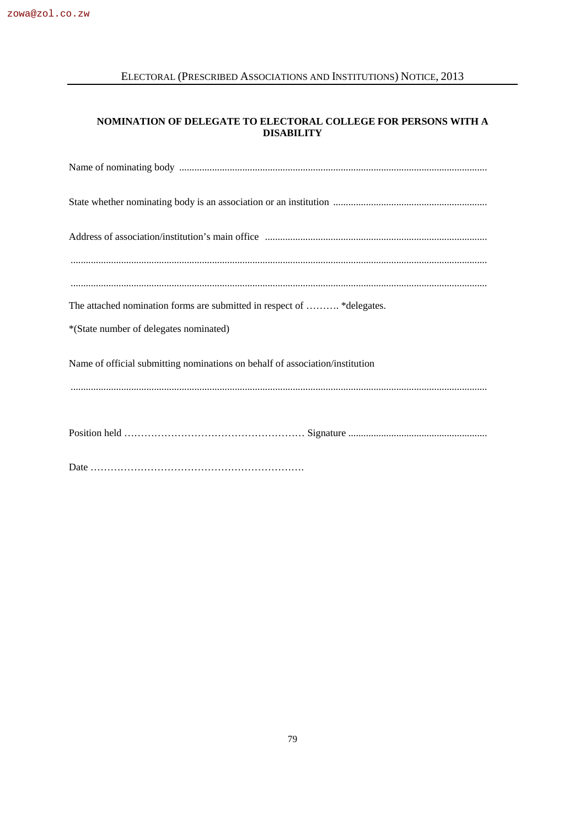# **NOMINATION OF DELEGATE TO ELECTORAL COLLEGE FOR PERSONS WITH A DISABILITY**

| The attached nomination forms are submitted in respect of  *delegates.       |
|------------------------------------------------------------------------------|
| *(State number of delegates nominated)                                       |
| Name of official submitting nominations on behalf of association/institution |
|                                                                              |
|                                                                              |
|                                                                              |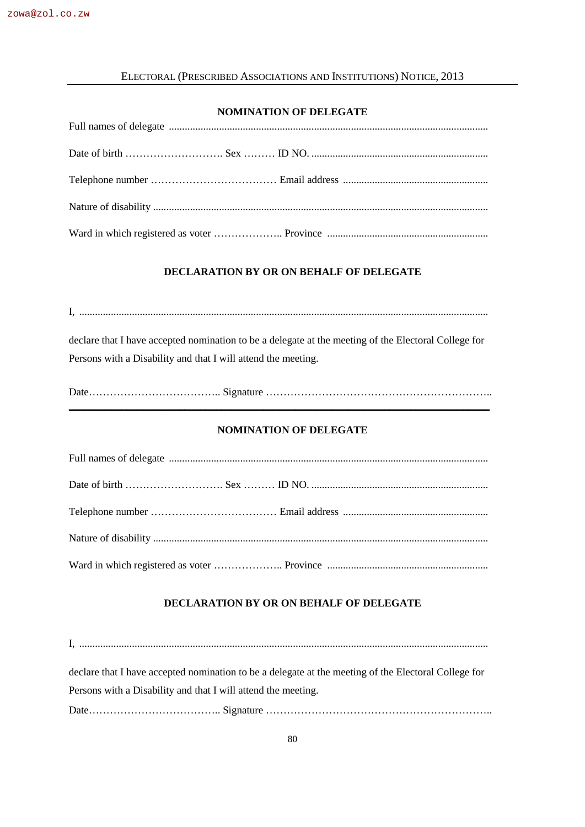### **NOMINATION OF DELEGATE**

## **DECLARATION BY OR ON BEHALF OF DELEGATE**

I, ........................................................................................................................................................... declare that I have accepted nomination to be a delegate at the meeting of the Electoral College for Persons with a Disability and that I will attend the meeting.

Date……………………………….. Signature ………………………………………………………..

# **NOMINATION OF DELEGATE**

\_\_\_\_\_\_\_\_\_\_\_\_\_\_\_\_\_\_\_\_\_\_\_\_\_\_\_\_\_\_\_\_\_\_\_\_\_\_\_\_\_\_\_\_\_\_\_\_\_\_\_\_\_\_\_\_\_\_\_\_\_\_\_\_\_\_\_\_\_\_\_\_\_\_\_\_\_\_\_\_

# **DECLARATION BY OR ON BEHALF OF DELEGATE**

declare that I have accepted nomination to be a delegate at the meeting of the Electoral College for Persons with a Disability and that I will attend the meeting.

Date……………………………….. Signature ………………………………………………………..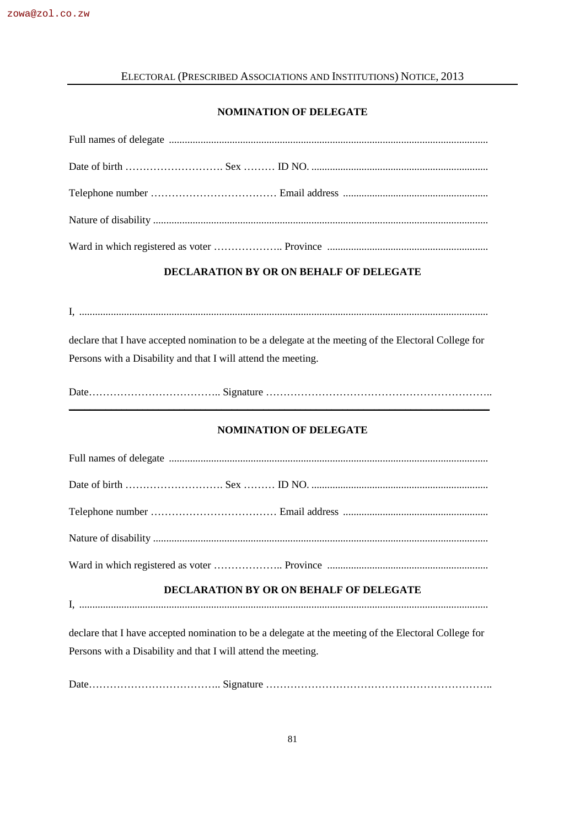# **NOMINATION OF DELEGATE**

# **DECLARATION BY OR ON BEHALF OF DELEGATE**

I, ...........................................................................................................................................................

declare that I have accepted nomination to be a delegate at the meeting of the Electoral College for Persons with a Disability and that I will attend the meeting.

Date……………………………….. Signature ………………………………………………………..

## **NOMINATION OF DELEGATE**

\_\_\_\_\_\_\_\_\_\_\_\_\_\_\_\_\_\_\_\_\_\_\_\_\_\_\_\_\_\_\_\_\_\_\_\_\_\_\_\_\_\_\_\_\_\_\_\_\_\_\_\_\_\_\_\_\_\_\_\_\_\_\_\_\_\_\_\_\_\_\_\_\_\_\_\_\_\_\_\_

# **DECLARATION BY OR ON BEHALF OF DELEGATE**

I, ...........................................................................................................................................................

declare that I have accepted nomination to be a delegate at the meeting of the Electoral College for Persons with a Disability and that I will attend the meeting.

Date……………………………….. Signature ………………………………………………………..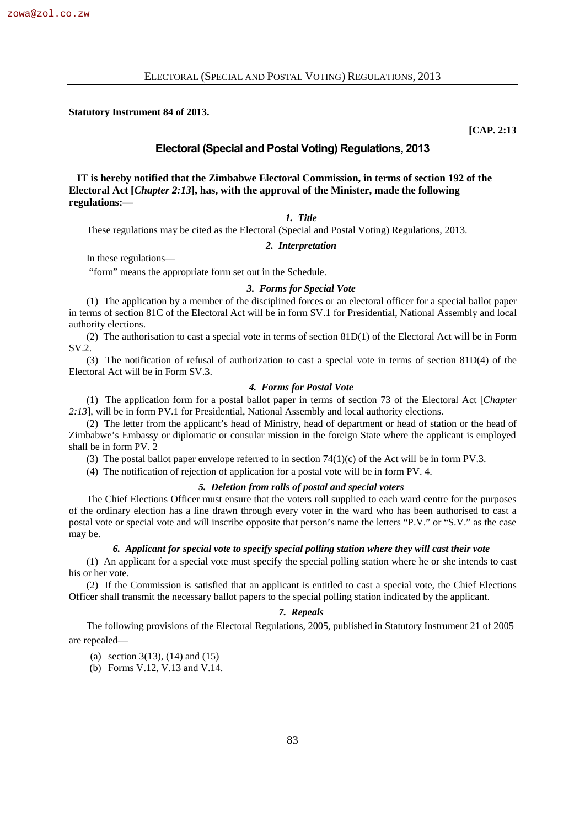**Statutory Instrument 84 of 2013.**

**[CAP. 2:13**

# **Electoral (Special and Postal Voting) Regulations, 2013**

**IT is hereby notified that the Zimbabwe Electoral Commission, in terms of section 192 of the Electoral Act [***Chapter 2:13***], has, with the approval of the Minister, made the following regulations:—**

#### *1. Title*

These regulations may be cited as the Electoral (Special and Postal Voting) Regulations, 2013.

#### *2. Interpretation*

In these regulations—

"form" means the appropriate form set out in the Schedule.

#### *3. Forms for Special Vote*

(1) The application by a member of the disciplined forces or an electoral officer for a special ballot paper in terms of section 81C of the Electoral Act will be in form SV.1 for Presidential, National Assembly and local authority elections.

(2) The authorisation to cast a special vote in terms of section 81D(1) of the Electoral Act will be in Form SV.2.

(3) The notification of refusal of authorization to cast a special vote in terms of section 81D(4) of the Electoral Act will be in Form SV.3.

#### *4. Forms for Postal Vote*

(1) The application form for a postal ballot paper in terms of section 73 of the Electoral Act [*Chapter 2:13*], will be in form PV.1 for Presidential, National Assembly and local authority elections.

(2) The letter from the applicant's head of Ministry, head of department or head of station or the head of Zimbabwe's Embassy or diplomatic or consular mission in the foreign State where the applicant is employed shall be in form PV. 2

(3) The postal ballot paper envelope referred to in section 74(1)(c) of the Act will be in form PV.3.

(4) The notification of rejection of application for a postal vote will be in form PV. 4.

#### *5. Deletion from rolls of postal and special voters*

The Chief Elections Officer must ensure that the voters roll supplied to each ward centre for the purposes of the ordinary election has a line drawn through every voter in the ward who has been authorised to cast a postal vote or special vote and will inscribe opposite that person's name the letters "P.V." or "S.V." as the case may be.

### *6. Applicant for special vote to specify special polling station where they will cast their vote*

(1) An applicant for a special vote must specify the special polling station where he or she intends to cast his or her vote.

(2) If the Commission is satisfied that an applicant is entitled to cast a special vote, the Chief Elections Officer shall transmit the necessary ballot papers to the special polling station indicated by the applicant.

#### *7. Repeals*

The following provisions of the Electoral Regulations, 2005, published in Statutory Instrument 21 of 2005 are repealed—

- (a) section 3(13), (14) and (15)
- (b) Forms V.12, V.13 and V.14.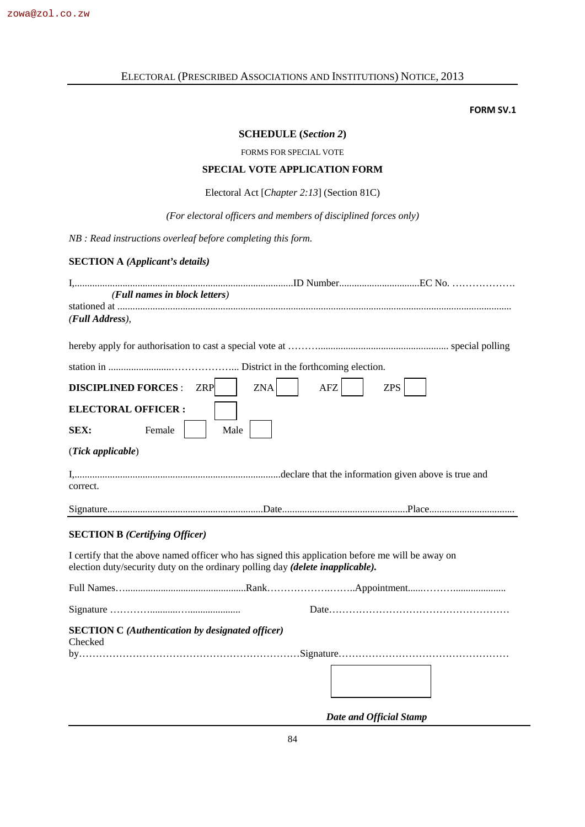#### **FORM SV.1**

### **SCHEDULE (***Section 2***)**

FORMS FOR SPECIAL VOTE

# **SPECIAL VOTE APPLICATION FORM**

# Electoral Act [*Chapter 2:13*] (Section 81C)

*(For electoral officers and members of disciplined forces only)*

*NB : Read instructions overleaf before completing this form.*

# **SECTION A** *(Applicant's details)*

| (Full names in block letters)                                                                                                                                                      |                         |            |
|------------------------------------------------------------------------------------------------------------------------------------------------------------------------------------|-------------------------|------------|
| (Full Address),                                                                                                                                                                    |                         |            |
|                                                                                                                                                                                    |                         |            |
|                                                                                                                                                                                    |                         |            |
| <b>DISCIPLINED FORCES:</b><br>ZNA<br><b>ZRP</b>                                                                                                                                    | <b>AFZ</b>              | <b>ZPS</b> |
| <b>ELECTORAL OFFICER:</b><br>SEX:<br>Female<br>Male                                                                                                                                |                         |            |
| (Tick applicable)                                                                                                                                                                  |                         |            |
| correct.                                                                                                                                                                           |                         |            |
|                                                                                                                                                                                    |                         |            |
| <b>SECTION B</b> (Certifying Officer)                                                                                                                                              |                         |            |
| I certify that the above named officer who has signed this application before me will be away on<br>election duty/security duty on the ordinary polling day (delete inapplicable). |                         |            |
|                                                                                                                                                                                    |                         |            |
|                                                                                                                                                                                    |                         |            |
| <b>SECTION C</b> (Authentication by designated officer)<br>Checked                                                                                                                 |                         |            |
|                                                                                                                                                                                    |                         |            |
|                                                                                                                                                                                    |                         |            |
|                                                                                                                                                                                    | Date and Official Stamp |            |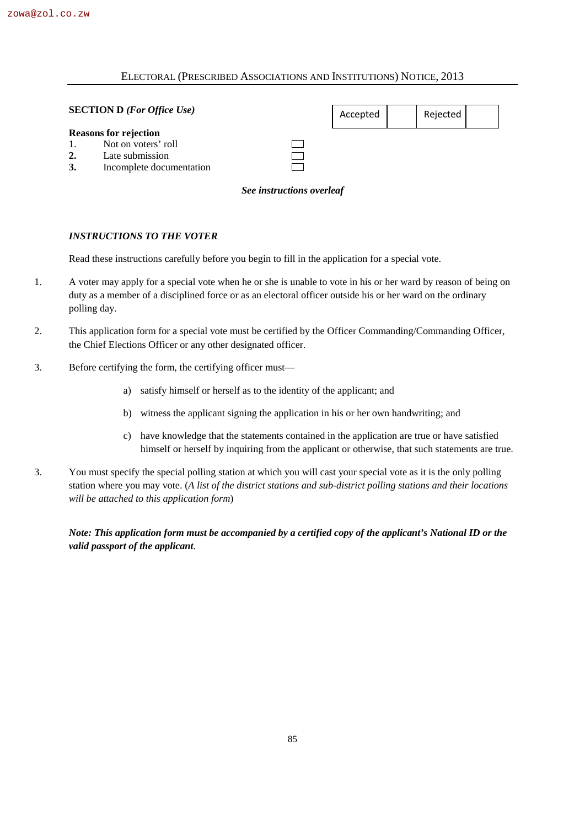|                | <b>SECTION D</b> (For Office Use) | Accepted | Rejected |  |
|----------------|-----------------------------------|----------|----------|--|
|                | <b>Reasons for rejection</b>      |          |          |  |
| $\mathbf{1}$ . | Not on voters' roll               |          |          |  |
| 2.             | Late submission                   |          |          |  |
| 3.             | Incomplete documentation          |          |          |  |

*See instructions overleaf*

### *INSTRUCTIONS TO THE VOTER*

Read these instructions carefully before you begin to fill in the application for a special vote.

- 1. A voter may apply for a special vote when he or she is unable to vote in his or her ward by reason of being on duty as a member of a disciplined force or as an electoral officer outside his or her ward on the ordinary polling day.
- 2. This application form for a special vote must be certified by the Officer Commanding/Commanding Officer, the Chief Elections Officer or any other designated officer.
- 3. Before certifying the form, the certifying officer must
	- a) satisfy himself or herself as to the identity of the applicant; and
	- b) witness the applicant signing the application in his or her own handwriting; and
	- c) have knowledge that the statements contained in the application are true or have satisfied himself or herself by inquiring from the applicant or otherwise, that such statements are true.
- 3. You must specify the special polling station at which you will cast your special vote as it is the only polling station where you may vote. (*A list of the district stations and sub-district polling stations and their locations will be attached to this application form*)

*Note: This application form must be accompanied by a certified copy of the applicant's National ID or the valid passport of the applicant*.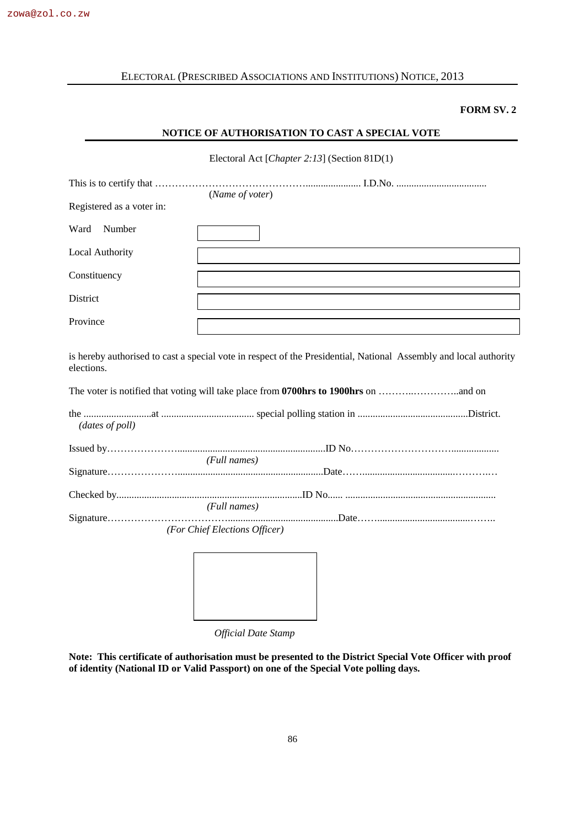#### **FORM SV. 2**

### **NOTICE OF AUTHORISATION TO CAST A SPECIAL VOTE**

|                           | Electoral Act [Chapter 2:13] (Section 81D(1) |
|---------------------------|----------------------------------------------|
|                           |                                              |
| Registered as a voter in: | (Name of voter)                              |
| Ward<br>Number            |                                              |
| <b>Local Authority</b>    |                                              |
| Constituency              |                                              |
| District                  |                                              |
| Province                  |                                              |
|                           |                                              |

is hereby authorised to cast a special vote in respect of the Presidential, National Assembly and local authority elections.

The voter is notified that voting will take place from **0700hrs to 1900hrs** on ………..…………..and on

| (dates of poll) |  |  |
|-----------------|--|--|

| (Full names)                  |  |
|-------------------------------|--|
|                               |  |
|                               |  |
|                               |  |
| (Full names)                  |  |
|                               |  |
| (For Chief Elections Officer) |  |



*Official Date Stamp*

**Note: This certificate of authorisation must be presented to the District Special Vote Officer with proof of identity (National ID or Valid Passport) on one of the Special Vote polling days.**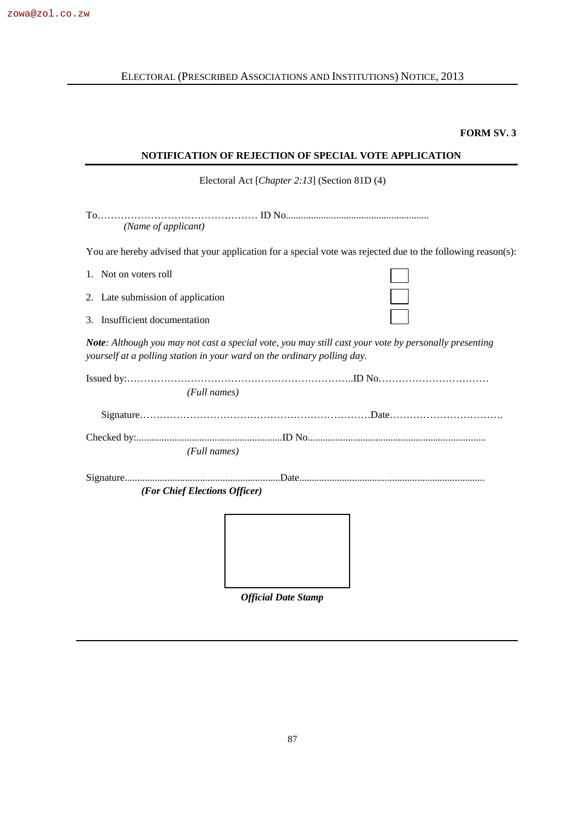### **FORM SV. 3**

## **NOTIFICATION OF REJECTION OF SPECIAL VOTE APPLICATION**

Electoral Act [*Chapter 2:13*] (Section 81D (4)

To………………………………………… ID No......................................................... *(Name of applicant)*

You are hereby advised that your application for a special vote was rejected due to the following reason(s):

1. Not on voters roll

2. Late submission of application

3. Insufficient documentation

*Note: Although you may not cast a special vote, you may still cast your vote by personally presenting yourself at a polling station in your ward on the ordinary polling day.*

| $(Full \, names)$ |  |
|-------------------|--|
|                   |  |
|                   |  |
| $(Full \, names)$ |  |
|                   |  |

Signature..............................................................Date.......................................................................... *(For Chief Elections Officer)*



*Official Date Stamp*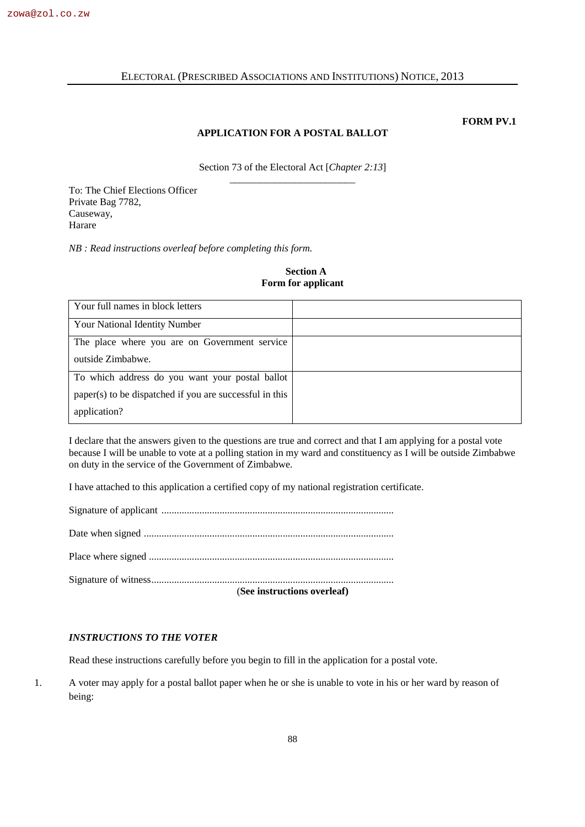# **APPLICATION FOR A POSTAL BALLOT**

**FORM PV.1**

Section 73 of the Electoral Act [*Chapter 2:13*]

\_\_\_\_\_\_\_\_\_\_\_\_\_\_\_\_\_\_\_\_\_\_\_\_\_

To: The Chief Elections Officer Private Bag 7782, Causeway, Harare

*NB : Read instructions overleaf before completing this form.*

## **Section A Form for applicant**

| Your full names in block letters                        |  |
|---------------------------------------------------------|--|
| Your National Identity Number                           |  |
| The place where you are on Government service           |  |
| outside Zimbabwe.                                       |  |
| To which address do you want your postal ballot         |  |
| paper(s) to be dispatched if you are successful in this |  |
| application?                                            |  |

I declare that the answers given to the questions are true and correct and that I am applying for a postal vote because I will be unable to vote at a polling station in my ward and constituency as I will be outside Zimbabwe on duty in the service of the Government of Zimbabwe.

I have attached to this application a certified copy of my national registration certificate.

Signature of applicant ............................................................................................ Date when signed ................................................................................................... Place where signed ................................................................................................. Signature of witness................................................................................................

(**See instructions overleaf)**

#### *INSTRUCTIONS TO THE VOTER*

Read these instructions carefully before you begin to fill in the application for a postal vote.

1. A voter may apply for a postal ballot paper when he or she is unable to vote in his or her ward by reason of being: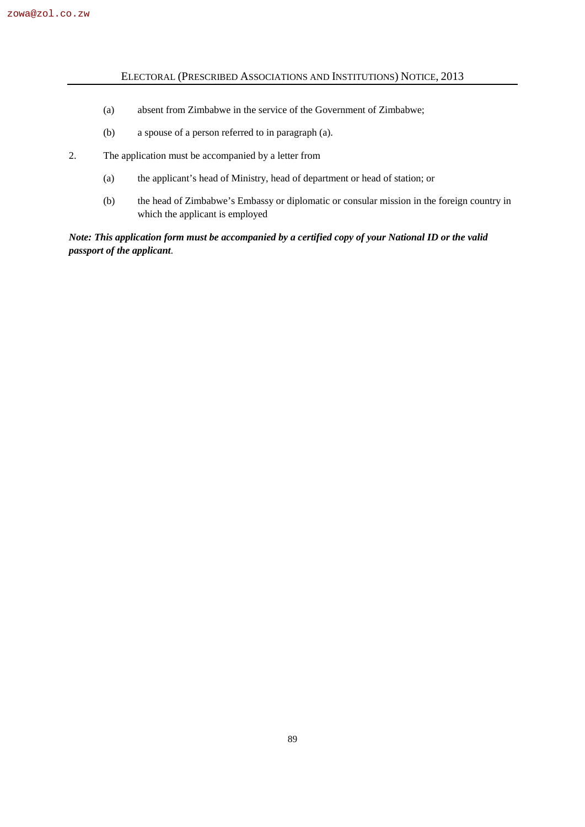- (a) absent from Zimbabwe in the service of the Government of Zimbabwe;
- (b) a spouse of a person referred to in paragraph (a).
- 2. The application must be accompanied by a letter from
	- (a) the applicant's head of Ministry, head of department or head of station; or
	- (b) the head of Zimbabwe's Embassy or diplomatic or consular mission in the foreign country in which the applicant is employed

*Note: This application form must be accompanied by a certified copy of your National ID or the valid passport of the applicant*.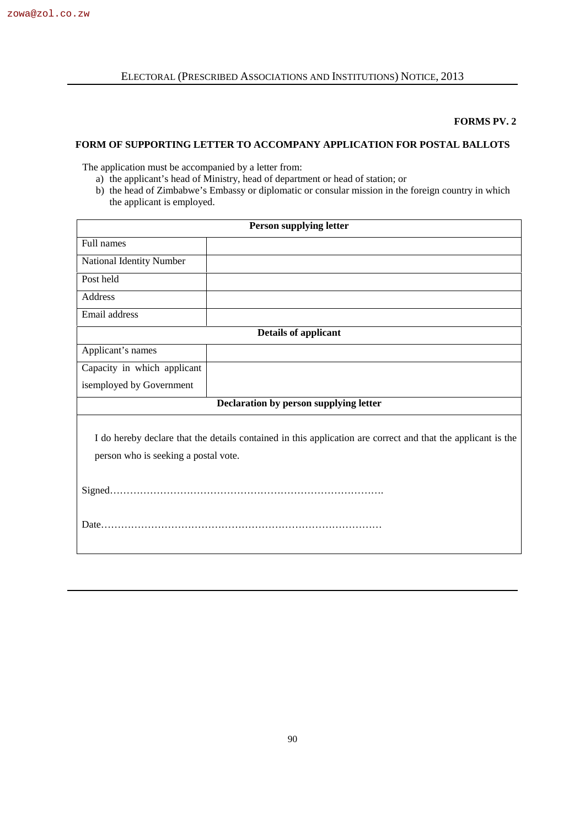**FORMS PV. 2**

### **FORM OF SUPPORTING LETTER TO ACCOMPANY APPLICATION FOR POSTAL BALLOTS**

The application must be accompanied by a letter from:

- a) the applicant's head of Ministry, head of department or head of station; or
- b) the head of Zimbabwe's Embassy or diplomatic or consular mission in the foreign country in which the applicant is employed.

|                                      | <b>Person supplying letter</b>                                                                               |
|--------------------------------------|--------------------------------------------------------------------------------------------------------------|
| Full names                           |                                                                                                              |
| National Identity Number             |                                                                                                              |
| Post held                            |                                                                                                              |
| Address                              |                                                                                                              |
| Email address                        |                                                                                                              |
|                                      | <b>Details of applicant</b>                                                                                  |
| Applicant's names                    |                                                                                                              |
| Capacity in which applicant          |                                                                                                              |
| isemployed by Government             |                                                                                                              |
|                                      | Declaration by person supplying letter                                                                       |
| person who is seeking a postal vote. | I do hereby declare that the details contained in this application are correct and that the applicant is the |
|                                      |                                                                                                              |
|                                      |                                                                                                              |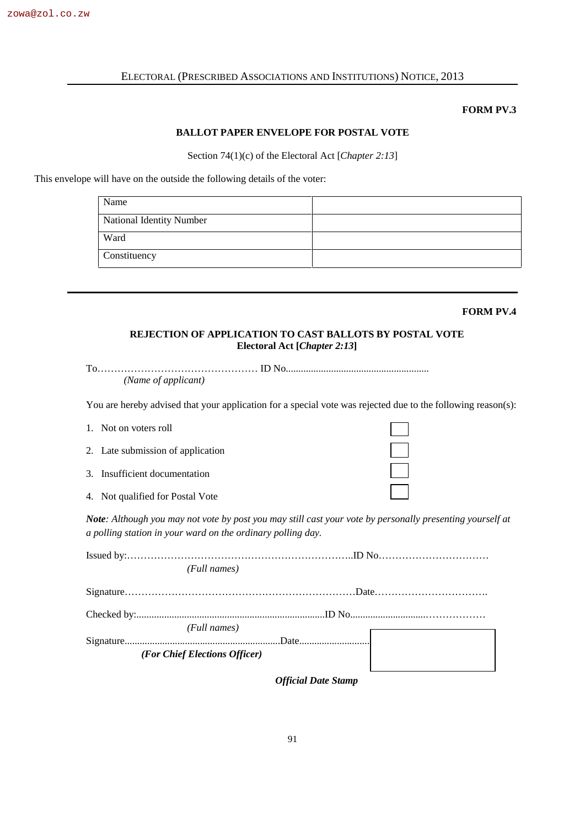#### **FORM PV.3**

### **BALLOT PAPER ENVELOPE FOR POSTAL VOTE**

Section 74(1)(c) of the Electoral Act [*Chapter 2:13*]

This envelope will have on the outside the following details of the voter:

| Name                            |  |
|---------------------------------|--|
| <b>National Identity Number</b> |  |
| Ward                            |  |
| Constituency                    |  |

#### **FORM PV.4**

## **REJECTION OF APPLICATION TO CAST BALLOTS BY POSTAL VOTE Electoral Act [***Chapter 2:13***]**

To………………………………………… ID No......................................................... *(Name of applicant)*

You are hereby advised that your application for a special vote was rejected due to the following reason(s):

- 1. Not on voters roll
- 2. Late submission of application
- 3. Insufficient documentation
- 4. Not qualified for Postal Vote

*Note: Although you may not vote by post you may still cast your vote by personally presenting yourself at a polling station in your ward on the ordinary polling day.*

| (Full names)                  |  |  |
|-------------------------------|--|--|
|                               |  |  |
|                               |  |  |
| (Full names)                  |  |  |
|                               |  |  |
| (For Chief Elections Officer) |  |  |

*Official Date Stamp*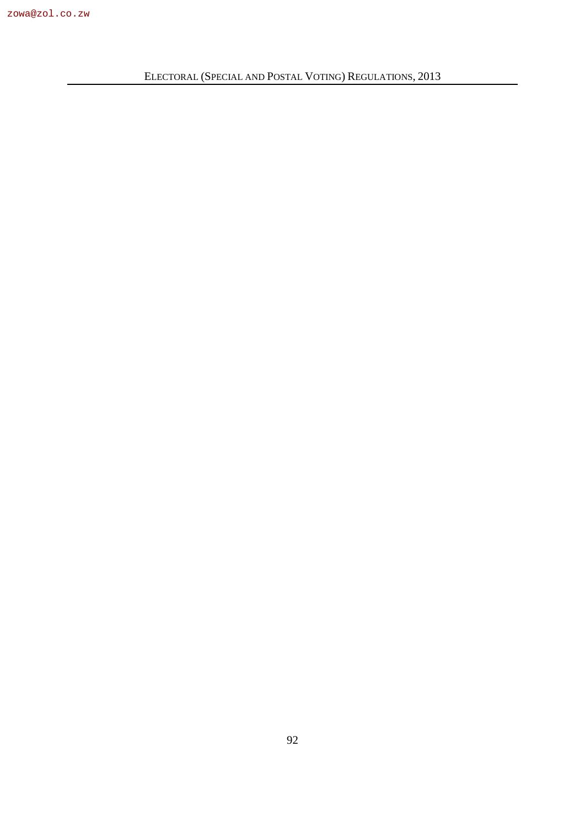ELECTORAL (SPECIAL AND POSTAL VOTING) REGULATIONS, 2013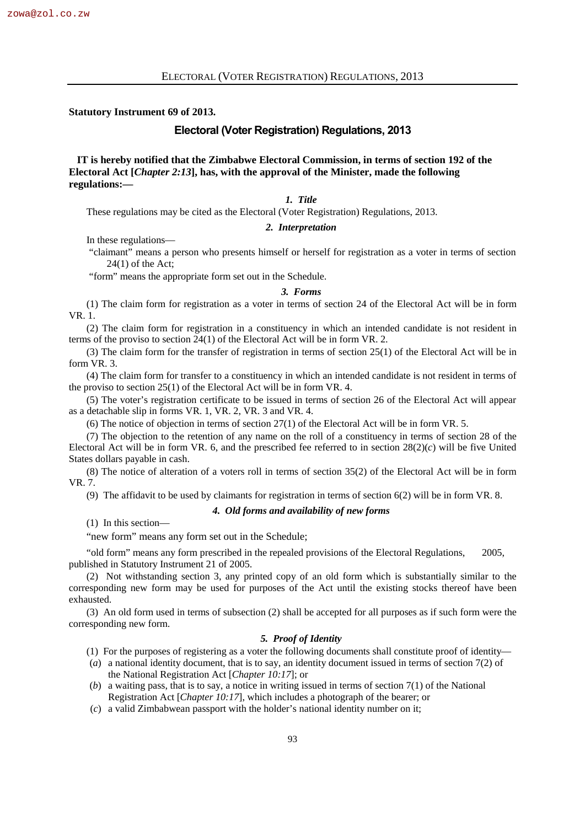**Statutory Instrument 69 of 2013.**

#### **Electoral (Voter Registration) Regulations, 2013**

**IT is hereby notified that the Zimbabwe Electoral Commission, in terms of section 192 of the Electoral Act [***Chapter 2:13***], has, with the approval of the Minister, made the following regulations:—**

*1. Title*

These regulations may be cited as the Electoral (Voter Registration) Regulations, 2013.

#### *2. Interpretation*

In these regulations—

"claimant" means a person who presents himself or herself for registration as a voter in terms of section 24(1) of the Act;

"form" means the appropriate form set out in the Schedule.

#### *3. Forms*

(1) The claim form for registration as a voter in terms of section 24 of the Electoral Act will be in form VR. 1.

(2) The claim form for registration in a constituency in which an intended candidate is not resident in terms of the proviso to section 24(1) of the Electoral Act will be in form VR. 2.

(3) The claim form for the transfer of registration in terms of section 25(1) of the Electoral Act will be in form VR. 3.

(4) The claim form for transfer to a constituency in which an intended candidate is not resident in terms of the proviso to section 25(1) of the Electoral Act will be in form VR. 4.

(5) The voter's registration certificate to be issued in terms of section 26 of the Electoral Act will appear as a detachable slip in forms VR. 1, VR. 2, VR. 3 and VR. 4.

(6) The notice of objection in terms of section 27(1) of the Electoral Act will be in form VR. 5.

(7) The objection to the retention of any name on the roll of a constituency in terms of section 28 of the Electoral Act will be in form VR. 6, and the prescribed fee referred to in section  $28(2)(c)$  will be five United States dollars payable in cash.

(8) The notice of alteration of a voters roll in terms of section 35(2) of the Electoral Act will be in form VR. 7.

(9) The affidavit to be used by claimants for registration in terms of section 6(2) will be in form VR. 8.

#### *4. Old forms and availability of new forms*

(1) In this section—

"new form" means any form set out in the Schedule;

"old form" means any form prescribed in the repealed provisions of the Electoral Regulations, 2005, published in Statutory Instrument 21 of 2005.

(2) Not withstanding section 3, any printed copy of an old form which is substantially similar to the corresponding new form may be used for purposes of the Act until the existing stocks thereof have been exhausted.

(3) An old form used in terms of subsection (2) shall be accepted for all purposes as if such form were the corresponding new form.

#### *5. Proof of Identity*

(1) For the purposes of registering as a voter the following documents shall constitute proof of identity—

- (*a*) a national identity document, that is to say, an identity document issued in terms of section 7(2) of the National Registration Act [*Chapter 10:17*]; or
- (*b*) a waiting pass, that is to say, a notice in writing issued in terms of section 7(1) of the National Registration Act [*Chapter 10:17*], which includes a photograph of the bearer; or
- (*c*) a valid Zimbabwean passport with the holder's national identity number on it;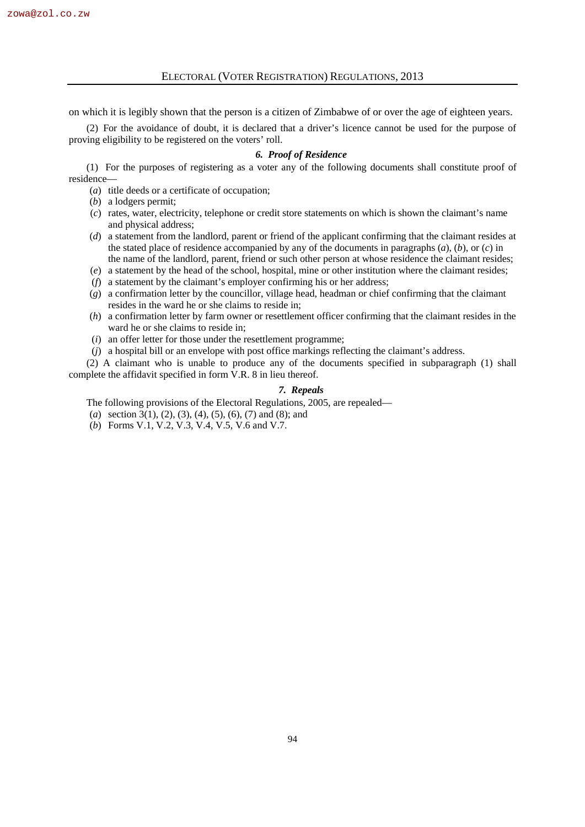on which it is legibly shown that the person is a citizen of Zimbabwe of or over the age of eighteen years.

(2) For the avoidance of doubt, it is declared that a driver's licence cannot be used for the purpose of proving eligibility to be registered on the voters' roll.

#### *6. Proof of Residence*

(1) For the purposes of registering as a voter any of the following documents shall constitute proof of residence—

- (*a*) title deeds or a certificate of occupation;
- (*b*) a lodgers permit;
- (*c*) rates, water, electricity, telephone or credit store statements on which is shown the claimant's name and physical address;
- (*d*) a statement from the landlord, parent or friend of the applicant confirming that the claimant resides at the stated place of residence accompanied by any of the documents in paragraphs (*a*), (*b*), or (*c*) in the name of the landlord, parent, friend or such other person at whose residence the claimant resides;
- (*e*) a statement by the head of the school, hospital, mine or other institution where the claimant resides;
- (*f*) a statement by the claimant's employer confirming his or her address;
- (*g*) a confirmation letter by the councillor, village head, headman or chief confirming that the claimant resides in the ward he or she claims to reside in;
- (*h*) a confirmation letter by farm owner or resettlement officer confirming that the claimant resides in the ward he or she claims to reside in;
- (*i*) an offer letter for those under the resettlement programme;
- (*j*) a hospital bill or an envelope with post office markings reflecting the claimant's address.

(2) A claimant who is unable to produce any of the documents specified in subparagraph (1) shall complete the affidavit specified in form V.R. 8 in lieu thereof.

#### *7. Repeals*

The following provisions of the Electoral Regulations, 2005, are repealed—

- (*a*) section 3(1), (2), (3), (4), (5), (6), (7) and (8); and
- (*b*) Forms V.1, V.2, V.3, V.4, V.5, V.6 and V.7.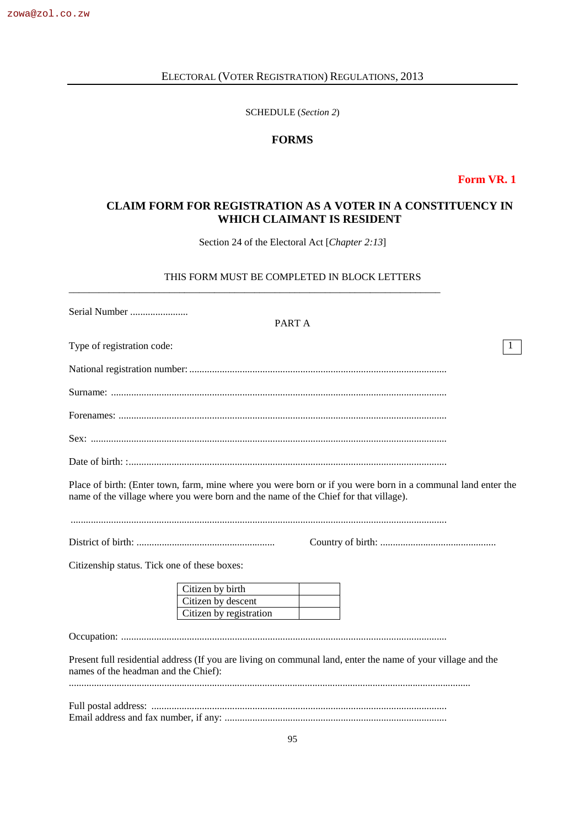SCHEDULE (*Section 2*)

# **FORMS**

**Form VR. 1**

# **CLAIM FORM FOR REGISTRATION AS A VOTER IN A CONSTITUENCY IN WHICH CLAIMANT IS RESIDENT**

Section 24 of the Electoral Act [*Chapter 2:13*]

## THIS FORM MUST BE COMPLETED IN BLOCK LETTERS

\_\_\_\_\_\_\_\_\_\_\_\_\_\_\_\_\_\_\_\_\_\_\_\_\_\_\_\_\_\_\_\_\_\_\_\_\_\_\_\_\_\_\_\_\_\_\_\_\_\_\_\_\_\_\_\_\_\_\_\_\_\_\_\_\_\_\_\_\_\_\_\_\_\_

| Serial Number                                                                                                                                                                                        |
|------------------------------------------------------------------------------------------------------------------------------------------------------------------------------------------------------|
| PART A                                                                                                                                                                                               |
| Type of registration code:                                                                                                                                                                           |
|                                                                                                                                                                                                      |
|                                                                                                                                                                                                      |
|                                                                                                                                                                                                      |
|                                                                                                                                                                                                      |
|                                                                                                                                                                                                      |
| Place of birth: (Enter town, farm, mine where you were born or if you were born in a communal land enter the<br>name of the village where you were born and the name of the Chief for that village). |
| Citizenship status. Tick one of these boxes:                                                                                                                                                         |
|                                                                                                                                                                                                      |
| Citizen by birth<br>Citizen by descent<br>Citizen by registration                                                                                                                                    |
|                                                                                                                                                                                                      |
| Present full residential address (If you are living on communal land, enter the name of your village and the<br>names of the headman and the Chief):                                                 |
|                                                                                                                                                                                                      |
|                                                                                                                                                                                                      |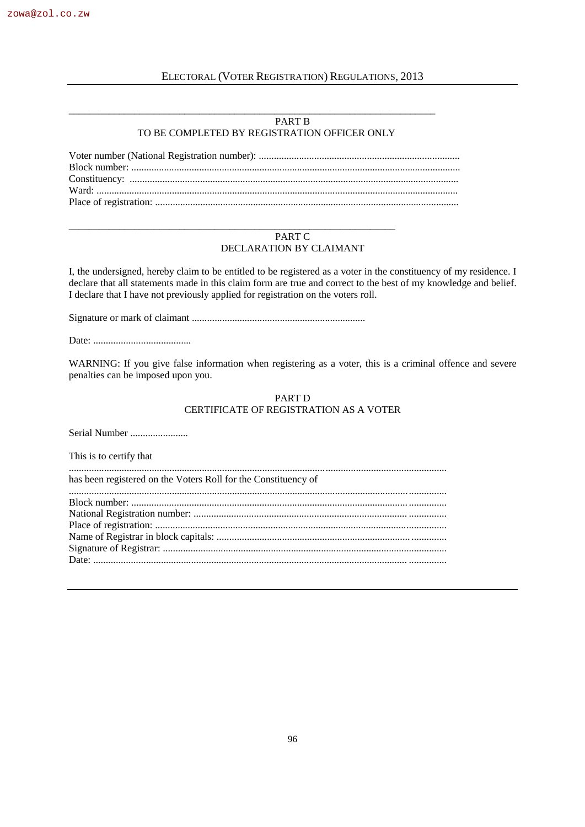### PART B

#### TO BE COMPLETED BY REGISTRATION OFFICER ONLY

\_\_\_\_\_\_\_\_\_\_\_\_\_\_\_\_\_\_\_\_\_\_\_\_\_\_\_\_\_\_\_\_\_\_\_\_\_\_\_\_\_\_\_\_\_\_\_\_\_\_\_\_\_\_\_\_\_\_\_\_\_\_\_\_\_\_\_\_\_\_\_\_\_

| $Constructive constituency:                             $ |
|-----------------------------------------------------------|
|                                                           |
|                                                           |

 $\_$  ,  $\_$  ,  $\_$  ,  $\_$  ,  $\_$  ,  $\_$  ,  $\_$  ,  $\_$  ,  $\_$  ,  $\_$  ,  $\_$  ,  $\_$  ,  $\_$  ,  $\_$  ,  $\_$  ,  $\_$  ,  $\_$  ,  $\_$  ,  $\_$  ,  $\_$  ,  $\_$  ,  $\_$  ,  $\_$  ,  $\_$  ,  $\_$  ,  $\_$  ,  $\_$  ,  $\_$  ,  $\_$  ,  $\_$  ,  $\_$  ,  $\_$  ,  $\_$  ,  $\_$  ,  $\_$  ,  $\_$  ,  $\_$  ,

#### PART C DECLARATION BY CLAIMANT

I, the undersigned, hereby claim to be entitled to be registered as a voter in the constituency of my residence. I declare that all statements made in this claim form are true and correct to the best of my knowledge and belief. I declare that I have not previously applied for registration on the voters roll.

Signature or mark of claimant .....................................................................

Date: .......................................

WARNING: If you give false information when registering as a voter, this is a criminal offence and severe penalties can be imposed upon you.

### PART D CERTIFICATE OF REGISTRATION AS A VOTER

Serial Number .......................

This is to certify that

| has been registered on the Voters Roll for the Constituency of |
|----------------------------------------------------------------|
|                                                                |
|                                                                |
|                                                                |
|                                                                |
|                                                                |
|                                                                |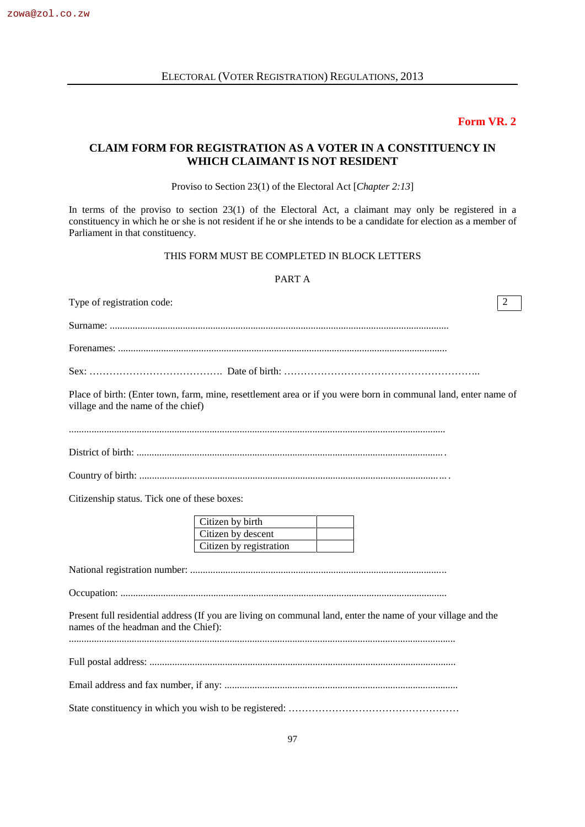### **Form VR. 2**

# **CLAIM FORM FOR REGISTRATION AS A VOTER IN A CONSTITUENCY IN WHICH CLAIMANT IS NOT RESIDENT**

Proviso to Section 23(1) of the Electoral Act [*Chapter 2:13*]

In terms of the proviso to section 23(1) of the Electoral Act, a claimant may only be registered in a constituency in which he or she is not resident if he or she intends to be a candidate for election as a member of Parliament in that constituency.

### THIS FORM MUST BE COMPLETED IN BLOCK LETTERS

### PART A

| Type of registration code:                   | $\overline{2}$                                                                                                 |
|----------------------------------------------|----------------------------------------------------------------------------------------------------------------|
|                                              |                                                                                                                |
|                                              |                                                                                                                |
|                                              |                                                                                                                |
| village and the name of the chief)           | Place of birth: (Enter town, farm, mine, resettlement area or if you were born in communal land, enter name of |
|                                              |                                                                                                                |
|                                              |                                                                                                                |
| Citizenship status. Tick one of these boxes: |                                                                                                                |
|                                              | Citizen by birth<br>Citizen by descent<br>Citizen by registration                                              |
|                                              |                                                                                                                |
|                                              |                                                                                                                |
| names of the headman and the Chief):         | Present full residential address (If you are living on communal land, enter the name of your village and the   |
|                                              |                                                                                                                |
|                                              |                                                                                                                |
|                                              |                                                                                                                |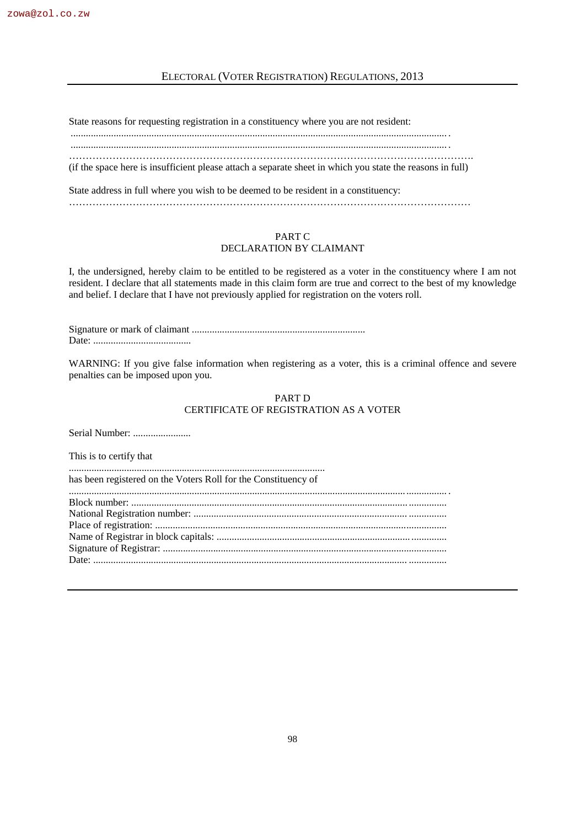State reasons for requesting registration in a constituency where you are not resident:

..................................................................................................................................................... . ..................................................................................................................................................... . ………………………………………………………………………………………………………….

(if the space here is insufficient please attach a separate sheet in which you state the reasons in full)

State address in full where you wish to be deemed to be resident in a constituency: …………………………………………………………………………………………………………

### PART C DECLARATION BY CLAIMANT

I, the undersigned, hereby claim to be entitled to be registered as a voter in the constituency where I am not resident. I declare that all statements made in this claim form are true and correct to the best of my knowledge and belief. I declare that I have not previously applied for registration on the voters roll.

Signature or mark of claimant ..................................................................... Date: .......................................

WARNING: If you give false information when registering as a voter, this is a criminal offence and severe penalties can be imposed upon you.

### PART D CERTIFICATE OF REGISTRATION AS A VOTER

Serial Number: .......................

This is to certify that

...................................................................................................... has been registered on the Voters Roll for the Constituency of ...................................................................................................................................................... . Block number: .............................................................................................................. ............... National Registration number: ..................................................................................... ............... Place of registration: .................................................................................................................... Name of Registrar in block capitals: ............................................................................. .............. Signature of Registrar: ................................................................................................................. Date: ............................................................................................................................. ...............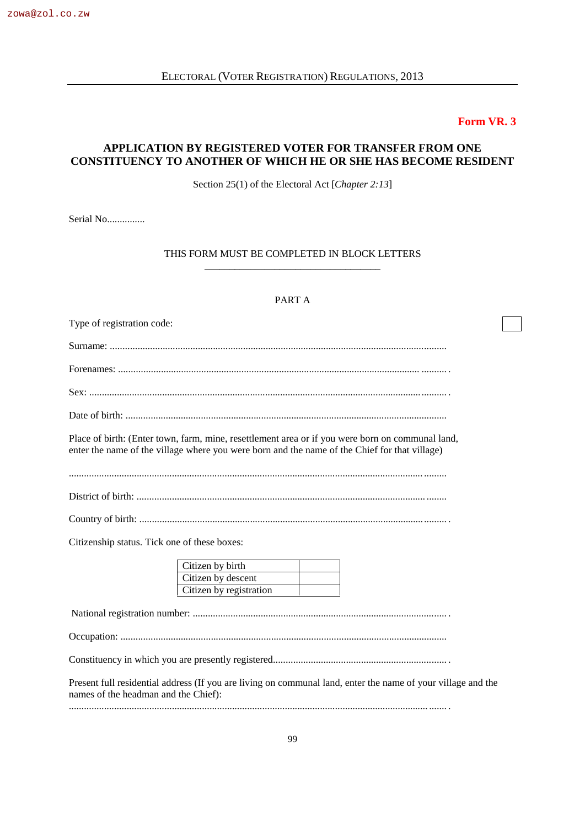### **Form VR. 3**

# **APPLICATION BY REGISTERED VOTER FOR TRANSFER FROM ONE CONSTITUENCY TO ANOTHER OF WHICH HE OR SHE HAS BECOME RESIDENT**

Section 25(1) of the Electoral Act [*Chapter 2:13*]

Serial No...............

### THIS FORM MUST BE COMPLETED IN BLOCK LETTERS

\_\_\_\_\_\_\_\_\_\_\_\_\_\_\_\_\_\_\_\_\_\_\_\_\_\_\_\_\_\_\_\_\_\_\_

#### PART A

| Type of registration code:                                                                                                                                                                        |  |
|---------------------------------------------------------------------------------------------------------------------------------------------------------------------------------------------------|--|
|                                                                                                                                                                                                   |  |
|                                                                                                                                                                                                   |  |
|                                                                                                                                                                                                   |  |
|                                                                                                                                                                                                   |  |
| Place of birth: (Enter town, farm, mine, resettlement area or if you were born on communal land,<br>enter the name of the village where you were born and the name of the Chief for that village) |  |
|                                                                                                                                                                                                   |  |
|                                                                                                                                                                                                   |  |
|                                                                                                                                                                                                   |  |
| Citizenship status. Tick one of these boxes:                                                                                                                                                      |  |
| Citizen by birth<br>Citizen by descent<br>Citizen by registration                                                                                                                                 |  |
|                                                                                                                                                                                                   |  |
|                                                                                                                                                                                                   |  |
|                                                                                                                                                                                                   |  |
| Present full residential address (If you are living on communal land, enter the name of your village and the<br>names of the headman and the Chief):                                              |  |

............................................................................................................................................... ....... .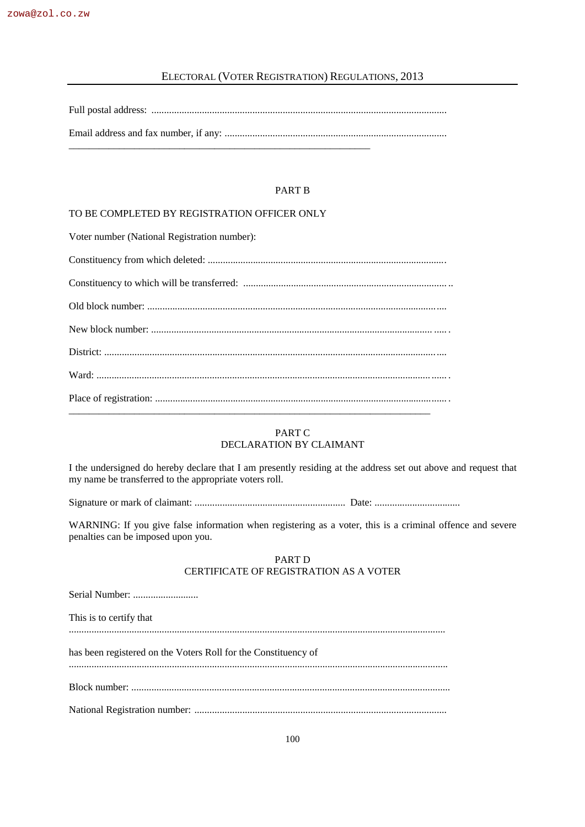#### **PART B**

### TO BE COMPLETED BY REGISTRATION OFFICER ONLY

Voter number (National Registration number):

### PART C DECLARATION BY CLAIMANT

I the undersigned do hereby declare that I am presently residing at the address set out above and request that my name be transferred to the appropriate voters roll.

WARNING: If you give false information when registering as a voter, this is a criminal offence and severe penalties can be imposed upon you.

### **PART D** CERTIFICATE OF REGISTRATION AS A VOTER

| Serial Number:                                                 |
|----------------------------------------------------------------|
| This is to certify that                                        |
| has been registered on the Voters Roll for the Constituency of |
|                                                                |
|                                                                |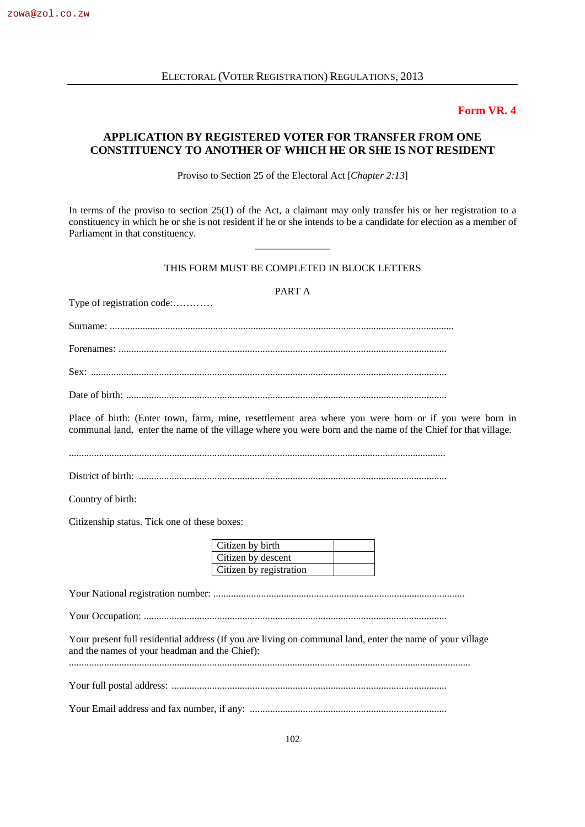### **Form VR. 4**

# **APPLICATION BY REGISTERED VOTER FOR TRANSFER FROM ONE CONSTITUENCY TO ANOTHER OF WHICH HE OR SHE IS NOT RESIDENT**

Proviso to Section 25 of the Electoral Act [*Chapter 2:13*]

In terms of the proviso to section 25(1) of the Act, a claimant may only transfer his or her registration to a constituency in which he or she is not resident if he or she intends to be a candidate for election as a member of Parliament in that constituency.

 $\overline{\phantom{a}}$  , and the set of the set of the set of the set of the set of the set of the set of the set of the set of the set of the set of the set of the set of the set of the set of the set of the set of the set of the s

### THIS FORM MUST BE COMPLETED IN BLOCK LETTERS

# PART A

| Type of registration code:                                                                                                                                                                                            |
|-----------------------------------------------------------------------------------------------------------------------------------------------------------------------------------------------------------------------|
|                                                                                                                                                                                                                       |
|                                                                                                                                                                                                                       |
|                                                                                                                                                                                                                       |
|                                                                                                                                                                                                                       |
| Place of birth: (Enter town, farm, mine, resettlement area where you were born or if you were born in<br>communal land, enter the name of the village where you were born and the name of the Chief for that village. |
|                                                                                                                                                                                                                       |
| Country of birth:                                                                                                                                                                                                     |
| Citizenship status. Tick one of these boxes:                                                                                                                                                                          |
| Citizen by birth<br>Citizen by descent<br>Citizen by registration                                                                                                                                                     |
|                                                                                                                                                                                                                       |
|                                                                                                                                                                                                                       |
| Your present full residential address (If you are living on communal land, enter the name of your village<br>and the names of your headman and the Chief):                                                            |
|                                                                                                                                                                                                                       |
|                                                                                                                                                                                                                       |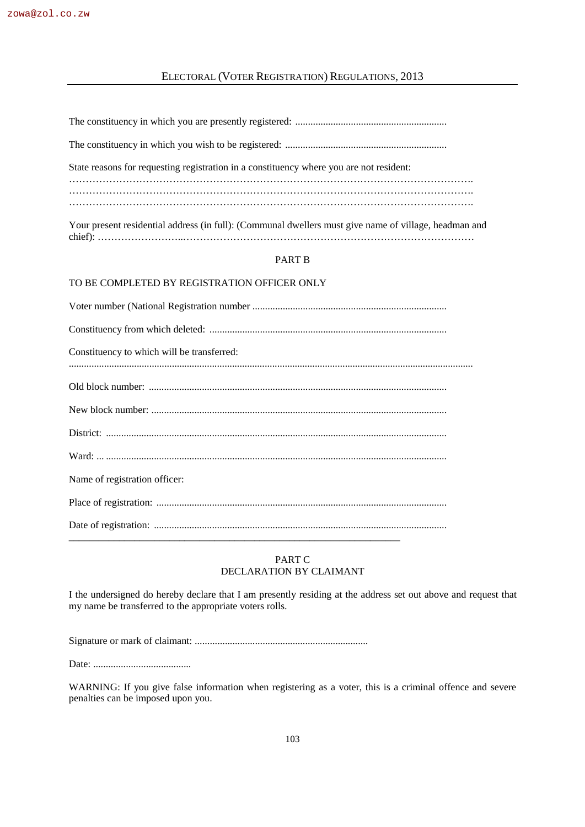| State reasons for requesting registration in a constituency where you are not resident:               |
|-------------------------------------------------------------------------------------------------------|
|                                                                                                       |
| Your present residential address (in full): (Communal dwellers must give name of village, headman and |

#### PART B

#### TO BE COMPLETED BY REGISTRATION OFFICER ONLY

| Constituency to which will be transferred: |
|--------------------------------------------|
|                                            |
|                                            |
|                                            |
|                                            |
|                                            |
| Name of registration officer:              |
|                                            |
|                                            |

\_\_\_\_\_\_\_\_\_\_\_\_\_\_\_\_\_\_\_\_\_\_\_\_\_\_\_\_\_\_\_\_\_\_\_\_\_\_\_\_\_\_\_\_\_\_\_\_\_\_\_\_\_\_\_\_\_\_\_\_\_\_\_\_\_\_

### PART C DECLARATION BY CLAIMANT

I the undersigned do hereby declare that I am presently residing at the address set out above and request that my name be transferred to the appropriate voters rolls.

Signature or mark of claimant: .....................................................................

Date: .......................................

WARNING: If you give false information when registering as a voter, this is a criminal offence and severe penalties can be imposed upon you.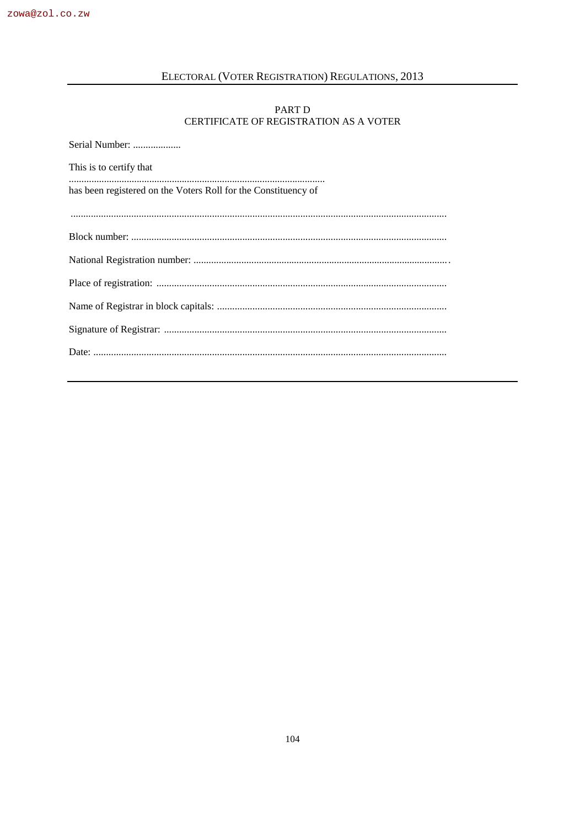| Serial Number:                                                 |
|----------------------------------------------------------------|
| This is to certify that                                        |
| has been registered on the Voters Roll for the Constituency of |
|                                                                |
|                                                                |
|                                                                |
|                                                                |
|                                                                |
|                                                                |
|                                                                |

### PART D CERTIFICATE OF REGISTRATION AS A VOTER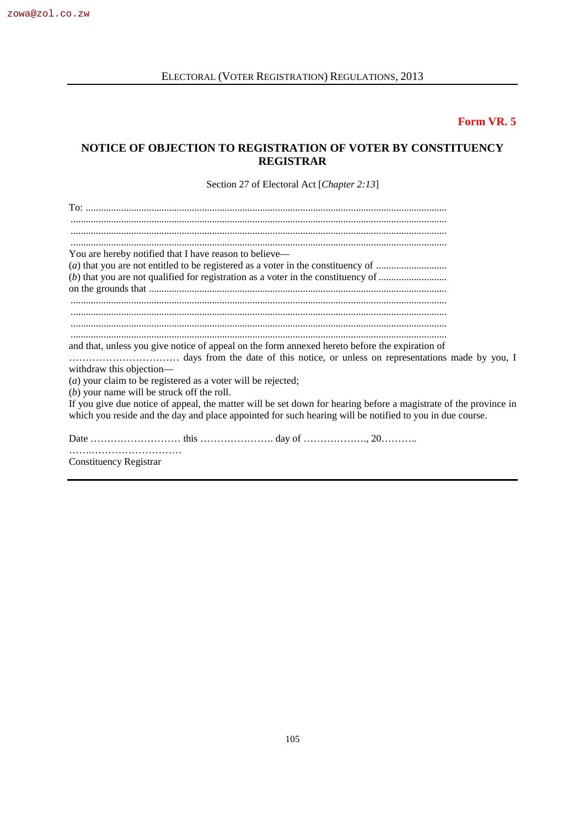### **Form VR. 5**

# **NOTICE OF OBJECTION TO REGISTRATION OF VOTER BY CONSTITUENCY REGISTRAR**

Section 27 of Electoral Act [*Chapter 2:13*]

To: ............................................................................................................................................... ..................................................................................................................................................... ..................................................................................................................................................... ..................................................................................................................................................... You are hereby notified that I have reason to believe— (*a*) that you are not entitled to be registered as a voter in the constituency of .............................. (*b*) that you are not qualified for registration as a voter in the constituency of ........................... on the grounds that ...................................................................................................................... ..................................................................................................................................................... ..................................................................................................................................................... ..................................................................................................................................................... ..................................................................................................................................................... and that, unless you give notice of appeal on the form annexed hereto before the expiration of …………………………… days from the date of this notice, or unless on representations made by you, I withdraw this objection— (*a*) your claim to be registered as a voter will be rejected; (*b*) your name will be struck off the roll. If you give due notice of appeal, the matter will be set down for hearing before a magistrate of the province in which you reside and the day and place appointed for such hearing will be notified to you in due course. Date ……………………… this …………………. day of ………………., 20……….. ……………………………………… Constituency Registrar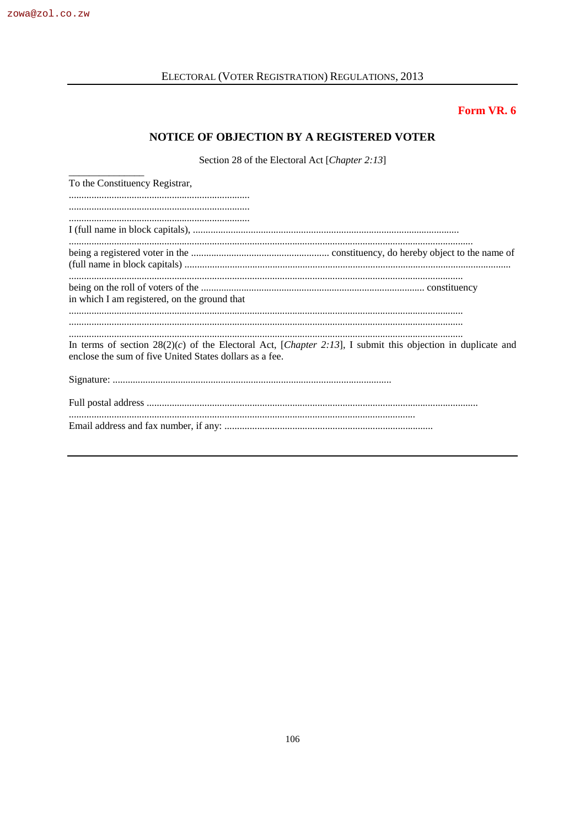# Form VR. 6

# NOTICE OF OBJECTION BY A REGISTERED VOTER

Section 28 of the Electoral Act [Chapter 2:13]

| To the Constituency Registrar,                                                                                                                                           |
|--------------------------------------------------------------------------------------------------------------------------------------------------------------------------|
|                                                                                                                                                                          |
|                                                                                                                                                                          |
|                                                                                                                                                                          |
| in which I am registered, on the ground that                                                                                                                             |
| In terms of section $28(2)(c)$ of the Electoral Act, [Chapter 2:13], I submit this objection in duplicate and<br>enclose the sum of five United States dollars as a fee. |
|                                                                                                                                                                          |
|                                                                                                                                                                          |
|                                                                                                                                                                          |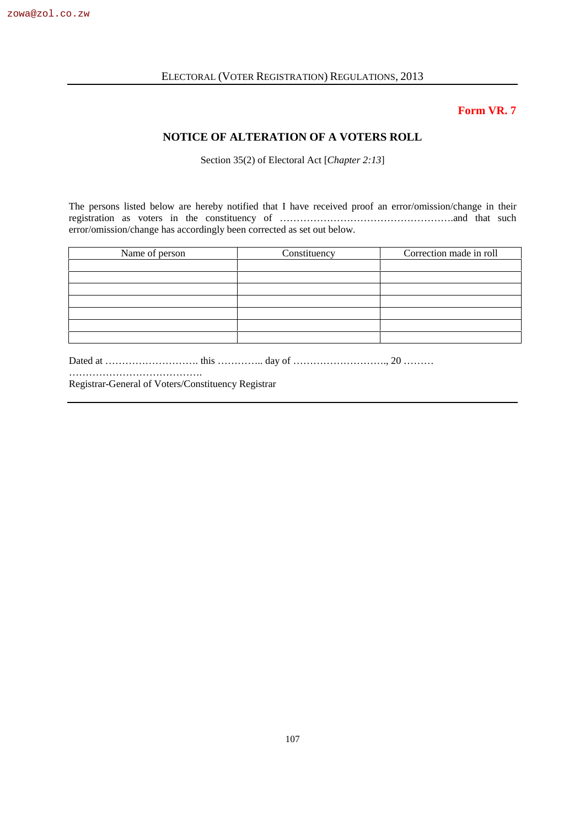# **Form VR. 7**

# **NOTICE OF ALTERATION OF A VOTERS ROLL**

Section 35(2) of Electoral Act [*Chapter 2:13*]

The persons listed below are hereby notified that I have received proof an error/omission/change in their registration as voters in the constituency of …………………………………………….and that such error/omission/change has accordingly been corrected as set out below.

| Name of person | Constituency | Correction made in roll |
|----------------|--------------|-------------------------|
|                |              |                         |
|                |              |                         |
|                |              |                         |
|                |              |                         |
|                |              |                         |
|                |              |                         |
|                |              |                         |

Dated at ………………………. this ………….. day of ………………………., 20 ………

………………………………….

Registrar-General of Voters/Constituency Registrar